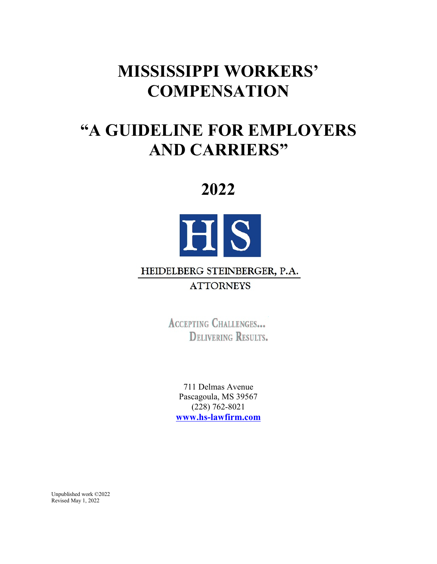# **MISSISSIPPI WORKERS' COMPENSATION**

# **"A GUIDELINE FOR EMPLOYERS AND CARRIERS"**

# **2022**



# HEIDELBERG STEINBERGER, P.A.

# **ATTORNEYS**

**ACCEPTING CHALLENGES... DELIVERING RESULTS.** 

711 Delmas Avenue Pascagoula, MS 39567 (228) 762-8021 **www.hs-lawfirm.com**

Unpublished work ©2022 Revised May 1, 2022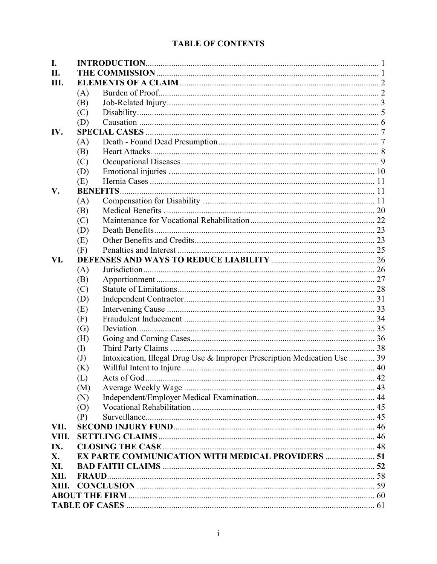# **TABLE OF CONTENTS**

| I.    |     |                                                                           |  |
|-------|-----|---------------------------------------------------------------------------|--|
| II.   |     |                                                                           |  |
| III.  |     |                                                                           |  |
|       | (A) |                                                                           |  |
|       | (B) |                                                                           |  |
|       | (C) |                                                                           |  |
|       | (D) |                                                                           |  |
| IV.   |     |                                                                           |  |
|       | (A) |                                                                           |  |
|       | (B) |                                                                           |  |
|       | (C) |                                                                           |  |
|       | (D) |                                                                           |  |
|       | (E) |                                                                           |  |
| V.    |     |                                                                           |  |
|       | (A) |                                                                           |  |
|       | (B) |                                                                           |  |
|       | (C) |                                                                           |  |
|       | (D) |                                                                           |  |
|       | (E) |                                                                           |  |
|       | (F) |                                                                           |  |
| VI.   |     |                                                                           |  |
|       | (A) |                                                                           |  |
|       | (B) |                                                                           |  |
|       | (C) |                                                                           |  |
|       | (D) |                                                                           |  |
|       | (E) |                                                                           |  |
|       | (F) |                                                                           |  |
|       | (G) |                                                                           |  |
|       | (H) |                                                                           |  |
|       | (I) |                                                                           |  |
|       | (J) | Intoxication, Illegal Drug Use & Improper Prescription Medication Use  39 |  |
|       | (K) |                                                                           |  |
|       | (L) |                                                                           |  |
|       | (M) |                                                                           |  |
|       | (N) |                                                                           |  |
|       | (0) |                                                                           |  |
|       | (P) |                                                                           |  |
| VII.  |     |                                                                           |  |
| VIII. |     |                                                                           |  |
| IX.   |     |                                                                           |  |
| X.    |     | EX PARTE COMMUNICATION WITH MEDICAL PROVIDERS  51                         |  |
| XI.   |     |                                                                           |  |
| XII.  |     |                                                                           |  |
| XIII. |     |                                                                           |  |
|       |     |                                                                           |  |
|       |     |                                                                           |  |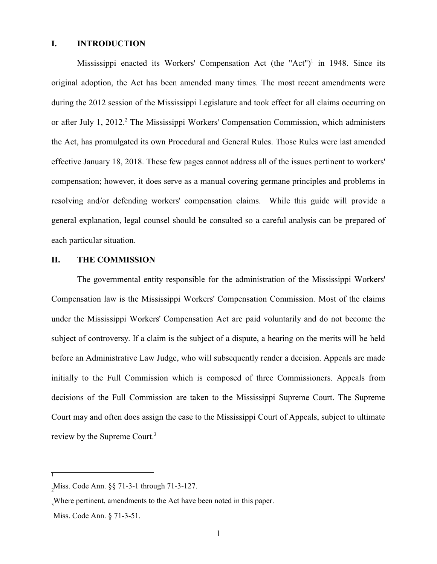#### **I. INTRODUCTION**

Mississippi enacted its Workers' Compensation Act (the "Act")<sup>1</sup> in 1948. Since its original adoption, the Act has been amended many times. The most recent amendments were during the 2012 session of the Mississippi Legislature and took effect for all claims occurring on or after July 1, 2012.<sup>2</sup> The Mississippi Workers' Compensation Commission, which administers the Act, has promulgated its own Procedural and General Rules. Those Rules were last amended effective January 18, 2018. These few pages cannot address all of the issues pertinent to workers' compensation; however, it does serve as a manual covering germane principles and problems in resolving and/or defending workers' compensation claims. While this guide will provide a general explanation, legal counsel should be consulted so a careful analysis can be prepared of each particular situation.

#### **II. THE COMMISSION**

The governmental entity responsible for the administration of the Mississippi Workers' Compensation law is the Mississippi Workers' Compensation Commission. Most of the claims under the Mississippi Workers' Compensation Act are paid voluntarily and do not become the subject of controversy. If a claim is the subject of a dispute, a hearing on the merits will be held before an Administrative Law Judge, who will subsequently render a decision. Appeals are made initially to the Full Commission which is composed of three Commissioners. Appeals from decisions of the Full Commission are taken to the Mississippi Supreme Court. The Supreme Court may and often does assign the case to the Mississippi Court of Appeals, subject to ultimate review by the Supreme Court.<sup>3</sup>

1

Miss. Code Ann. §§ 71-3-1 through 71-3-127. <sup>2</sup>

<sup>&</sup>lt;sub>3</sub>Where pertinent, amendments to the Act have been noted in this paper.

Miss. Code Ann. § 71-3-51.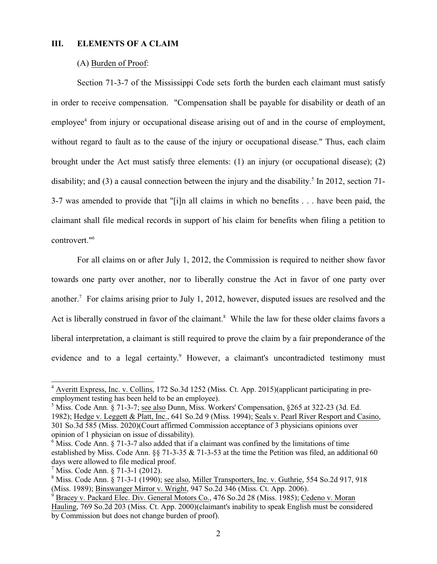#### **III. ELEMENTS OF A CLAIM**

#### (A) Burden of Proof:

Section 71-3-7 of the Mississippi Code sets forth the burden each claimant must satisfy in order to receive compensation. "Compensation shall be payable for disability or death of an employee<sup>4</sup> from injury or occupational disease arising out of and in the course of employment, without regard to fault as to the cause of the injury or occupational disease." Thus, each claim brought under the Act must satisfy three elements: (1) an injury (or occupational disease); (2) disability; and (3) a causal connection between the injury and the disability.<sup>5</sup> In 2012, section 71-3-7 was amended to provide that "[i]n all claims in which no benefits . . . have been paid, the claimant shall file medical records in support of his claim for benefits when filing a petition to controvert."<sup>6</sup>

For all claims on or after July 1, 2012, the Commission is required to neither show favor towards one party over another, nor to liberally construe the Act in favor of one party over another.<sup>7</sup> For claims arising prior to July 1, 2012, however, disputed issues are resolved and the Act is liberally construed in favor of the claimant.<sup>8</sup> While the law for these older claims favors a liberal interpretation, a claimant is still required to prove the claim by a fair preponderance of the evidence and to a legal certainty.<sup>9</sup> However, a claimant's uncontradicted testimony must

 $4$  Averitt Express, Inc. v. Collins, 172 So.3d 1252 (Miss. Ct. App. 2015)(applicant participating in preemployment testing has been held to be an employee).

<sup>&</sup>lt;sup>5</sup> Miss. Code Ann. § 71-3-7; <u>see also</u> Dunn, Miss. Workers' Compensation, §265 at 322-23 (3d. Ed. 1982); Hedge v. Leggett & Platt, Inc., 641 So.2d 9 (Miss. 1994); Seals v. Pearl River Resport and Casino, 301 So.3d 585 (Miss. 2020)(Court affirmed Commission acceptance of 3 physicians opinions over opinion of 1 physician on issue of dissability).

 $6$  Miss. Code Ann. § 71-3-7 also added that if a claimant was confined by the limitations of time established by Miss. Code Ann. §§ 71-3-35 & 71-3-53 at the time the Petition was filed, an additional 60 days were allowed to file medical proof.

<sup>7</sup> Miss. Code Ann. § 71-3-1 (2012).

<sup>&</sup>lt;sup>8</sup> Miss. Code Ann. § 71-3-1 (1990); <u>see also, Miller Transporters, Inc. v. Guthrie</u>, 554 So.2d 917, 918 (Miss. 1989); Binswanger Mirror v. Wright, 947 So.2d 346 (Miss. Ct. App. 2006).

<sup>9</sup> Bracey v. Packard Elec. Div. General Motors Co., 476 So.2d 28 (Miss. 1985); Cedeno v. Moran Hauling, 769 So.2d 203 (Miss. Ct. App. 2000)(claimant's inability to speak English must be considered by Commission but does not change burden of proof).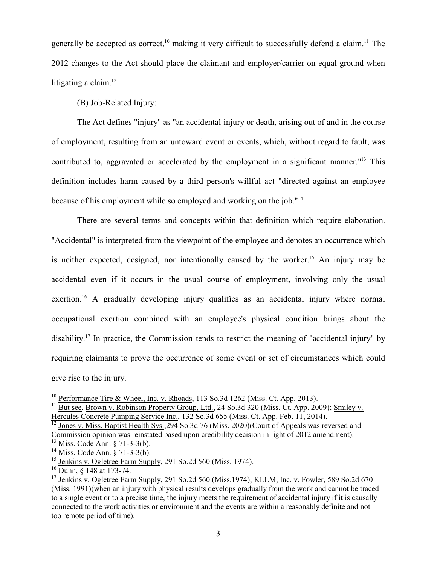generally be accepted as correct,<sup>10</sup> making it very difficult to successfully defend a claim.<sup>11</sup> The 2012 changes to the Act should place the claimant and employer/carrier on equal ground when litigating a claim. $12$ 

## (B) Job-Related Injury:

The Act defines "injury" as "an accidental injury or death, arising out of and in the course of employment, resulting from an untoward event or events, which, without regard to fault, was contributed to, aggravated or accelerated by the employment in a significant manner."<sup>13</sup> This definition includes harm caused by a third person's willful act "directed against an employee because of his employment while so employed and working on the job."<sup>14</sup>

There are several terms and concepts within that definition which require elaboration. "Accidental" is interpreted from the viewpoint of the employee and denotes an occurrence which is neither expected, designed, nor intentionally caused by the worker.<sup>15</sup> An injury may be accidental even if it occurs in the usual course of employment, involving only the usual exertion.<sup>16</sup> A gradually developing injury qualifies as an accidental injury where normal occupational exertion combined with an employee's physical condition brings about the disability.<sup>17</sup> In practice, the Commission tends to restrict the meaning of "accidental injury" by requiring claimants to prove the occurrence of some event or set of circumstances which could give rise to the injury.

 $10$  Performance Tire & Wheel, Inc. v. Rhoads, 113 So.3d 1262 (Miss. Ct. App. 2013).

<sup>&</sup>lt;sup>11</sup> But see, Brown v. Robinson Property Group, Ltd., 24 So.3d 320 (Miss. Ct. App. 2009); Smiley v.

Hercules Concrete Pumping Service Inc., 132 So.3d 655 (Miss. Ct. App. Feb. 11, 2014).<br><sup>12</sup> Jones v. Miss. Baptist Health Sys.,294 So.3d 76 (Miss. 2020)(Court of Appeals was reversed and Commission opinion was reinstated based upon credibility decision in light of 2012 amendment).

<sup>13</sup> Miss. Code Ann. § 71-3-3(b).

<sup>14</sup> Miss. Code Ann. § 71-3-3(b).

<sup>&</sup>lt;sup>15</sup> Jenkins v. Ogletree Farm Supply, 291 So.2d 560 (Miss. 1974).

<sup>&</sup>lt;sup>16</sup> Dunn, § 148 at 173-74.

<sup>&</sup>lt;sup>17</sup> Jenkins v. Ogletree Farm Supply, 291 So.2d 560 (Miss.1974); KLLM, Inc. v. Fowler, 589 So.2d 670 (Miss. 1991)(when an injury with physical results develops gradually from the work and cannot be traced to a single event or to a precise time, the injury meets the requirement of accidental injury if it is causally connected to the work activities or environment and the events are within a reasonably definite and not too remote period of time).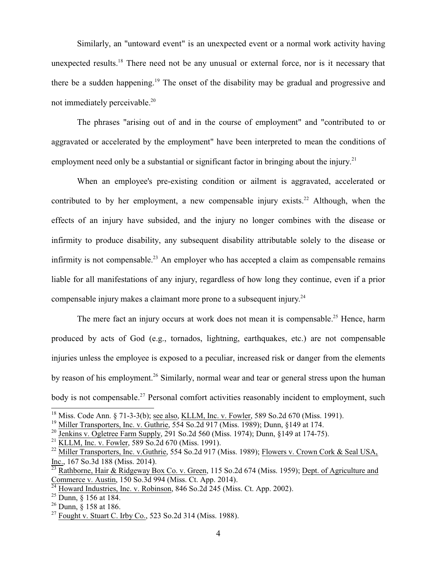Similarly, an "untoward event" is an unexpected event or a normal work activity having unexpected results.<sup>18</sup> There need not be any unusual or external force, nor is it necessary that there be a sudden happening.<sup>19</sup> The onset of the disability may be gradual and progressive and not immediately perceivable.<sup>20</sup>

The phrases "arising out of and in the course of employment" and "contributed to or aggravated or accelerated by the employment" have been interpreted to mean the conditions of employment need only be a substantial or significant factor in bringing about the injury.<sup>21</sup>

When an employee's pre-existing condition or ailment is aggravated, accelerated or contributed to by her employment, a new compensable injury exists.<sup>22</sup> Although, when the effects of an injury have subsided, and the injury no longer combines with the disease or infirmity to produce disability, any subsequent disability attributable solely to the disease or infirmity is not compensable.<sup>23</sup> An employer who has accepted a claim as compensable remains liable for all manifestations of any injury, regardless of how long they continue, even if a prior compensable injury makes a claimant more prone to a subsequent injury.<sup>24</sup>

The mere fact an injury occurs at work does not mean it is compensable.<sup>25</sup> Hence, harm produced by acts of God (e.g., tornados, lightning, earthquakes, etc.) are not compensable injuries unless the employee is exposed to a peculiar, increased risk or danger from the elements by reason of his employment.<sup>26</sup> Similarly, normal wear and tear or general stress upon the human body is not compensable.<sup>27</sup> Personal comfort activities reasonably incident to employment, such

<sup>&</sup>lt;sup>18</sup> Miss. Code Ann. § 71-3-3(b); <u>see also, KLLM, Inc. v. Fowler</u>, 589 So.2d 670 (Miss. 1991).

<sup>&</sup>lt;sup>19</sup> Miller Transporters, Inc. v. Guthrie, 554 So.2d 917 (Miss. 1989); Dunn, §149 at 174.

<sup>&</sup>lt;sup>20</sup> Jenkins v. Ogletree Farm Supply, 291 So.2d 560 (Miss. 1974); Dunn, §149 at 174-75).

<sup>&</sup>lt;sup>21</sup> KLLM, Inc. v. Fowler, 589 So.2d 670 (Miss. 1991).

<sup>&</sup>lt;sup>22</sup> Miller Transporters, Inc. v.Guthrie, 554 So.2d 917 (Miss. 1989); Flowers v. Crown Cork & Seal USA, Inc., 167 So.3d 188 (Miss. 2014).

<sup>&</sup>lt;sup>23</sup> Rathborne, Hair & Ridgeway Box Co. v. Green, 115 So.2d 674 (Miss. 1959); Dept. of Agriculture and Commerce v. Austin, 150 So.3d 994 (Miss. Ct. App. 2014).<br><sup>24</sup> Howard Industries, Inc. v. Behinson, 846 So.2d 245 (Mis

Howard Industries, Inc. v. Robinson, 846 So.2d 245 (Miss. Ct. App. 2002).

 $25$  Dunn,  $\S$  156 at 184.

 $2^6$  Dunn,  $\S$  158 at 186.

 $^{27}$  Fought v. Stuart C. Irby Co., 523 So.2d 314 (Miss. 1988).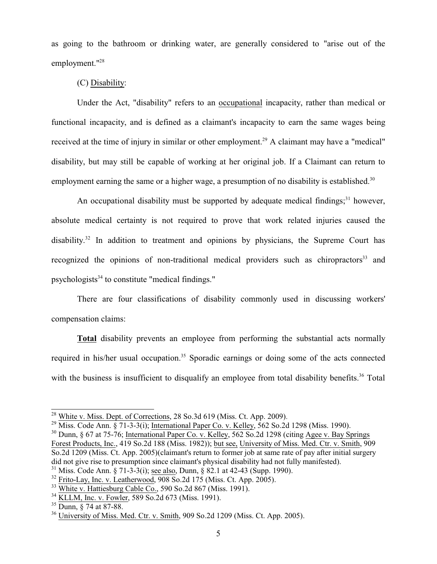as going to the bathroom or drinking water, are generally considered to "arise out of the employment."<sup>28</sup>

#### (C) Disability:

Under the Act, "disability" refers to an occupational incapacity, rather than medical or functional incapacity, and is defined as a claimant's incapacity to earn the same wages being received at the time of injury in similar or other employment.<sup>29</sup> A claimant may have a "medical" disability, but may still be capable of working at her original job. If a Claimant can return to employment earning the same or a higher wage, a presumption of no disability is established.<sup>30</sup>

An occupational disability must be supported by adequate medical findings;<sup>31</sup> however, absolute medical certainty is not required to prove that work related injuries caused the disability.<sup>32</sup> In addition to treatment and opinions by physicians, the Supreme Court has recognized the opinions of non-traditional medical providers such as chiropractors<sup>33</sup> and psychologists<sup>34</sup> to constitute "medical findings."

There are four classifications of disability commonly used in discussing workers' compensation claims:

**Total** disability prevents an employee from performing the substantial acts normally required in his/her usual occupation.<sup>35</sup> Sporadic earnings or doing some of the acts connected with the business is insufficient to disqualify an employee from total disability benefits.<sup>36</sup> Total

 $^{28}$  White v. Miss. Dept. of Corrections, 28 So.3d 619 (Miss. Ct. App. 2009).

<sup>&</sup>lt;sup>29</sup> Miss. Code Ann. § 71-3-3(i); International Paper Co. v. Kelley, 562 So.2d 1298 (Miss. 1990).

<sup>&</sup>lt;sup>30</sup> Dunn, § 67 at 75-76; International Paper Co. v. Kelley, 562 So. 2d 1298 (citing Agee v. Bay Springs Forest Products, Inc., 419 So.2d 188 (Miss. 1982)); but see, University of Miss. Med. Ctr. v. Smith, 909 So.2d 1209 (Miss. Ct. App. 2005)(claimant's return to former job at same rate of pay after initial surgery did not give rise to presumption since claimant's physical disability had not fully manifested).

<sup>31</sup> Miss. Code Ann. § 71-3-3(i); see also, Dunn, § 82.1 at 42-43 (Supp. 1990).

 $32$  Frito-Lay, Inc. v. Leatherwood, 908 So.2d 175 (Miss. Ct. App. 2005).

<sup>&</sup>lt;sup>33</sup> White v. Hattiesburg Cable Co., 590 So.2d 867 (Miss. 1991).

<sup>&</sup>lt;sup>34</sup> KLLM, Inc. v. Fowler, 589 So.2d 673 (Miss. 1991).

<sup>35</sup> Dunn, § 74 at 87-88.

 $36$  University of Miss. Med. Ctr. v. Smith, 909 So.2d 1209 (Miss. Ct. App. 2005).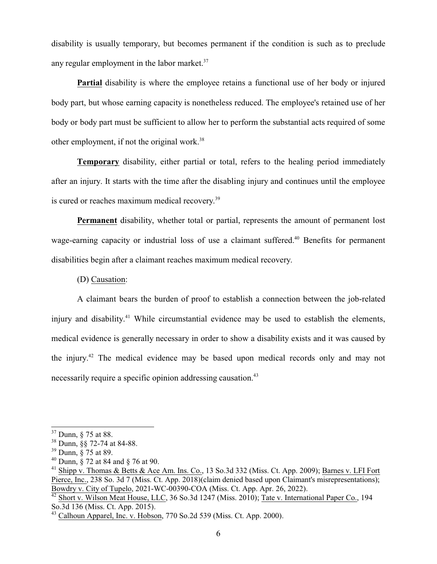disability is usually temporary, but becomes permanent if the condition is such as to preclude any regular employment in the labor market. $37$ 

Partial disability is where the employee retains a functional use of her body or injured body part, but whose earning capacity is nonetheless reduced. The employee's retained use of her body or body part must be sufficient to allow her to perform the substantial acts required of some other employment, if not the original work.<sup>38</sup>

**Temporary** disability, either partial or total, refers to the healing period immediately after an injury. It starts with the time after the disabling injury and continues until the employee is cured or reaches maximum medical recovery.<sup>39</sup>

**Permanent** disability, whether total or partial, represents the amount of permanent lost wage-earning capacity or industrial loss of use a claimant suffered.<sup>40</sup> Benefits for permanent disabilities begin after a claimant reaches maximum medical recovery.

(D) Causation:

A claimant bears the burden of proof to establish a connection between the job-related injury and disability.<sup>41</sup> While circumstantial evidence may be used to establish the elements, medical evidence is generally necessary in order to show a disability exists and it was caused by the injury.<sup>42</sup> The medical evidence may be based upon medical records only and may not necessarily require a specific opinion addressing causation.<sup>43</sup>

<sup>&</sup>lt;sup>37</sup> Dunn, § 75 at 88.

<sup>38</sup> Dunn, §§ 72-74 at 84-88.

<sup>39</sup> Dunn, § 75 at 89.

<sup>40</sup> Dunn, § 72 at 84 and § 76 at 90.

<sup>&</sup>lt;sup>41</sup> Shipp v. Thomas & Betts & Ace Am. Ins. Co., 13 So.3d 332 (Miss. Ct. App. 2009); Barnes v. LFI Fort Pierce, Inc., 238 So. 3d 7 (Miss. Ct. App. 2018)(claim denied based upon Claimant's misrepresentations); Bowdry v. City of Tupelo, 2021-WC-00390-COA (Miss. Ct. App. Apr. 26, 2022). 42

Short v. Wilson Meat House, LLC, 36 So.3d 1247 (Miss. 2010); Tate v. International Paper Co., 194 So.3d 136 (Miss. Ct. App. 2015).

 $43$  Calhoun Apparel, Inc. v. Hobson, 770 So.2d 539 (Miss. Ct. App. 2000).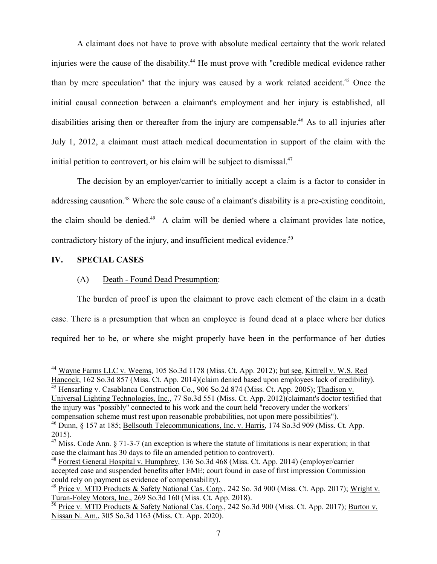A claimant does not have to prove with absolute medical certainty that the work related injuries were the cause of the disability. <sup>44</sup> He must prove with "credible medical evidence rather than by mere speculation" that the injury was caused by a work related accident.<sup>45</sup> Once the initial causal connection between a claimant's employment and her injury is established, all disabilities arising then or thereafter from the injury are compensable.<sup>46</sup> As to all injuries after July 1, 2012, a claimant must attach medical documentation in support of the claim with the initial petition to controvert, or his claim will be subject to dismissal. $47$ 

The decision by an employer/carrier to initially accept a claim is a factor to consider in addressing causation.<sup>48</sup> Where the sole cause of a claimant's disability is a pre-existing conditoin, the claim should be denied.<sup>49</sup> A claim will be denied where a claimant provides late notice, contradictory history of the injury, and insufficient medical evidence.<sup>50</sup>

#### **IV. SPECIAL CASES**

#### (A) Death - Found Dead Presumption:

The burden of proof is upon the claimant to prove each element of the claim in a death case. There is a presumption that when an employee is found dead at a place where her duties required her to be, or where she might properly have been in the performance of her duties

 Hensarling v. Casablanca Construction Co., 906 So.2d 874 (Miss. Ct. App. 2005); Thadison v. Universal Lighting Technologies, Inc., 77 So.3d 551 (Miss. Ct. App. 2012)(claimant's doctor testified that the injury was "possibly" connected to his work and the court held "recovery under the workers' compensation scheme must rest upon reasonable probabilities, not upon mere possibilities").

<sup>&</sup>lt;sup>44</sup> Wayne Farms LLC v. Weems, 105 So.3d 1178 (Miss. Ct. App. 2012); but see, Kittrell v. W.S. Red Wayne Farms LLC v. Weems, 105 So.3d 1178 (Miss. Ct. App. 2012); but see, Kittrell v. W.S. Red Hancock, 162 So.3d 857 (Miss. Ct. App. 2014)(claim denied based upon employees lack of credibility).<br><sup>45</sup> Hanserling y, Casablance Construction Co., 006 So.2d 874 (Miss. Ct. App. 2005): Thedison y.

<sup>&</sup>lt;sup>46</sup> Dunn, § 157 at 185; Bellsouth Telecommunications, Inc. v. Harris, 174 So.3d 909 (Miss. Ct. App. 2015).

 $47$  Miss. Code Ann. § 71-3-7 (an exception is where the statute of limitations is near experation; in that case the claimant has 30 days to file an amended petition to controvert).

<sup>&</sup>lt;sup>48</sup> Forrest General Hospital v. Humphrey, 136 So.3d 468 (Miss. Ct. App. 2014) (employer/carrier accepted case and suspended benefits after EME; court found in case of first impression Commission could rely on payment as evidence of compensability).

<sup>&</sup>lt;sup>49</sup> Price v. MTD Products & Safety National Cas. Corp., 242 So. 3d 900 (Miss. Ct. App. 2017); Wright v. Turan-Foley Motors, Inc., 269 So.3d 160 (Miss. Ct. App. 2018).

<sup>&</sup>lt;sup>50</sup> Price v. MTD Products & Safety National Cas. Corp., 242 So.3d 900 (Miss. Ct. App. 2017); Burton v. Nissan N. Am., 305 So.3d 1163 (Miss. Ct. App. 2020).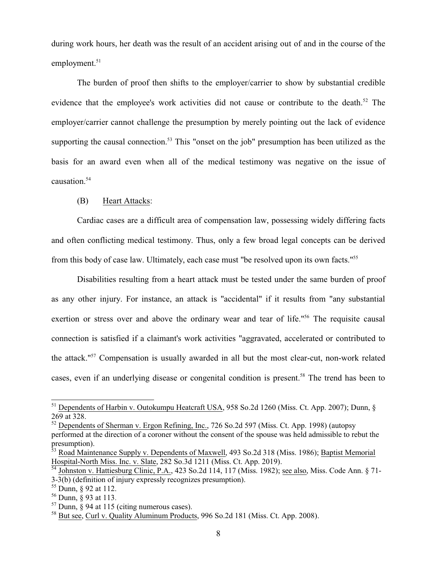during work hours, her death was the result of an accident arising out of and in the course of the employment.<sup>51</sup>

The burden of proof then shifts to the employer/carrier to show by substantial credible evidence that the employee's work activities did not cause or contribute to the death.<sup>52</sup> The employer/carrier cannot challenge the presumption by merely pointing out the lack of evidence supporting the causal connection.<sup>53</sup> This "onset on the job" presumption has been utilized as the basis for an award even when all of the medical testimony was negative on the issue of causation.<sup>54</sup>

#### (B) Heart Attacks:

Cardiac cases are a difficult area of compensation law, possessing widely differing facts and often conflicting medical testimony. Thus, only a few broad legal concepts can be derived from this body of case law. Ultimately, each case must "be resolved upon its own facts."<sup>55</sup>

Disabilities resulting from a heart attack must be tested under the same burden of proof as any other injury. For instance, an attack is "accidental" if it results from "any substantial exertion or stress over and above the ordinary wear and tear of life.<sup>"56</sup> The requisite causal connection is satisfied if a claimant's work activities "aggravated, accelerated or contributed to the attack."<sup>57</sup> Compensation is usually awarded in all but the most clear-cut, non-work related cases, even if an underlying disease or congenital condition is present.<sup>58</sup> The trend has been to

<sup>&</sup>lt;sup>51</sup> Dependents of Harbin v. Outokumpu Heatcraft USA, 958 So.2d 1260 (Miss. Ct. App. 2007); Dunn, § 269 at 328.

<sup>&</sup>lt;sup>52</sup> Dependents of Sherman v. Ergon Refining, Inc., 726 So.2d 597 (Miss. Ct. App. 1998) (autopsy performed at the direction of a coroner without the consent of the spouse was held admissible to rebut the presumption).

<sup>&</sup>lt;sup>53</sup> Road Maintenance Supply v. Dependents of Maxwell, 493 So.2d 318 (Miss. 1986); Baptist Memorial Hospital-North Miss. Inc. v. Slate, 282 So.3d 1211 (Miss. Ct. App. 2019).

<sup>&</sup>lt;sup>54</sup> Johnston v. Hattiesburg Clinic, P.A., 423 So.2d 114, 117 (Miss. 1982); <u>see also</u>, Miss. Code Ann. § 71-3-3(b) (definition of injury expressly recognizes presumption).

<sup>55</sup> Dunn, § 92 at 112.

<sup>56</sup> Dunn, § 93 at 113.

 $57$  Dunn,  $\frac{5}{94}$  at 115 (citing numerous cases).

<sup>&</sup>lt;sup>58</sup> But see, Curl v. Quality Aluminum Products, 996 So.2d 181 (Miss. Ct. App. 2008).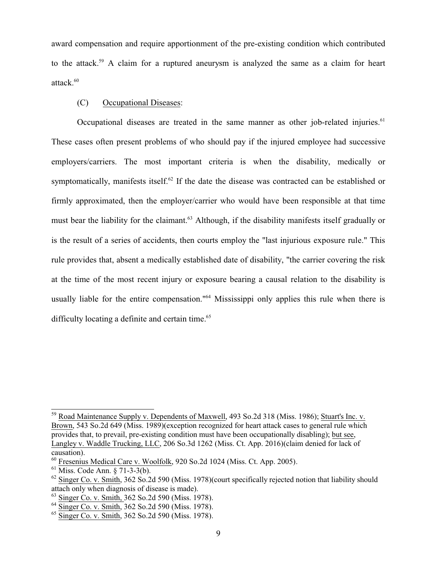award compensation and require apportionment of the pre-existing condition which contributed to the attack.<sup>59</sup> A claim for a ruptured aneurysm is analyzed the same as a claim for heart attack.<sup>60</sup>

## (C) Occupational Diseases:

Occupational diseases are treated in the same manner as other job-related injuries. $^{61}$ These cases often present problems of who should pay if the injured employee had successive employers/carriers. The most important criteria is when the disability, medically or symptomatically, manifests itself.<sup>62</sup> If the date the disease was contracted can be established or firmly approximated, then the employer/carrier who would have been responsible at that time must bear the liability for the claimant.<sup>63</sup> Although, if the disability manifests itself gradually or is the result of a series of accidents, then courts employ the "last injurious exposure rule." This rule provides that, absent a medically established date of disability, "the carrier covering the risk at the time of the most recent injury or exposure bearing a causal relation to the disability is usually liable for the entire compensation."<sup>64</sup> Mississippi only applies this rule when there is difficulty locating a definite and certain time.<sup>65</sup>

<sup>&</sup>lt;sup>59</sup> Road Maintenance Supply v. Dependents of Maxwell, 493 So.2d 318 (Miss. 1986); Stuart's Inc. v. Brown, 543 So.2d 649 (Miss. 1989)(exception recognized for heart attack cases to general rule which provides that, to prevail, pre-existing condition must have been occupationally disabling); but see, Langley v. Waddle Trucking, LLC, 206 So.3d 1262 (Miss. Ct. App. 2016)(claim denied for lack of causation).

<sup>&</sup>lt;sup>60</sup> Fresenius Medical Care v. Woolfolk, 920 So.2d 1024 (Miss. Ct. App. 2005).

<sup>61</sup> Miss. Code Ann. § 71-3-3(b).

 $^{62}$  Singer Co. v. Smith, 362 So.2d 590 (Miss. 1978)(court specifically rejected notion that liability should attach only when diagnosis of disease is made).

<sup>&</sup>lt;sup>63</sup> Singer Co. v. Smith, 362 So.2d 590 (Miss. 1978).

<sup>&</sup>lt;sup>64</sup> Singer Co. v. Smith, 362 So.2d 590 (Miss. 1978).

<sup>&</sup>lt;sup>65</sup> Singer Co. v. Smith, 362 So.2d 590 (Miss. 1978).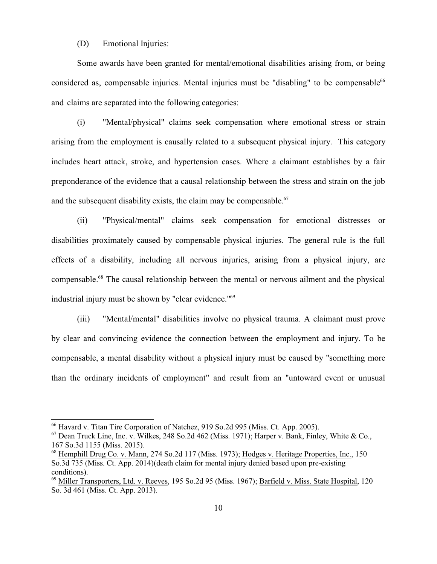#### (D) Emotional Injuries:

Some awards have been granted for mental/emotional disabilities arising from, or being considered as, compensable injuries. Mental injuries must be "disabling" to be compensable $66$ and claims are separated into the following categories:

(i) "Mental/physical" claims seek compensation where emotional stress or strain arising from the employment is causally related to a subsequent physical injury. This category includes heart attack, stroke, and hypertension cases. Where a claimant establishes by a fair preponderance of the evidence that a causal relationship between the stress and strain on the job and the subsequent disability exists, the claim may be compensable. $67$ 

(ii) "Physical/mental" claims seek compensation for emotional distresses or disabilities proximately caused by compensable physical injuries. The general rule is the full effects of a disability, including all nervous injuries, arising from a physical injury, are compensable.<sup>68</sup> The causal relationship between the mental or nervous ailment and the physical industrial injury must be shown by "clear evidence."<sup>69</sup>

(iii) "Mental/mental" disabilities involve no physical trauma. A claimant must prove by clear and convincing evidence the connection between the employment and injury. To be compensable, a mental disability without a physical injury must be caused by "something more than the ordinary incidents of employment" and result from an "untoward event or unusual

<sup>&</sup>lt;sup>66</sup> Havard v. Titan Tire Corporation of Natchez, 919 So.2d 995 (Miss. Ct. App. 2005).

 $^{67}$  Dean Truck Line, Inc. v. Wilkes, 248 So.2d 462 (Miss. 1971); Harper v. Bank, Finley, White & Co., 167 So.3d 1155 (Miss. 2015).

<sup>&</sup>lt;sup>68</sup> Hemphill Drug Co. v. Mann, 274 So.2d 117 (Miss. 1973); Hodges v. Heritage Properties, Inc., 150 So.3d 735 (Miss. Ct. App. 2014)(death claim for mental injury denied based upon pre-existing conditions).

<sup>&</sup>lt;sup>69</sup> Miller Transporters, Ltd. v. Reeves, 195 So.2d 95 (Miss. 1967); Barfield v. Miss. State Hospital, 120 So. 3d 461 (Miss. Ct. App. 2013).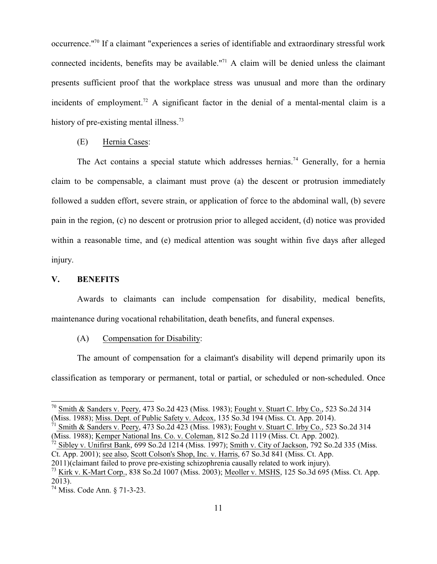occurrence."<sup>70</sup> If a claimant "experiences a series of identifiable and extraordinary stressful work connected incidents, benefits may be available."<sup>71</sup> A claim will be denied unless the claimant presents sufficient proof that the workplace stress was unusual and more than the ordinary incidents of employment.<sup>72</sup> A significant factor in the denial of a mental-mental claim is a history of pre-existing mental illness.<sup>73</sup>

#### (E) Hernia Cases:

The Act contains a special statute which addresses hernias.<sup>74</sup> Generally, for a hernia claim to be compensable, a claimant must prove (a) the descent or protrusion immediately followed a sudden effort, severe strain, or application of force to the abdominal wall, (b) severe pain in the region, (c) no descent or protrusion prior to alleged accident, (d) notice was provided within a reasonable time, and (e) medical attention was sought within five days after alleged injury.

#### **V. BENEFITS**

Awards to claimants can include compensation for disability, medical benefits, maintenance during vocational rehabilitation, death benefits, and funeral expenses.

(A) Compensation for Disability:

The amount of compensation for a claimant's disability will depend primarily upon its classification as temporary or permanent, total or partial, or scheduled or non-scheduled. Once

 $^{70}$  Smith & Sanders v. Peery, 473 So.2d 423 (Miss. 1983); Fought v. Stuart C. Irby Co., 523 So.2d 314 (Miss. 1988); Miss. Dept. of Public Safety v. Adcox, 135 So.3d 194 (Miss. Ct. App. 2014).

<sup>&</sup>lt;sup>71</sup> Smith & Sanders v. Peery, 473 So.2d 423 (Miss. 1983); Fought v. Stuart C. Irby Co., 523 So.2d 314 (Miss. 1988); Kemper National Ins. Co. v. Coleman, 812 So.2d 1119 (Miss. Ct. App. 2002).

<sup>&</sup>lt;sup>72</sup> Sibley v. Unifirst Bank, 699 So.2d 1214 (Miss. 1997); Smith v. City of Jackson, 792 So.2d 335 (Miss. Ct. App. 2001); see also, Scott Colson's Shop, Inc. v. Harris, 67 So.3d 841 (Miss. Ct. App.

<sup>2011)(</sup>claimant failed to prove pre-existing schizophrenia causally related to work injury).

<sup>&</sup>lt;sup>73</sup> Kirk v. K-Mart Corp., 838 So.2d 1007 (Miss. 2003); Meoller v. MSHS, 125 So.3d 695 (Miss. Ct. App. 2013).

<sup>74</sup> Miss. Code Ann. § 71-3-23.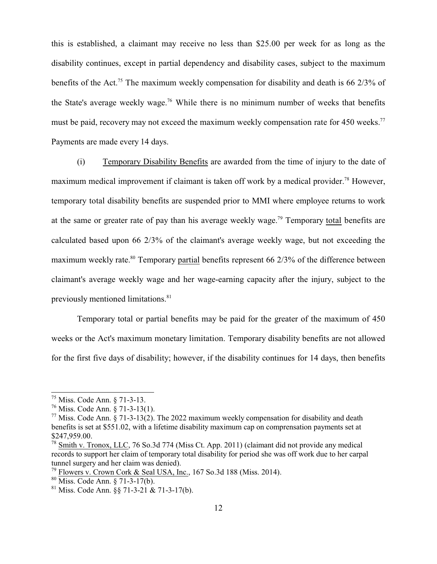this is established, a claimant may receive no less than \$25.00 per week for as long as the disability continues, except in partial dependency and disability cases, subject to the maximum benefits of the Act.<sup>75</sup> The maximum weekly compensation for disability and death is 66 2/3% of the State's average weekly wage.<sup>76</sup> While there is no minimum number of weeks that benefits must be paid, recovery may not exceed the maximum weekly compensation rate for 450 weeks.<sup>77</sup> Payments are made every 14 days.

(i) Temporary Disability Benefits are awarded from the time of injury to the date of maximum medical improvement if claimant is taken off work by a medical provider.<sup>78</sup> However, temporary total disability benefits are suspended prior to MMI where employee returns to work at the same or greater rate of pay than his average weekly wage.<sup>79</sup> Temporary total benefits are calculated based upon 66 2/3% of the claimant's average weekly wage, but not exceeding the maximum weekly rate.<sup>80</sup> Temporary partial benefits represent 66  $2/3\%$  of the difference between claimant's average weekly wage and her wage-earning capacity after the injury, subject to the previously mentioned limitations.<sup>81</sup>

Temporary total or partial benefits may be paid for the greater of the maximum of 450 weeks or the Act's maximum monetary limitation. Temporary disability benefits are not allowed for the first five days of disability; however, if the disability continues for 14 days, then benefits

<sup>75</sup> Miss. Code Ann. § 71-3-13.

<sup>76</sup> Miss. Code Ann. § 71-3-13(1).

 $^{77}$  Miss. Code Ann. § 71-3-13(2). The 2022 maximum weekly compensation for disability and death benefits is set at \$551.02, with a lifetime disability maximum cap on comprensation payments set at \$247,959.00.

<sup>&</sup>lt;sup>78</sup> Smith v. Tronox, LLC, 76 So.3d 774 (Miss Ct. App. 2011) (claimant did not provide any medical records to support her claim of temporary total disability for period she was off work due to her carpal tunnel surgery and her claim was denied).

<sup>&</sup>lt;sup>79</sup> Flowers v. Crown Cork & Seal USA, Inc., 167 So.3d 188 (Miss. 2014).

<sup>80</sup> Miss. Code Ann. § 71-3-17(b).

 $81$  Miss. Code Ann.  $\S$ § 71-3-21 & 71-3-17(b).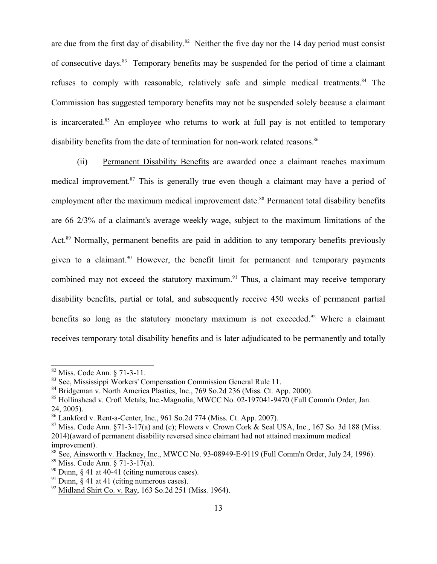are due from the first day of disability. $82$  Neither the five day nor the 14 day period must consist of consecutive days.<sup>83</sup> Temporary benefits may be suspended for the period of time a claimant refuses to comply with reasonable, relatively safe and simple medical treatments.<sup>84</sup> The Commission has suggested temporary benefits may not be suspended solely because a claimant is incarcerated.<sup>85</sup> An employee who returns to work at full pay is not entitled to temporary disability benefits from the date of termination for non-work related reasons.<sup>86</sup>

(ii) Permanent Disability Benefits are awarded once a claimant reaches maximum medical improvement.<sup>87</sup> This is generally true even though a claimant may have a period of employment after the maximum medical improvement date.<sup>88</sup> Permanent total disability benefits are 66 2/3% of a claimant's average weekly wage, subject to the maximum limitations of the Act.<sup>89</sup> Normally, permanent benefits are paid in addition to any temporary benefits previously given to a claimant.<sup>90</sup> However, the benefit limit for permanent and temporary payments combined may not exceed the statutory maximum.<sup>91</sup> Thus, a claimant may receive temporary disability benefits, partial or total, and subsequently receive 450 weeks of permanent partial benefits so long as the statutory monetary maximum is not exceeded.<sup>92</sup> Where a claimant receives temporary total disability benefits and is later adjudicated to be permanently and totally

<sup>82</sup> Miss. Code Ann. § 71-3-11.

<sup>&</sup>lt;sup>83</sup> See, Mississippi Workers' Compensation Commission General Rule 11.

<sup>&</sup>lt;sup>84</sup> Bridgeman v. North America Plastics, Inc., 769 So.2d 236 (Miss. Ct. App. 2000).

<sup>&</sup>lt;sup>85</sup> Hollinshead v. Croft Metals, Inc.-Magnolia, MWCC No. 02-197041-9470 (Full Comm'n Order, Jan. 24, 2005).

<sup>&</sup>lt;sup>86</sup> Lankford v. Rent-a-Center, Inc., 961 So.2d 774 (Miss. Ct. App. 2007).

 $87$  Miss. Code Ann.  $\S$ 71-3-17(a) and (c); Flowers v. Crown Cork & Seal USA, Inc., 167 So. 3d 188 (Miss. 2014)(award of permanent disability reversed since claimant had not attained maximum medical improvement).

<sup>&</sup>lt;sup>88</sup> See, Ainsworth v. Hackney, Inc., MWCC No. 93-08949-E-9119 (Full Comm'n Order, July 24, 1996).

<sup>89</sup> Miss. Code Ann. § 71-3-17(a).

 $90$  Dunn,  $\S$  41 at 40-41 (citing numerous cases).

 $91$  Dunn, § 41 at 41 (citing numerous cases).

<sup>&</sup>lt;sup>92</sup> Midland Shirt Co. v. Ray, 163 So.2d 251 (Miss. 1964).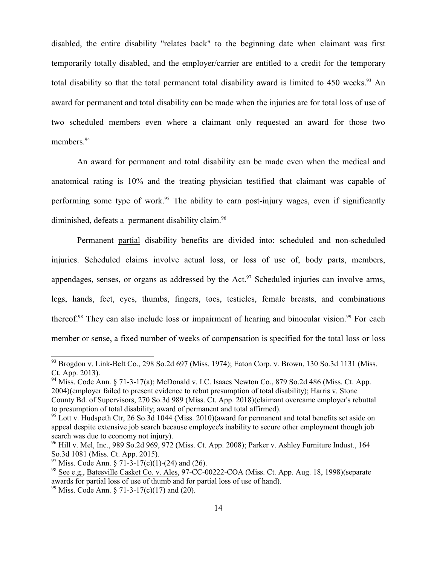disabled, the entire disability "relates back" to the beginning date when claimant was first temporarily totally disabled, and the employer/carrier are entitled to a credit for the temporary total disability so that the total permanent total disability award is limited to  $450$  weeks.<sup>93</sup> An award for permanent and total disability can be made when the injuries are for total loss of use of two scheduled members even where a claimant only requested an award for those two members.<sup>94</sup>

An award for permanent and total disability can be made even when the medical and anatomical rating is 10% and the treating physician testified that claimant was capable of performing some type of work.<sup>95</sup> The ability to earn post-injury wages, even if significantly diminished, defeats a permanent disability claim.<sup>96</sup>

Permanent partial disability benefits are divided into: scheduled and non-scheduled injuries. Scheduled claims involve actual loss, or loss of use of, body parts, members, appendages, senses, or organs as addressed by the Act.<sup>97</sup> Scheduled injuries can involve arms, legs, hands, feet, eyes, thumbs, fingers, toes, testicles, female breasts, and combinations thereof.<sup>98</sup> They can also include loss or impairment of hearing and binocular vision.<sup>99</sup> For each member or sense, a fixed number of weeks of compensation is specified for the total loss or loss

<sup>&</sup>lt;sup>93</sup> Brogdon v. Link-Belt Co., 298 So.2d 697 (Miss. 1974); Eaton Corp. v. Brown, 130 So.3d 1131 (Miss. Ct. App. 2013).

 $94$  Miss. Code Ann. § 71-3-17(a); McDonald v. I.C. Isaacs Newton Co., 879 So.2d 486 (Miss. Ct. App. 2004)(employer failed to present evidence to rebut presumption of total disability); Harris v. Stone County Bd. of Supervisors, 270 So.3d 989 (Miss. Ct. App. 2018)(claimant overcame employer's rebuttal to presumption of total disability; award of permanent and total affirmed).

 $95$  Lott v. Hudspeth Ctr, 26 So.3d 1044 (Miss. 2010)(award for permanent and total benefits set aside on appeal despite extensive job search because employee's inability to secure other employment though job search was due to economy not injury).

<sup>&</sup>lt;sup>96</sup> Hill v. Mel, Inc., 989 So.2d 969, 972 (Miss. Ct. App. 2008); <u>Parker v. Ashley Furniture Indust.</u>, 164 So.3d 1081 (Miss. Ct. App. 2015).

<sup>&</sup>lt;sup>97</sup> Miss. Code Ann. § 71-3-17(c)(1)-(24) and (26).

<sup>&</sup>lt;sup>98</sup> See e.g., Batesville Casket Co. v. Ales, 97-CC-00222-COA (Miss. Ct. App. Aug. 18, 1998)(separate awards for partial loss of use of thumb and for partial loss of use of hand).

<sup>99</sup> Miss. Code Ann. § 71-3-17(c)(17) and (20).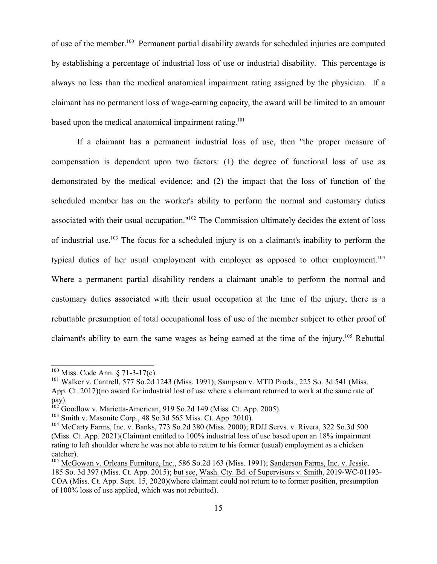of use of the member.<sup>100</sup> Permanent partial disability awards for scheduled injuries are computed by establishing a percentage of industrial loss of use or industrial disability. This percentage is always no less than the medical anatomical impairment rating assigned by the physician. If a claimant has no permanent loss of wage-earning capacity, the award will be limited to an amount based upon the medical anatomical impairment rating.<sup>101</sup>

If a claimant has a permanent industrial loss of use, then "the proper measure of compensation is dependent upon two factors: (1) the degree of functional loss of use as demonstrated by the medical evidence; and (2) the impact that the loss of function of the scheduled member has on the worker's ability to perform the normal and customary duties associated with their usual occupation."<sup>102</sup> The Commission ultimately decides the extent of loss of industrial use.<sup>103</sup> The focus for a scheduled injury is on a claimant's inability to perform the typical duties of her usual employment with employer as opposed to other employment.<sup>104</sup> Where a permanent partial disability renders a claimant unable to perform the normal and customary duties associated with their usual occupation at the time of the injury, there is a rebuttable presumption of total occupational loss of use of the member subject to other proof of claimant's ability to earn the same wages as being earned at the time of the injury.<sup>105</sup> Rebuttal

 $100$  Miss. Code Ann. § 71-3-17(c).

<sup>&</sup>lt;sup>101</sup> Walker v. Cantrell, 577 So.2d 1243 (Miss. 1991); Sampson v. MTD Prods., 225 So. 3d 541 (Miss. App. Ct. 2017)(no award for industrial lost of use where a claimant returned to work at the same rate of pay).<br><sup>102</sup> Goodlow v. Marietta-American, 919 So.2d 149 (Miss. Ct. App. 2005).

<sup>&</sup>lt;sup>103</sup> Smith v. Masonite Corp., 48 So.3d 565 Miss. Ct. App. 2010).

<sup>&</sup>lt;sup>104</sup> McCarty Farms, Inc. v. Banks, 773 So.2d 380 (Miss. 2000); RDJJ Servs. v. Rivera, 322 So.3d 500 (Miss. Ct. App. 2021)(Claimant entitled to 100% industrial loss of use based upon an 18% impairment rating to left shoulder where he was not able to return to his former (usual) employment as a chicken catcher).

<sup>&</sup>lt;sup>105</sup> McGowan v. Orleans Furniture, Inc., 586 So.2d 163 (Miss. 1991); Sanderson Farms, Inc. v. Jessie, 185 So. 3d 397 (Miss. Ct. App. 2015); but see, Wash. Cty. Bd. of Supervisors v. Smith, 2019-WC-01193- COA (Miss. Ct. App. Sept. 15, 2020)(where claimant could not return to to former position, presumption of 100% loss of use applied, which was not rebutted).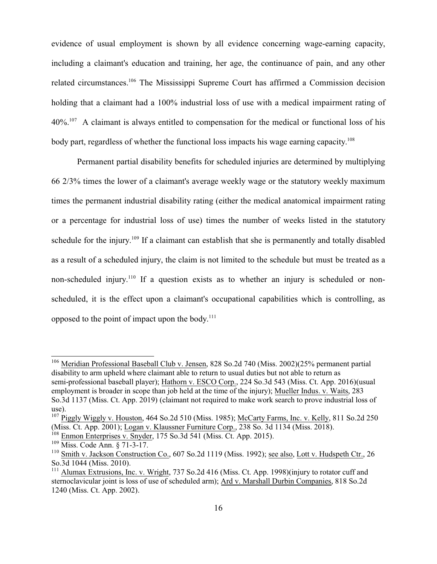evidence of usual employment is shown by all evidence concerning wage-earning capacity, including a claimant's education and training, her age, the continuance of pain, and any other related circumstances.<sup>106</sup> The Mississippi Supreme Court has affirmed a Commission decision holding that a claimant had a 100% industrial loss of use with a medical impairment rating of  $40\%$ <sup>107</sup> A claimant is always entitled to compensation for the medical or functional loss of his body part, regardless of whether the functional loss impacts his wage earning capacity.<sup>108</sup>

Permanent partial disability benefits for scheduled injuries are determined by multiplying 66 2/3% times the lower of a claimant's average weekly wage or the statutory weekly maximum times the permanent industrial disability rating (either the medical anatomical impairment rating or a percentage for industrial loss of use) times the number of weeks listed in the statutory schedule for the injury.<sup>109</sup> If a claimant can establish that she is permanently and totally disabled as a result of a scheduled injury, the claim is not limited to the schedule but must be treated as a non-scheduled injury.<sup>110</sup> If a question exists as to whether an injury is scheduled or nonscheduled, it is the effect upon a claimant's occupational capabilities which is controlling, as opposed to the point of impact upon the body.<sup>111</sup>

<sup>&</sup>lt;sup>106</sup> Meridian Professional Baseball Club v. Jensen, 828 So.2d 740 (Miss. 2002)(25% permanent partial disability to arm upheld where claimant able to return to usual duties but not able to return as semi-professional baseball player); Hathorn v. ESCO Corp., 224 So.3d 543 (Miss. Ct. App. 2016)(usual employment is broader in scope than job held at the time of the injury); Mueller Indus. v. Waits, 283 So.3d 1137 (Miss. Ct. App. 2019) (claimant not required to make work search to prove industrial loss of use).

<sup>&</sup>lt;sup>107</sup> Piggly Wiggly v. Houston, 464 So.2d 510 (Miss. 1985); McCarty Farms, Inc. v. Kelly, 811 So.2d 250 (Miss. Ct. App. 2001); Logan v. Klaussner Furniture Corp., 238 So. 3d 1134 (Miss. 2018).

<sup>&</sup>lt;sup>108</sup> Enmon Enterprises v. Snyder, 175 So.3d 541 (Miss. Ct. App. 2015).

<sup>109</sup> Miss. Code Ann. § 71-3-17.

<sup>&</sup>lt;sup>110</sup> Smith v. Jackson Construction Co., 607 So.2d 1119 (Miss. 1992); <u>see also</u>, Lott v. Hudspeth Ctr., 26 So.3d 1044 (Miss. 2010).

<sup>&</sup>lt;sup>111</sup> Alumax Extrusions, Inc. v. Wright, 737 So.2d 416 (Miss. Ct. App. 1998)(injury to rotator cuff and sternoclavicular joint is loss of use of scheduled arm); Ard v. Marshall Durbin Companies, 818 So.2d 1240 (Miss. Ct. App. 2002).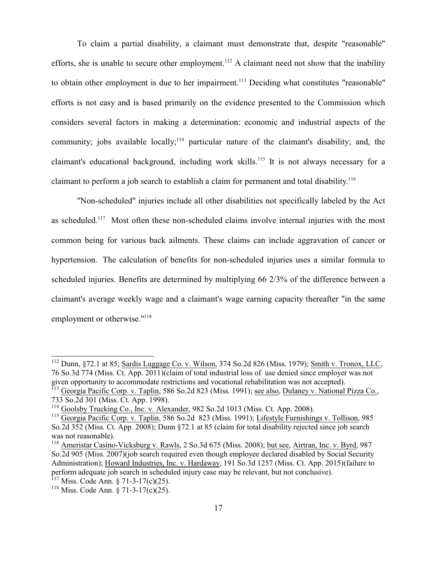To claim a partial disability, a claimant must demonstrate that, despite "reasonable" efforts, she is unable to secure other employment.<sup>112</sup> A claimant need not show that the inability to obtain other employment is due to her impairment.<sup>113</sup> Deciding what constitutes "reasonable" efforts is not easy and is based primarily on the evidence presented to the Commission which considers several factors in making a determination: economic and industrial aspects of the community; jobs available locally;<sup>114</sup> particular nature of the claimant's disability; and, the claimant's educational background, including work skills.<sup>115</sup> It is not always necessary for a claimant to perform a job search to establish a claim for permanent and total disability.<sup>116</sup>

"Non-scheduled" injuries include all other disabilities not specifically labeled by the Act as scheduled.<sup>117</sup> Most often these non-scheduled claims involve internal injuries with the most common being for various back ailments. These claims can include aggravation of cancer or hypertension. The calculation of benefits for non-scheduled injuries uses a similar formula to scheduled injuries. Benefits are determined by multiplying 66 2/3% of the difference between a claimant's average weekly wage and a claimant's wage earning capacity thereafter "in the same employment or otherwise."<sup>118</sup>

<sup>&</sup>lt;sup>112</sup> Dunn, §72.1 at 85; <u>Sardis Luggage Co. v. Wilson</u>, 374 So.2d 826 (Miss. 1979); <u>Smith v. Tronox, LLC</u>, 76 So.3d 774 (Miss. Ct. App. 2011)(claim of total industrial loss of use denied since employer was not

given opportunity to accommodate restrictions and vocational rehabilitation was not accepted).<br><sup>113</sup> Georgia Pacific Corp. v. Taplin, 586 So.2d 823 (Miss. 1991); <u>see also, Dulaney v. National Pizza Co.</u>, 733 So.2d 301 (Miss. Ct. App. 1998).

<sup>&</sup>lt;sup>114</sup> Goolsby Trucking Co., Inc. v. Alexander, 982 So.2d 1013 (Miss. Ct. App. 2008).

<sup>&</sup>lt;sup>115</sup> Georgia Pacific Corp. v. Taplin, 586 So.2d 823 (Miss. 1991); Lifestyle Furnishings v. Tollison, 985 So.2d 352 (Miss. Ct. App. 2008); Dunn §72.1 at 85 (claim for total disability rejected since job search was not reasonable).

<sup>&</sup>lt;sup>116</sup> Ameristar Casino-Vicksburg v. Rawls, 2 So.3d 675 (Miss. 2008); but see, Airtran, Inc. v. Byrd, 987 So.2d 905 (Miss. 2007)(job search required even though employee declared disabled by Social Security Administration); Howard Industries, Inc. v. Hardaway, 191 So.3d 1257 (Miss. Ct. App. 2015)(failure to perform adequate job search in scheduled injury case may be relevant, but not conclusive).

 $117$  Miss. Code Ann. § 71-3-17(c)(25).

<sup>&</sup>lt;sup>118</sup> Miss. Code Ann. § 71-3-17(c)(25).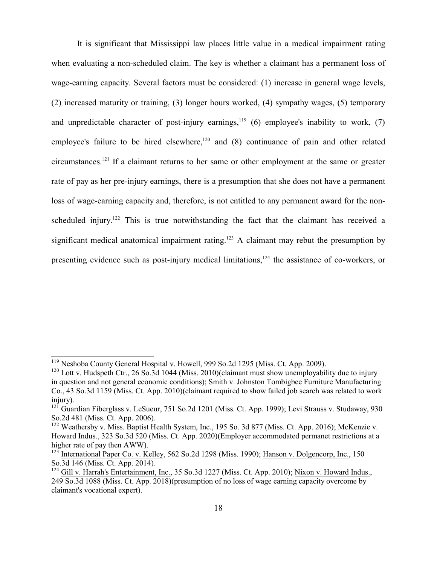It is significant that Mississippi law places little value in a medical impairment rating when evaluating a non-scheduled claim. The key is whether a claimant has a permanent loss of wage-earning capacity. Several factors must be considered: (1) increase in general wage levels, (2) increased maturity or training, (3) longer hours worked, (4) sympathy wages, (5) temporary and unpredictable character of post-injury earnings,<sup>119</sup> (6) employee's inability to work, (7) employee's failure to be hired elsewhere,<sup>120</sup> and  $(8)$  continuance of pain and other related circumstances.<sup>121</sup> If a claimant returns to her same or other employment at the same or greater rate of pay as her pre-injury earnings, there is a presumption that she does not have a permanent loss of wage-earning capacity and, therefore, is not entitled to any permanent award for the nonscheduled injury.<sup>122</sup> This is true notwithstanding the fact that the claimant has received a significant medical anatomical impairment rating.<sup>123</sup> A claimant may rebut the presumption by presenting evidence such as post-injury medical limitations,<sup>124</sup> the assistance of co-workers, or

<sup>&</sup>lt;sup>119</sup> Neshoba County General Hospital v. Howell, 999 So.2d 1295 (Miss. Ct. App. 2009).

 $120$  Lott v. Hudspeth Ctr., 26 So.3d 1044 (Miss. 2010)(claimant must show unemployability due to injury in question and not general economic conditions); Smith v. Johnston Tombigbee Furniture Manufacturing Co., 43 So.3d 1159 (Miss. Ct. App. 2010)(claimant required to show failed job search was related to work injury).

<sup>&</sup>lt;sup>121</sup> Guardian Fiberglass v. LeSueur, 751 So.2d 1201 (Miss. Ct. App. 1999); Levi Strauss v. Studaway, 930 So.2d 481 (Miss. Ct. App. 2006).

<sup>&</sup>lt;sup>122</sup> Weathersby v. Miss. Baptist Health System, Inc., 195 So. 3d 877 (Miss. Ct. App. 2016); McKenzie v. Howard Indus., 323 So.3d 520 (Miss. Ct. App. 2020)(Employer accommodated permanet restrictions at a higher rate of pay then AWW).

<sup>&</sup>lt;sup>123</sup> International Paper Co. v. Kelley, 562 So.2d 1298 (Miss. 1990); Hanson v. Dolgencorp, Inc., 150 So.3d 146 (Miss. Ct. App. 2014).

<sup>&</sup>lt;sup>124</sup> Gill v. Harrah's Entertainment, Inc., 35 So.3d 1227 (Miss. Ct. App. 2010); Nixon v. Howard Indus., 249 So.3d 1088 (Miss. Ct. App. 2018)(presumption of no loss of wage earning capacity overcome by claimant's vocational expert).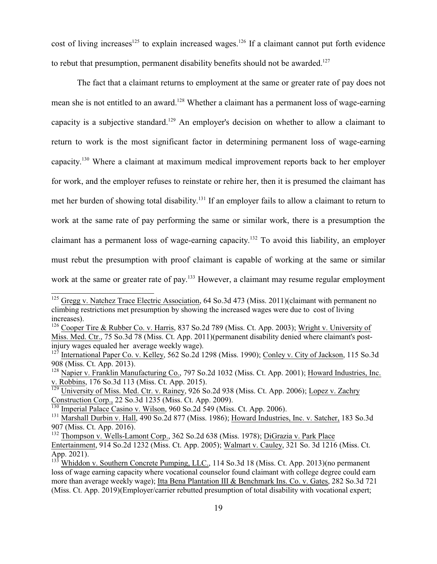cost of living increases<sup>125</sup> to explain increased wages.<sup>126</sup> If a claimant cannot put forth evidence to rebut that presumption, permanent disability benefits should not be awarded.<sup>127</sup>

The fact that a claimant returns to employment at the same or greater rate of pay does not mean she is not entitled to an award.<sup>128</sup> Whether a claimant has a permanent loss of wage-earning capacity is a subjective standard.<sup>129</sup> An employer's decision on whether to allow a claimant to return to work is the most significant factor in determining permanent loss of wage-earning capacity. <sup>130</sup> Where a claimant at maximum medical improvement reports back to her employer for work, and the employer refuses to reinstate or rehire her, then it is presumed the claimant has met her burden of showing total disability.<sup>131</sup> If an employer fails to allow a claimant to return to work at the same rate of pay performing the same or similar work, there is a presumption the claimant has a permanent loss of wage-earning capacity. <sup>132</sup> To avoid this liability, an employer must rebut the presumption with proof claimant is capable of working at the same or similar work at the same or greater rate of pay.<sup>133</sup> However, a claimant may resume regular employment

Construction Corp., 22 So.3d 1235 (Miss. Ct. App. 2009).<br><sup>130</sup> Imperial Palace Casino v. Wilson, 960 So.2d 549 (Miss. Ct. App. 2006).

<sup>&</sup>lt;sup>125</sup> Gregg v. Natchez Trace Electric Association, 64 So.3d 473 (Miss. 2011)(claimant with permanent no climbing restrictions met presumption by showing the increased wages were due to cost of living increases).

<sup>&</sup>lt;sup>126</sup> Cooper Tire & Rubber Co. v. Harris, 837 So.2d 789 (Miss. Ct. App. 2003); Wright v. University of Miss. Med. Ctr., 75 So.3d 78 (Miss. Ct. App. 2011)(permanent disability denied where claimant's postinjury wages equaled her average weekly wage).

<sup>&</sup>lt;sup>127</sup> International Paper Co. v. Kelley, 562 So.2d 1298 (Miss. 1990); Conley v. City of Jackson, 115 So.3d 908 (Miss. Ct. App. 2013).

<sup>&</sup>lt;sup>128</sup> Napier v. Franklin Manufacturing Co., 797 So.2d 1032 (Miss. Ct. App. 2001); Howard Industries, Inc. v. Robbins, 176 So.3d 113 (Miss. Ct. App. 2015).<br><sup>129</sup> University of Miss. Med. Ctr. v. Rainey, 926 So.2d 938 (Miss. Ct. App. 2006); <u>Lopez v. Zachry</u>

<sup>&</sup>lt;sup>131</sup> Marshall Durbin v. Hall, 490 So.2d 877 (Miss. 1986); Howard Industries, Inc. v. Satcher, 183 So.3d 907 (Miss. Ct. App. 2016).

<sup>&</sup>lt;sup>132</sup> Thompson v. Wells-Lamont Corp., 362 So.2d 638 (Miss. 1978); DiGrazia v. Park Place Entertainment, 914 So.2d 1232 (Miss. Ct. App. 2005); Walmart v. Cauley, 321 So. 3d 1216 (Miss. Ct. App. 2021).

<sup>&</sup>lt;sup>133</sup> Whiddon v. Southern Concrete Pumping, LLC., 114 So.3d 18 (Miss. Ct. App. 2013)(no permanent loss of wage earning capacity where vocational counselor found claimant with college degree could earn more than average weekly wage); Itta Bena Plantation III & Benchmark Ins. Co. v. Gates, 282 So.3d 721 (Miss. Ct. App. 2019)(Employer/carrier rebutted presumption of total disability with vocational expert;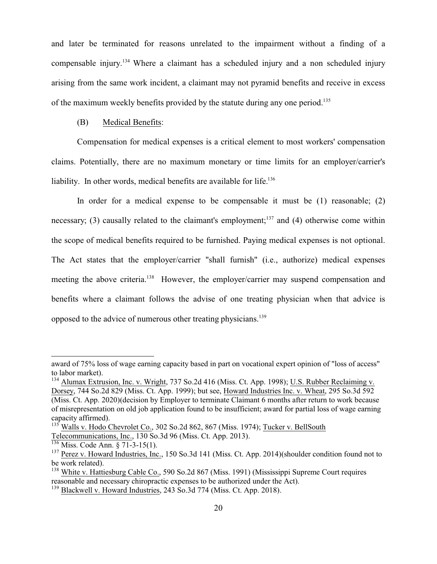and later be terminated for reasons unrelated to the impairment without a finding of a compensable injury. <sup>134</sup> Where a claimant has a scheduled injury and a non scheduled injury arising from the same work incident, a claimant may not pyramid benefits and receive in excess of the maximum weekly benefits provided by the statute during any one period.<sup>135</sup>

#### (B) Medical Benefits:

Compensation for medical expenses is a critical element to most workers' compensation claims. Potentially, there are no maximum monetary or time limits for an employer/carrier's liability. In other words, medical benefits are available for life.<sup>136</sup>

In order for a medical expense to be compensable it must be (1) reasonable; (2) necessary; (3) causally related to the claimant's employment;<sup>137</sup> and (4) otherwise come within the scope of medical benefits required to be furnished. Paying medical expenses is not optional. The Act states that the employer/carrier "shall furnish" (i.e., authorize) medical expenses meeting the above criteria.<sup>138</sup> However, the employer/carrier may suspend compensation and benefits where a claimant follows the advise of one treating physician when that advice is opposed to the advice of numerous other treating physicians.<sup>139</sup>

award of 75% loss of wage earning capacity based in part on vocational expert opinion of "loss of access" to labor market).

<sup>&</sup>lt;sup>134</sup> Alumax Extrusion, Inc. v. Wright, 737 So.2d 416 (Miss. Ct. App. 1998); U.S. Rubber Reclaiming v. Dorsey, 744 So.2d 829 (Miss. Ct. App. 1999); but see, Howard Industries Inc. v. Wheat, 295 So.3d 592 (Miss. Ct. App. 2020)(decision by Employer to terminate Claimant 6 months after return to work because of misrepresentation on old job application found to be insufficient; award for partial loss of wage earning capacity affirmed).

 $^{135}$  Walls v. Hodo Chevrolet Co., 302 So.2d 862, 867 (Miss. 1974); Tucker v. BellSouth Telecommunications, Inc., 130 So.3d 96 (Miss. Ct. App. 2013).<br><sup>136</sup> Miss. Code Ann. § 71-3-15(1).

<sup>&</sup>lt;sup>137</sup> Perez v. Howard Industries, Inc., 150 So.3d 141 (Miss. Ct. App. 2014)(shoulder condition found not to be work related).

<sup>&</sup>lt;sup>138</sup> White v. Hattiesburg Cable Co., 590 So.2d 867 (Miss. 1991) (Mississippi Supreme Court requires reasonable and necessary chiropractic expenses to be authorized under the Act).

<sup>&</sup>lt;sup>139</sup> Blackwell v. Howard Industries, 243 So.3d 774 (Miss. Ct. App. 2018).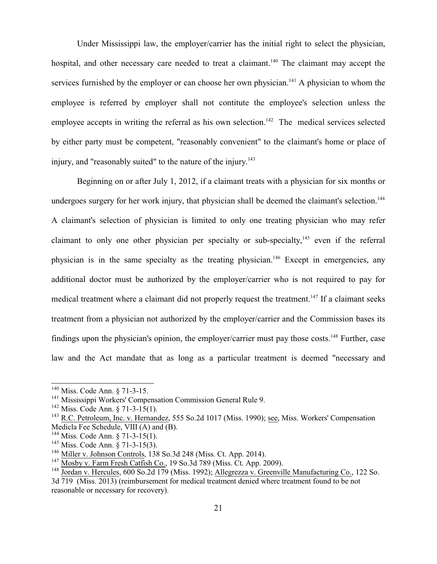Under Mississippi law, the employer/carrier has the initial right to select the physician, hospital, and other necessary care needed to treat a claimant.<sup>140</sup> The claimant may accept the services furnished by the employer or can choose her own physician.<sup>141</sup> A physician to whom the employee is referred by employer shall not contitute the employee's selection unless the employee accepts in writing the referral as his own selection.<sup>142</sup> The medical services selected by either party must be competent, "reasonably convenient" to the claimant's home or place of injury, and "reasonably suited" to the nature of the injury. 143

Beginning on or after July 1, 2012, if a claimant treats with a physician for six months or undergoes surgery for her work injury, that physician shall be deemed the claimant's selection.<sup>144</sup> A claimant's selection of physician is limited to only one treating physician who may refer claimant to only one other physician per specialty or sub-specialty,<sup>145</sup> even if the referral physician is in the same specialty as the treating physician.<sup>146</sup> Except in emergencies, any additional doctor must be authorized by the employer/carrier who is not required to pay for medical treatment where a claimant did not properly request the treatment.<sup>147</sup> If a claimant seeks treatment from a physician not authorized by the employer/carrier and the Commission bases its findings upon the physician's opinion, the employer/carrier must pay those costs.<sup>148</sup> Further, case law and the Act mandate that as long as a particular treatment is deemed "necessary and

<sup>&</sup>lt;sup>140</sup> Miss. Code Ann. § 71-3-15.

<sup>&</sup>lt;sup>141</sup> Mississippi Workers' Compensation Commission General Rule 9.

<sup>&</sup>lt;sup>142</sup> Miss. Code Ann. § 71-3-15(1).

<sup>&</sup>lt;sup>143</sup> R.C. Petroleum, Inc. v. Hernandez, 555 So.2d 1017 (Miss. 1990); <u>see</u>, Miss. Workers' Compensation Medicla Fee Schedule, VIII  $(A)$  and  $(B)$ .

<sup>&</sup>lt;sup>144</sup> Miss. Code Ann. § 71-3-15(1).

<sup>&</sup>lt;sup>145</sup> Miss. Code Ann. § 71-3-15(3).

<sup>&</sup>lt;sup>146</sup> Miller v. Johnson Controls, 138 So.3d 248 (Miss. Ct. App. 2014).

<sup>&</sup>lt;sup>147</sup> Mosby v. Farm Fresh Catfish Co., 19 So.3d 789 (Miss. Ct. App. 2009).

<sup>&</sup>lt;sup>148</sup> Jordan v. Hercules, 600 So.2d 179 (Miss. 1992); Allegrezza v. Greenville Manufacturing Co., 122 So. 3d 719 (Miss. 2013) (reimbursement for medical treatment denied where treatment found to be not reasonable or necessary for recovery).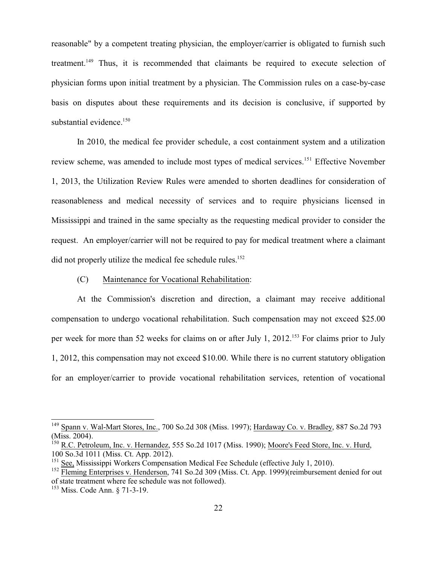reasonable" by a competent treating physician, the employer/carrier is obligated to furnish such treatment.<sup>149</sup> Thus, it is recommended that claimants be required to execute selection of physician forms upon initial treatment by a physician. The Commission rules on a case-by-case basis on disputes about these requirements and its decision is conclusive, if supported by substantial evidence.<sup>150</sup>

In 2010, the medical fee provider schedule, a cost containment system and a utilization review scheme, was amended to include most types of medical services. <sup>151</sup> Effective November 1, 2013, the Utilization Review Rules were amended to shorten deadlines for consideration of reasonableness and medical necessity of services and to require physicians licensed in Mississippi and trained in the same specialty as the requesting medical provider to consider the request. An employer/carrier will not be required to pay for medical treatment where a claimant did not properly utilize the medical fee schedule rules.<sup>152</sup>

#### (C) Maintenance for Vocational Rehabilitation:

At the Commission's discretion and direction, a claimant may receive additional compensation to undergo vocational rehabilitation. Such compensation may not exceed \$25.00 per week for more than 52 weeks for claims on or after July 1, 2012.<sup>153</sup> For claims prior to July 1, 2012, this compensation may not exceed \$10.00. While there is no current statutory obligation for an employer/carrier to provide vocational rehabilitation services, retention of vocational

<sup>&</sup>lt;sup>149</sup> Spann v. Wal-Mart Stores, Inc., 700 So.2d 308 (Miss. 1997); Hardaway Co. v. Bradley, 887 So.2d 793 (Miss. 2004).

<sup>&</sup>lt;sup>150</sup> R.C. Petroleum, Inc. v. Hernandez, 555 So.2d 1017 (Miss. 1990); Moore's Feed Store, Inc. v. Hurd, 100 So.3d 1011 (Miss. Ct. App. 2012).

<sup>&</sup>lt;sup>151</sup> See, Mississippi Workers Compensation Medical Fee Schedule (effective July 1, 2010).

<sup>&</sup>lt;sup>152</sup> Fleming Enterprises v. Henderson, 741 So.2d 309 (Miss. Ct. App. 1999)(reimbursement denied for out of state treatment where fee schedule was not followed).

<sup>&</sup>lt;sup>153</sup> Miss. Code Ann. § 71-3-19.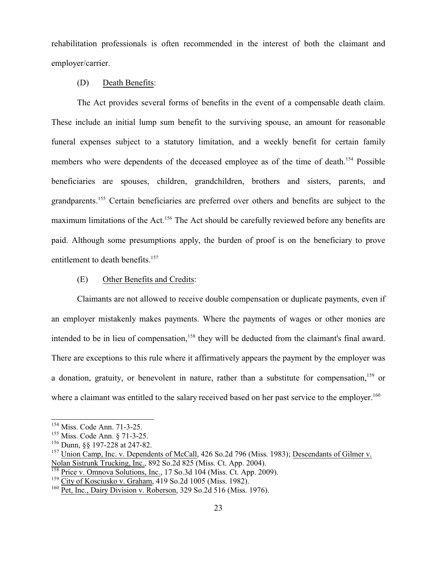rehabilitation professionals is often recommended in the interest of both the claimant and employer/carrier.

#### (D) Death Benefits:

The Act provides several forms of benefits in the event of a compensable death claim. These include an initial lump sum benefit to the surviving spouse, an amount for reasonable funeral expenses subject to a statutory limitation, and a weekly benefit for certain family members who were dependents of the deceased employee as of the time of death.<sup>154</sup> Possible beneficiaries are spouses, children, grandchildren, brothers and sisters, parents, and grandparents.<sup>155</sup> Certain beneficiaries are preferred over others and benefits are subject to the maximum limitations of the Act.<sup>156</sup> The Act should be carefully reviewed before any benefits are paid. Although some presumptions apply, the burden of proof is on the beneficiary to prove entitlement to death benefits.<sup>157</sup>

#### (E) Other Benefits and Credits:

Claimants are not allowed to receive double compensation or duplicate payments, even if an employer mistakenly makes payments. Where the payments of wages or other monies are intended to be in lieu of compensation,<sup>158</sup> they will be deducted from the claimant's final award. There are exceptions to this rule where it affirmatively appears the payment by the employer was a donation, gratuity, or benevolent in nature, rather than a substitute for compensation,<sup>159</sup> or where a claimant was entitled to the salary received based on her past service to the employer.<sup>160</sup>

<sup>154</sup> Miss. Code Ann. 71-3-25.

<sup>155</sup> Miss. Code Ann. § 71-3-25.

<sup>156</sup> Dunn, §§ 197-228 at 247-82.

<sup>&</sup>lt;sup>157</sup> Union Camp, Inc. v. Dependents of McCall, 426 So.2d 796 (Miss. 1983); Descendants of Gilmer v. Nolan Sistrunk Trucking, Inc., 892 So.2d 825 (Miss. Ct. App. 2004).<br><sup>158</sup> Price v. Omnova Solutions, Inc., 17 So.3d 104 (Miss. Ct. App. 2009).

<sup>&</sup>lt;sup>159</sup> City of Kosciusko v. Graham, 419 So.2d 1005 (Miss. 1982).

<sup>&</sup>lt;sup>160</sup> Pet, Inc., Dairy Division v. Roberson, 329 So.2d 516 (Miss. 1976).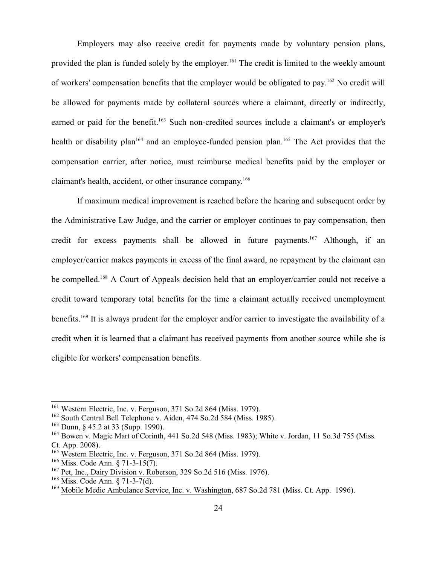Employers may also receive credit for payments made by voluntary pension plans, provided the plan is funded solely by the employer.<sup>161</sup> The credit is limited to the weekly amount of workers' compensation benefits that the employer would be obligated to pay.<sup>162</sup> No credit will be allowed for payments made by collateral sources where a claimant, directly or indirectly, earned or paid for the benefit.<sup>163</sup> Such non-credited sources include a claimant's or employer's health or disability plan<sup>164</sup> and an employee-funded pension plan.<sup>165</sup> The Act provides that the compensation carrier, after notice, must reimburse medical benefits paid by the employer or claimant's health, accident, or other insurance company. 166

If maximum medical improvement is reached before the hearing and subsequent order by the Administrative Law Judge, and the carrier or employer continues to pay compensation, then credit for excess payments shall be allowed in future payments.<sup>167</sup> Although, if an employer/carrier makes payments in excess of the final award, no repayment by the claimant can be compelled.<sup>168</sup> A Court of Appeals decision held that an employer/carrier could not receive a credit toward temporary total benefits for the time a claimant actually received unemployment benefits.<sup>169</sup> It is always prudent for the employer and/or carrier to investigate the availability of a credit when it is learned that a claimant has received payments from another source while she is eligible for workers' compensation benefits.

<sup>&</sup>lt;sup>161</sup> Western Electric, Inc. v. Ferguson, 371 So.2d 864 (Miss. 1979).

<sup>&</sup>lt;sup>162</sup> South Central Bell Telephone v. Aiden, 474 So.2d 584 (Miss. 1985).

<sup>&</sup>lt;sup>163</sup> Dunn, § 45.2 at 33 (Supp. 1990).

<sup>&</sup>lt;sup>164</sup> Bowen v. Magic Mart of Corinth, 441 So.2d 548 (Miss. 1983); White v. Jordan, 11 So.3d 755 (Miss. Ct. App. 2008).

<sup>&</sup>lt;sup>165</sup> Western Electric, Inc. v. Ferguson, 371 So.2d 864 (Miss. 1979).

<sup>166</sup> Miss. Code Ann. § 71-3-15(7).

<sup>&</sup>lt;sup>167</sup> Pet, Inc., Dairy Division v. Roberson, 329 So.2d 516 (Miss. 1976).

<sup>168</sup> Miss. Code Ann. § 71-3-7(d).

<sup>&</sup>lt;sup>169</sup> Mobile Medic Ambulance Service, Inc. v. Washington, 687 So.2d 781 (Miss. Ct. App. 1996).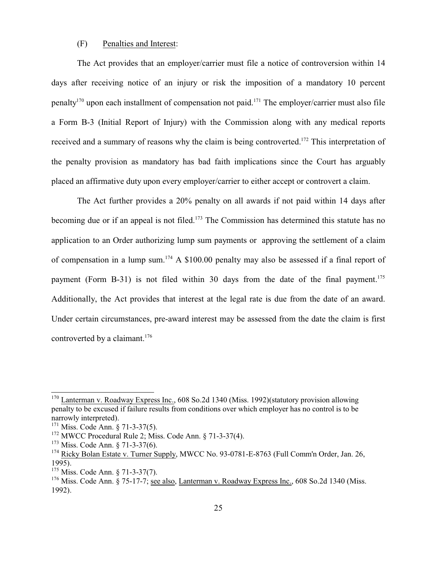#### (F) Penalties and Interest:

The Act provides that an employer/carrier must file a notice of controversion within 14 days after receiving notice of an injury or risk the imposition of a mandatory 10 percent penalty<sup>170</sup> upon each installment of compensation not paid.<sup>171</sup> The employer/carrier must also file a Form B-3 (Initial Report of Injury) with the Commission along with any medical reports received and a summary of reasons why the claim is being controverted.<sup>172</sup> This interpretation of the penalty provision as mandatory has bad faith implications since the Court has arguably placed an affirmative duty upon every employer/carrier to either accept or controvert a claim.

The Act further provides a 20% penalty on all awards if not paid within 14 days after becoming due or if an appeal is not filed.<sup>173</sup> The Commission has determined this statute has no application to an Order authorizing lump sum payments or approving the settlement of a claim of compensation in a lump sum.<sup>174</sup> A \$100.00 penalty may also be assessed if a final report of payment (Form B-31) is not filed within 30 days from the date of the final payment.<sup>175</sup> Additionally, the Act provides that interest at the legal rate is due from the date of an award. Under certain circumstances, pre-award interest may be assessed from the date the claim is first controverted by a claimant.<sup>176</sup>

<sup>&</sup>lt;sup>170</sup> Lanterman v. Roadway Express Inc., 608 So.2d 1340 (Miss. 1992)(statutory provision allowing penalty to be excused if failure results from conditions over which employer has no control is to be narrowly interpreted).

<sup>&</sup>lt;sup>171</sup> Miss. Code Ann. § 71-3-37(5).

<sup>&</sup>lt;sup>172</sup> MWCC Procedural Rule 2; Miss. Code Ann. § 71-3-37(4).

<sup>&</sup>lt;sup>173</sup> Miss. Code Ann. § 71-3-37(6).

<sup>&</sup>lt;sup>174</sup> Ricky Bolan Estate v. Turner Supply, MWCC No. 93-0781-E-8763 (Full Comm'n Order, Jan. 26, 1995).

<sup>&</sup>lt;sup>175</sup> Miss. Code Ann. § 71-3-37(7).

<sup>&</sup>lt;sup>176</sup> Miss. Code Ann. § 75-17-7; <u>see also, Lanterman v. Roadway Express Inc.</u>, 608 So.2d 1340 (Miss. 1992).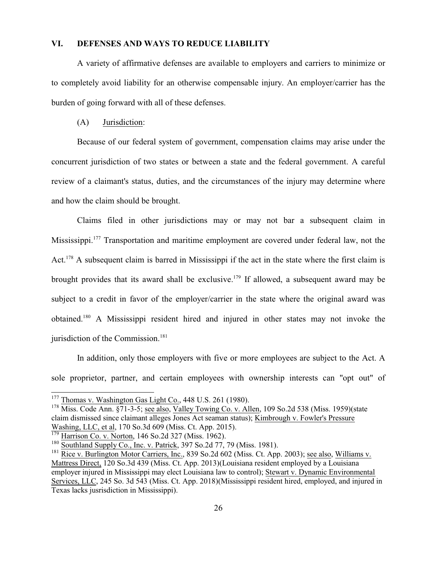#### **VI. DEFENSES AND WAYS TO REDUCE LIABILITY**

A variety of affirmative defenses are available to employers and carriers to minimize or to completely avoid liability for an otherwise compensable injury. An employer/carrier has the burden of going forward with all of these defenses.

#### (A) Jurisdiction:

Because of our federal system of government, compensation claims may arise under the concurrent jurisdiction of two states or between a state and the federal government. A careful review of a claimant's status, duties, and the circumstances of the injury may determine where and how the claim should be brought.

Claims filed in other jurisdictions may or may not bar a subsequent claim in Mississippi.<sup>177</sup> Transportation and maritime employment are covered under federal law, not the Act.<sup>178</sup> A subsequent claim is barred in Mississippi if the act in the state where the first claim is brought provides that its award shall be exclusive.<sup>179</sup> If allowed, a subsequent award may be subject to a credit in favor of the employer/carrier in the state where the original award was obtained.<sup>180</sup> A Mississippi resident hired and injured in other states may not invoke the jurisdiction of the Commission. $181$ 

In addition, only those employers with five or more employees are subject to the Act. A sole proprietor, partner, and certain employees with ownership interests can "opt out" of

<sup>178</sup> Miss. Code Ann. §71-3-5; <u>see also, Valley Towing Co. v. Allen</u>, 109 So.2d 538 (Miss. 1959)(state claim dismissed since claimant alleges Jones Act seaman status); Kimbrough v. Fowler's Pressure Washing, LLC, et al, 170 So.3d 609 (Miss. Ct. App. 2015).

<sup>&</sup>lt;sup>177</sup> Thomas v. Washington Gas Light Co., 448 U.S. 261 (1980).

<sup>&</sup>lt;sup>179</sup> Harrison Co. v. Norton, 146 So.2d 327 (Miss. 1962).

 $^{180}$  Southland Supply Co., Inc. v. Patrick, 397 So.2d 77, 79 (Miss. 1981).

<sup>&</sup>lt;sup>181</sup> Rice v. Burlington Motor Carriers, Inc., 839 So.2d 602 (Miss. Ct. App. 2003); <u>see also, Williams v.</u> Mattress Direct, 120 So.3d 439 (Miss. Ct. App. 2013)(Louisiana resident employed by a Louisiana employer injured in Mississippi may elect Louisiana law to control); Stewart v. Dynamic Environmental Services, LLC, 245 So. 3d 543 (Miss. Ct. App. 2018)(Mississippi resident hired, employed, and injured in Texas lacks jusrisdiction in Mississippi).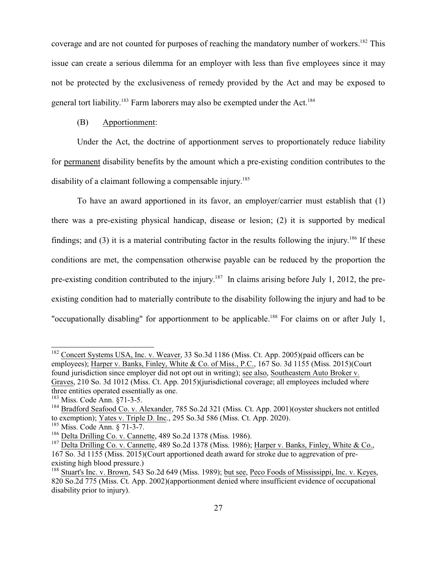coverage and are not counted for purposes of reaching the mandatory number of workers.<sup>182</sup> This issue can create a serious dilemma for an employer with less than five employees since it may not be protected by the exclusiveness of remedy provided by the Act and may be exposed to general tort liability.<sup>183</sup> Farm laborers may also be exempted under the Act.<sup>184</sup>

#### (B) Apportionment:

Under the Act, the doctrine of apportionment serves to proportionately reduce liability for permanent disability benefits by the amount which a pre-existing condition contributes to the disability of a claimant following a compensable injury.<sup>185</sup>

To have an award apportioned in its favor, an employer/carrier must establish that (1) there was a pre-existing physical handicap, disease or lesion; (2) it is supported by medical findings; and  $(3)$  it is a material contributing factor in the results following the injury.<sup>186</sup> If these conditions are met, the compensation otherwise payable can be reduced by the proportion the pre-existing condition contributed to the injury.<sup>187</sup> In claims arising before July 1, 2012, the preexisting condition had to materially contribute to the disability following the injury and had to be "occupationally disabling" for apportionment to be applicable.<sup>188</sup> For claims on or after July 1,

<sup>&</sup>lt;sup>182</sup> Concert Systems USA, Inc. v. Weaver, 33 So.3d 1186 (Miss. Ct. App. 2005)(paid officers can be employees); Harper v. Banks, Finley, White & Co. of Miss., P.C., 167 So. 3d 1155 (Miss. 2015)(Court found jurisdiction since employer did not opt out in writing); see also, Southeastern Auto Broker v. Graves, 210 So. 3d 1012 (Miss. Ct. App. 2015)(jurisdictional coverage; all employees included where three entities operated essentially as one.

<sup>&</sup>lt;sup>183</sup> Miss. Code Ann. §71-3-5.

<sup>&</sup>lt;sup>184</sup> Bradford Seafood Co. v. Alexander, 785 So.2d 321 (Miss. Ct. App. 2001)(oyster shuckers not entitled to exemption); Yates v. Triple D. Inc., 295 So.3d 586 (Miss. Ct. App. 2020).

<sup>185</sup> Miss. Code Ann. § 71-3-7.

<sup>&</sup>lt;sup>186</sup> Delta Drilling Co. v. Cannette, 489 So.2d 1378 (Miss. 1986).

<sup>&</sup>lt;sup>187</sup> Delta Drilling Co. v. Cannette, 489 So.2d 1378 (Miss. 1986); Harper v. Banks, Finley, White & Co., 167 So. 3d 1155 (Miss. 2015)(Court apportioned death award for stroke due to aggrevation of preexisting high blood pressure.)

<sup>&</sup>lt;sup>188</sup> Stuart's Inc. v. Brown, 543 So.2d 649 (Miss. 1989); but see, Peco Foods of Mississippi, Inc. v. Keyes, 820 So.2d 775 (Miss. Ct. App. 2002)(apportionment denied where insufficient evidence of occupational disability prior to injury).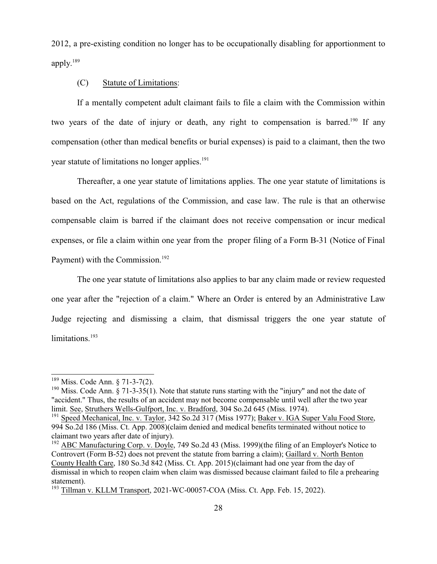2012, a pre-existing condition no longer has to be occupationally disabling for apportionment to apply. 189

#### (C) Statute of Limitations:

If a mentally competent adult claimant fails to file a claim with the Commission within two years of the date of injury or death, any right to compensation is barred.<sup>190</sup> If any compensation (other than medical benefits or burial expenses) is paid to a claimant, then the two year statute of limitations no longer applies.<sup>191</sup>

Thereafter, a one year statute of limitations applies. The one year statute of limitations is based on the Act, regulations of the Commission, and case law. The rule is that an otherwise compensable claim is barred if the claimant does not receive compensation or incur medical expenses, or file a claim within one year from the proper filing of a Form B-31 (Notice of Final Payment) with the Commission.<sup>192</sup>

The one year statute of limitations also applies to bar any claim made or review requested one year after the "rejection of a claim." Where an Order is entered by an Administrative Law Judge rejecting and dismissing a claim, that dismissal triggers the one year statute of limitations.<sup>193</sup>

<sup>&</sup>lt;sup>189</sup> Miss. Code Ann. § 71-3-7(2).

<sup>&</sup>lt;sup>190</sup> Miss. Code Ann. § 71-3-35(1). Note that statute runs starting with the "injury" and not the date of "accident." Thus, the results of an accident may not become compensable until well after the two year limit. See, Struthers Wells-Gulfport, Inc. v. Bradford, 304 So.2d 645 (Miss. 1974).

<sup>&</sup>lt;sup>191</sup> Speed Mechanical, Inc. v. Taylor, 342 So.2d 317 (Miss 1977); Baker v. IGA Super Valu Food Store, 994 So.2d 186 (Miss. Ct. App. 2008)(claim denied and medical benefits terminated without notice to claimant two years after date of injury).

<sup>&</sup>lt;sup>192</sup> ABC Manufacturing Corp. v. Doyle, 749 So.2d 43 (Miss. 1999)(the filing of an Employer's Notice to Controvert (Form B-52) does not prevent the statute from barring a claim); Gaillard v. North Benton County Health Care, 180 So.3d 842 (Miss. Ct. App. 2015)(claimant had one year from the day of dismissal in which to reopen claim when claim was dismissed because claimant failed to file a prehearing statement).

<sup>&</sup>lt;sup>193</sup> Tillman v. KLLM Transport, 2021-WC-00057-COA (Miss. Ct. App. Feb. 15, 2022).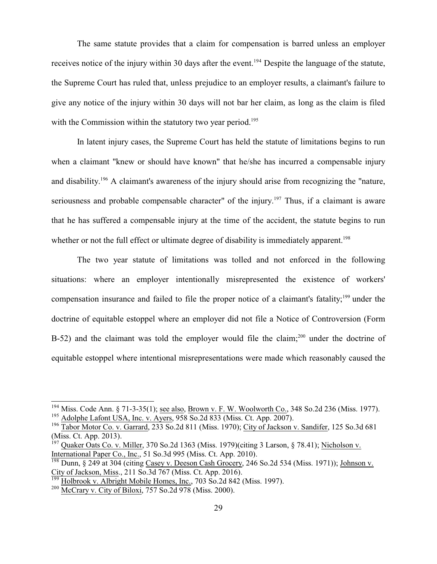The same statute provides that a claim for compensation is barred unless an employer receives notice of the injury within 30 days after the event.<sup>194</sup> Despite the language of the statute, the Supreme Court has ruled that, unless prejudice to an employer results, a claimant's failure to give any notice of the injury within 30 days will not bar her claim, as long as the claim is filed with the Commission within the statutory two year period.<sup>195</sup>

In latent injury cases, the Supreme Court has held the statute of limitations begins to run when a claimant "knew or should have known" that he/she has incurred a compensable injury and disability.<sup>196</sup> A claimant's awareness of the injury should arise from recognizing the "nature, seriousness and probable compensable character" of the injury.<sup>197</sup> Thus, if a claimant is aware that he has suffered a compensable injury at the time of the accident, the statute begins to run whether or not the full effect or ultimate degree of disability is immediately apparent.<sup>198</sup>

The two year statute of limitations was tolled and not enforced in the following situations: where an employer intentionally misrepresented the existence of workers' compensation insurance and failed to file the proper notice of a claimant's fatality;<sup>199</sup> under the doctrine of equitable estoppel where an employer did not file a Notice of Controversion (Form B-52) and the claimant was told the employer would file the claim;<sup>200</sup> under the doctrine of equitable estoppel where intentional misrepresentations were made which reasonably caused the

<sup>&</sup>lt;sup>194</sup> Miss. Code Ann. § 71-3-35(1); <u>see also, Brown v. F. W. Woolworth Co.</u>, 348 So.2d 236 (Miss. 1977). <sup>195</sup> Adolphe Lafont USA, Inc. v. Ayers, 958 So.2d 833 (Miss. Ct. App. 2007).

<sup>&</sup>lt;sup>196</sup> Tabor Motor Co. v. Garrard, 233 So.2d 811 (Miss. 1970); City of Jackson v. Sandifer, 125 So.3d 681 (Miss. Ct. App. 2013).

<sup>&</sup>lt;sup>197</sup> Quaker Oats Co. v. Miller, 370 So.2d 1363 (Miss. 1979)(citing 3 Larson, § 78.41); Nicholson v. International Paper Co., Inc., 51 So.3d 995 (Miss. Ct. App. 2010).<br><sup>198</sup> Dunn, § 249 at 304 (citing <u>Casey v. Deeson Cash Grocery,</u> 246 So.2d 534 (Miss. 1971)); Johnson v.

City of Jackson, Miss., 211 So.3d 767 (Miss. Ct. App. 2016). 199

Holbrook v. Albright Mobile Homes, Inc., 703 So.2d 842 (Miss. 1997).

<sup>&</sup>lt;sup>200</sup> McCrary v. City of Biloxi, 757 So.2d 978 (Miss. 2000).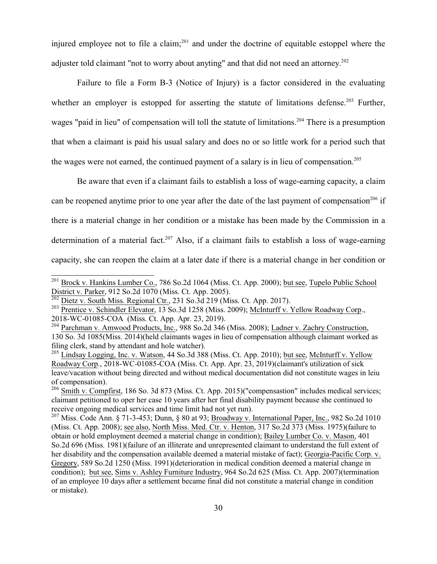injured employee not to file a claim;<sup>201</sup> and under the doctrine of equitable estoppel where the adjuster told claimant "not to worry about anyting" and that did not need an attorney.<sup>202</sup>

Failure to file a Form B-3 (Notice of Injury) is a factor considered in the evaluating whether an employer is estopped for asserting the statute of limitations defense.<sup>203</sup> Further, wages "paid in lieu" of compensation will toll the statute of limitations.<sup>204</sup> There is a presumption that when a claimant is paid his usual salary and does no or so little work for a period such that the wages were not earned, the continued payment of a salary is in lieu of compensation.<sup>205</sup>

Be aware that even if a claimant fails to establish a loss of wage-earning capacity, a claim can be reopened anytime prior to one year after the date of the last payment of compensation<sup>206</sup> if there is a material change in her condition or a mistake has been made by the Commission in a determination of a material fact.<sup>207</sup> Also, if a claimant fails to establish a loss of wage-earning capacity, she can reopen the claim at a later date if there is a material change in her condition or

<sup>&</sup>lt;sup>201</sup> Brock v. Hankins Lumber Co., 786 So.2d 1064 (Miss. Ct. App. 2000); but see, Tupelo Public School District v. Parker, 912 So.2d 1070 (Miss. Ct. App. 2005).<br><sup>202</sup> Dietz v. South Miss. Regional Ctr., 231 So.3d 219 (Miss. Ct. App. 2017).

<sup>&</sup>lt;sup>203</sup> Prentice v. Schindler Elevator, 13 So.3d 1258 (Miss. 2009); McInturff v. Yellow Roadway Corp.,

<sup>2018-</sup>WC-01085-COA (Miss. Ct. App. Apr. 23, 2019).<br><sup>204</sup> Parchman v. Amwood Products, Inc., 988 So.2d 346 (Miss. 2008); <u>Ladner v. Zachry Construction</u>, 130 So. 3d 1085(Miss. 2014)(held claimants wages in lieu of compensation although claimant worked as filing clerk, stand by attendant and hole watcher).

<sup>&</sup>lt;sup>205</sup> Lindsay Logging, Inc. v. Watson, 44 So.3d 388 (Miss. Ct. App. 2010); but see, McInturff v. Yellow Roadway Corp., 2018-WC-01085-COA (Miss. Ct. App. Apr. 23, 2019)(claimant's utilization of sick leave/vacation without being directed and without medical documentation did not constitute wages in leiu of compensation).

<sup>&</sup>lt;sup>206</sup> Smith v. Compfirst, 186 So. 3d 873 (Miss. Ct. App. 2015)("compensastion" includes medical services; claimant petitioned to oper her case 10 years after her final disability payment because she continued to receive ongoing medical services and time limit had not yet run).

<sup>&</sup>lt;sup>207</sup> Miss. Code Ann. § 71-3-453; Dunn, § 80 at 93; <u>Broadway v. International Paper, Inc.</u>, 982 So.2d 1010 (Miss. Ct. App. 2008); see also, North Miss. Med. Ctr. v. Henton, 317 So.2d 373 (Miss. 1975)(failure to obtain or hold employment deemed a material change in condition); Bailey Lumber Co. v. Mason, 401 So.2d 696 (Miss. 1981)(failure of an illiterate and unrepresented claimant to understand the full extent of her disability and the compensation available deemed a material mistake of fact); Georgia-Pacific Corp. v. Gregory, 589 So.2d 1250 (Miss. 1991)(deterioration in medical condition deemed a material change in condition); but see, Sims v. Ashley Furniture Industry, 964 So.2d 625 (Miss. Ct. App. 2007)(termination of an employee 10 days after a settlement became final did not constitute a material change in condition or mistake).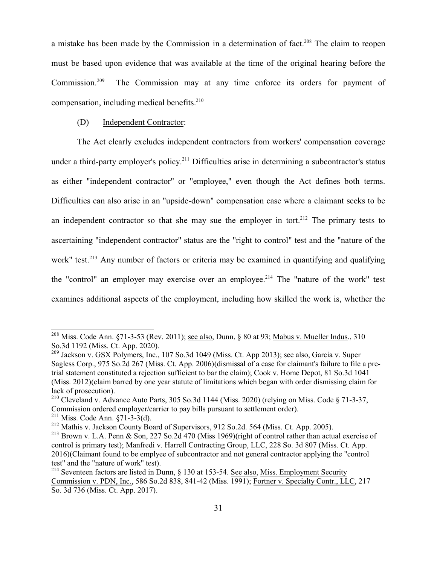a mistake has been made by the Commission in a determination of fact.<sup>208</sup> The claim to reopen must be based upon evidence that was available at the time of the original hearing before the Commission.<sup>209</sup> The Commission may at any time enforce its orders for payment of compensation, including medical benefits.<sup>210</sup>

#### (D) Independent Contractor:

The Act clearly excludes independent contractors from workers' compensation coverage under a third-party employer's policy.<sup>211</sup> Difficulties arise in determining a subcontractor's status as either "independent contractor" or "employee," even though the Act defines both terms. Difficulties can also arise in an "upside-down" compensation case where a claimant seeks to be an independent contractor so that she may sue the employer in tort.<sup>212</sup> The primary tests to ascertaining "independent contractor" status are the "right to control" test and the "nature of the work" test.<sup>213</sup> Any number of factors or criteria may be examined in quantifying and qualifying the "control" an employer may exercise over an employee.<sup>214</sup> The "nature of the work" test examines additional aspects of the employment, including how skilled the work is, whether the

<sup>&</sup>lt;sup>208</sup> Miss. Code Ann. §71-3-53 (Rev. 2011); <u>see also</u>, Dunn, § 80 at 93; <u>Mabus v. Mueller Indus</u>., 310 So.3d 1192 (Miss. Ct. App. 2020).

<sup>&</sup>lt;sup>209</sup> Jackson v. GSX Polymers, Inc., 107 So.3d 1049 (Miss. Ct. App 2013); <u>see also, Garcia v. Super</u> Sagless Corp., 975 So.2d 267 (Miss. Ct. App. 2006)(dismissal of a case for claimant's failure to file a pretrial statement constituted a rejection sufficient to bar the claim); Cook v. Home Depot, 81 So.3d 1041 (Miss. 2012)(claim barred by one year statute of limitations which began with order dismissing claim for lack of prosecution).

<sup>&</sup>lt;sup>210</sup> Cleveland v. Advance Auto Parts, 305 So.3d 1144 (Miss. 2020) (relying on Miss. Code § 71-3-37, Commission ordered employer/carrier to pay bills pursuant to settlement order).

 $2^{11}$  Miss. Code Ann. §71-3-3(d).

<sup>&</sup>lt;sup>212</sup> Mathis v. Jackson County Board of Supervisors, 912 So.2d. 564 (Miss. Ct. App. 2005).

<sup>&</sup>lt;sup>213</sup> Brown v. L.A. Penn & Son, 227 So.2d 470 (Miss 1969)(right of control rather than actual exercise of control is primary test); Manfredi v. Harrell Contracting Group, LLC, 228 So. 3d 807 (Miss. Ct. App. 2016)(Claimant found to be emplyee of subcontractor and not general contractor applying the "control test" and the "nature of work" test).

<sup>&</sup>lt;sup>214</sup> Seventeen factors are listed in Dunn, § 130 at 153-54. <u>See also, Miss. Employment Security</u> Commission v. PDN, Inc., 586 So.2d 838, 841-42 (Miss. 1991); Fortner v. Specialty Contr., LLC, 217 So. 3d 736 (Miss. Ct. App. 2017).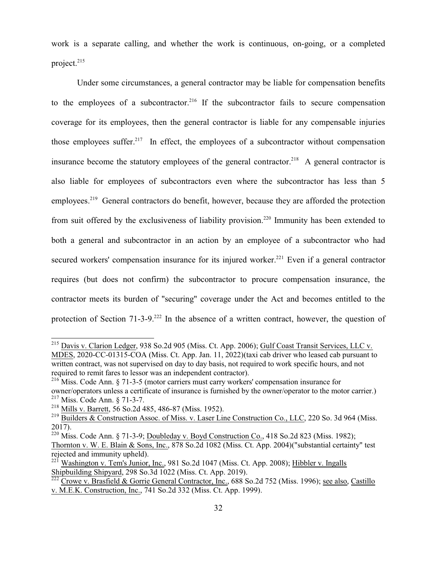work is a separate calling, and whether the work is continuous, on-going, or a completed project.<sup>215</sup>

Under some circumstances, a general contractor may be liable for compensation benefits to the employees of a subcontractor.<sup>216</sup> If the subcontractor fails to secure compensation coverage for its employees, then the general contractor is liable for any compensable injuries those employees suffer.<sup>217</sup> In effect, the employees of a subcontractor without compensation insurance become the statutory employees of the general contractor.<sup>218</sup> A general contractor is also liable for employees of subcontractors even where the subcontractor has less than 5 employees.<sup>219</sup> General contractors do benefit, however, because they are afforded the protection from suit offered by the exclusiveness of liability provision.<sup>220</sup> Immunity has been extended to both a general and subcontractor in an action by an employee of a subcontractor who had secured workers' compensation insurance for its injured worker.<sup>221</sup> Even if a general contractor requires (but does not confirm) the subcontractor to procure compensation insurance, the contractor meets its burden of "securing" coverage under the Act and becomes entitled to the protection of Section 71-3-9.<sup>222</sup> In the absence of a written contract, however, the question of

<sup>&</sup>lt;sup>215</sup> Davis v. Clarion Ledger, 938 So.2d 905 (Miss. Ct. App. 2006); Gulf Coast Transit Services, LLC v. MDES, 2020-CC-01315-COA (Miss. Ct. App. Jan. 11, 2022)(taxi cab driver who leased cab pursuant to written contract, was not supervised on day to day basis, not required to work specific hours, and not required to remit fares to lessor was an independent contractor).

<sup>&</sup>lt;sup>216</sup> Miss. Code Ann. § 71-3-5 (motor carriers must carry workers' compensation insurance for owner/operators unless a certificate of insurance is furnished by the owner/operator to the motor carrier.) 217 Miss. Code Ann. § 71-3-7.

<sup>&</sup>lt;sup>218</sup> Mills v. Barrett, 56 So.2d 485, 486-87 (Miss. 1952).

<sup>&</sup>lt;sup>219</sup> Builders & Construction Assoc. of Miss. v. Laser Line Construction Co., LLC, 220 So. 3d 964 (Miss. 2017).

<sup>&</sup>lt;sup>220</sup> Miss. Code Ann. § 71-3-9; <u>Doubleday v. Boyd Construction Co.</u>, 418 So.2d 823 (Miss. 1982); Thornton v. W. E. Blain & Sons, Inc., 878 So.2d 1082 (Miss. Ct. App. 2004)("substantial certainty" test rejected and immunity upheld).

<sup>&</sup>lt;sup>221</sup> Washington v. Tem's Junior, Inc., 981 So.2d 1047 (Miss. Ct. App. 2008); Hibbler v. Ingalls Shipbuilding Shipyard, 298 So.3d 1022 (Miss. Ct. App. 2019).

<sup>&</sup>lt;sup>222</sup> Crowe v. Brasfield & Gorrie General Contractor, Inc., 688 So.2d 752 (Miss. 1996); <u>see also, Castillo</u> v. M.E.K. Construction, Inc., 741 So.2d 332 (Miss. Ct. App. 1999).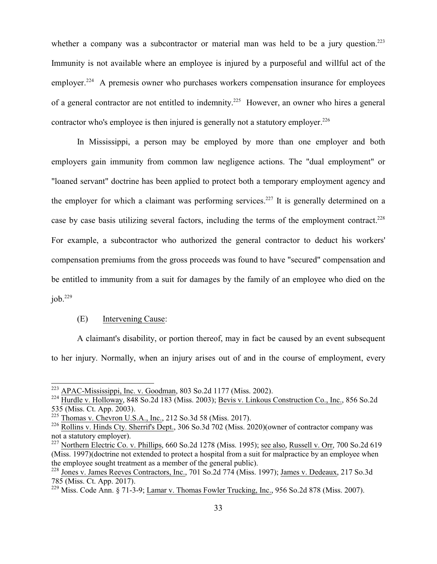whether a company was a subcontractor or material man was held to be a jury question.<sup>223</sup> Immunity is not available where an employee is injured by a purposeful and willful act of the employer.<sup>224</sup> A premesis owner who purchases workers compensation insurance for employees of a general contractor are not entitled to indemnity.<sup>225</sup> However, an owner who hires a general contractor who's employee is then injured is generally not a statutory employer.<sup>226</sup>

In Mississippi, a person may be employed by more than one employer and both employers gain immunity from common law negligence actions. The "dual employment" or "loaned servant" doctrine has been applied to protect both a temporary employment agency and the employer for which a claimant was performing services.<sup>227</sup> It is generally determined on a case by case basis utilizing several factors, including the terms of the employment contract.<sup>228</sup> For example, a subcontractor who authorized the general contractor to deduct his workers' compensation premiums from the gross proceeds was found to have "secured" compensation and be entitled to immunity from a suit for damages by the family of an employee who died on the  $i$ ob.<sup>229</sup>

#### (E) Intervening Cause:

A claimant's disability, or portion thereof, may in fact be caused by an event subsequent to her injury. Normally, when an injury arises out of and in the course of employment, every

<sup>&</sup>lt;sup>223</sup> APAC-Mississippi, Inc. v. Goodman, 803 So.2d 1177 (Miss. 2002).

<sup>&</sup>lt;sup>224</sup> Hurdle v. Holloway, 848 So.2d 183 (Miss. 2003); <u>Bevis v. Linkous Construction Co., Inc.</u>, 856 So.2d 535 (Miss. Ct. App. 2003).

<sup>&</sup>lt;sup>225</sup> Thomas v. Chevron U.S.A., Inc., 212 So.3d 58 (Miss. 2017).

<sup>&</sup>lt;sup>226</sup> Rollins v. Hinds Cty. Sherrif's Dept., 306 So.3d 702 (Miss. 2020)(owner of contractor company was not a statutory employer).

<sup>&</sup>lt;sup>227</sup> Northern Electric Co. v. Phillips, 660 So.2d 1278 (Miss. 1995); <u>see also, Russell v. Orr</u>, 700 So.2d 619 (Miss. 1997)(doctrine not extended to protect a hospital from a suit for malpractice by an employee when the employee sought treatment as a member of the general public).

<sup>&</sup>lt;sup>228</sup> Jones v. James Reeves Contractors, Inc., 701 So.2d 774 (Miss. 1997); James v. Dedeaux, 217 So.3d 785 (Miss. Ct. App. 2017).

<sup>&</sup>lt;sup>229</sup> Miss. Code Ann. § 71-3-9; Lamar v. Thomas Fowler Trucking, Inc., 956 So.2d 878 (Miss. 2007).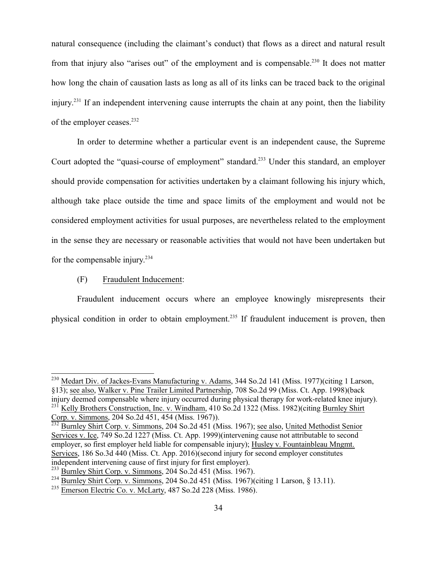natural consequence (including the claimant's conduct) that flows as a direct and natural result from that injury also "arises out" of the employment and is compensable.<sup>230</sup> It does not matter how long the chain of causation lasts as long as all of its links can be traced back to the original injury.<sup>231</sup> If an independent intervening cause interrupts the chain at any point, then the liability of the employer ceases.<sup>232</sup>

In order to determine whether a particular event is an independent cause, the Supreme Court adopted the "quasi-course of employment" standard.<sup>233</sup> Under this standard, an employer should provide compensation for activities undertaken by a claimant following his injury which, although take place outside the time and space limits of the employment and would not be considered employment activities for usual purposes, are nevertheless related to the employment in the sense they are necessary or reasonable activities that would not have been undertaken but for the compensable injury. 234

## (F) Fraudulent Inducement:

Fraudulent inducement occurs where an employee knowingly misrepresents their physical condition in order to obtain employment.<sup>235</sup> If fraudulent inducement is proven, then

<sup>&</sup>lt;sup>230</sup> Medart Div. of Jackes-Evans Manufacturing v. Adams, 344 So.2d 141 (Miss. 1977)(citing 1 Larson, §13); see also, Walker v. Pine Trailer Limited Partnership, 708 So.2d 99 (Miss. Ct. App. 1998)(back injury deemed compensable where injury occurred during physical therapy for work-related knee injury). <sup>231</sup> Kelly Brothers Construction, Inc. v. Windham, 410 So.2d 1322 (Miss. 1982)(citing Burnley Shirt

Corp. v. Simmons, 204 So.2d 451, 454 (Miss. 1967)).<br><sup>232</sup> Burnley Shirt Corp. v. Simmons, 204 So.2d 451 (Miss. 1967); <u>see also, United Methodist Senior</u> Services v. Ice, 749 So.2d 1227 (Miss. Ct. App. 1999)(intervening cause not attributable to second employer, so first employer held liable for compensable injury); Husley v. Fountainbleau Mngmt. Services, 186 So.3d 440 (Miss. Ct. App. 2016)(second injury for second employer constitutes independent intervening cause of first injury for first employer).

<sup>&</sup>lt;sup>233</sup> Burnley Shirt Corp. v. Simmons, 204 So.2d 451 (Miss. 1967).

<sup>&</sup>lt;sup>234</sup> Burnley Shirt Corp. v. Simmons, 204 So.2d 451 (Miss. 1967)(citing 1 Larson, § 13.11).

<sup>&</sup>lt;sup>235</sup> Emerson Electric Co. v. McLarty, 487 So.2d 228 (Miss. 1986).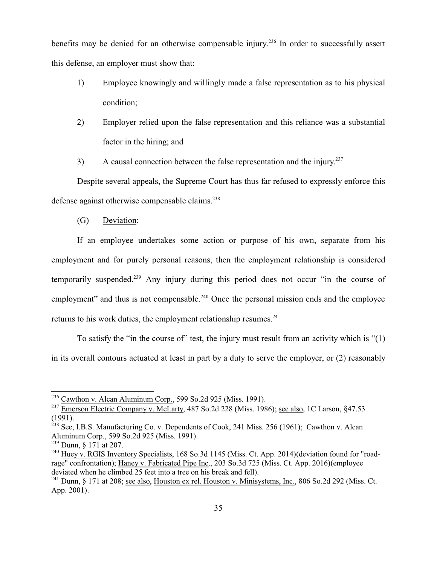benefits may be denied for an otherwise compensable injury.<sup>236</sup> In order to successfully assert this defense, an employer must show that:

- 1) Employee knowingly and willingly made a false representation as to his physical condition;
- 2) Employer relied upon the false representation and this reliance was a substantial factor in the hiring; and
- 3) A causal connection between the false representation and the injury.<sup>237</sup>

Despite several appeals, the Supreme Court has thus far refused to expressly enforce this defense against otherwise compensable claims.<sup>238</sup>

(G) Deviation:

If an employee undertakes some action or purpose of his own, separate from his employment and for purely personal reasons, then the employment relationship is considered temporarily suspended.<sup>239</sup> Any injury during this period does not occur "in the course of employment" and thus is not compensable.<sup>240</sup> Once the personal mission ends and the employee returns to his work duties, the employment relationship resumes. $241$ 

To satisfy the "in the course of" test, the injury must result from an activity which is "(1) in its overall contours actuated at least in part by a duty to serve the employer, or (2) reasonably

<sup>&</sup>lt;sup>236</sup> Cawthon v. Alcan Aluminum Corp., 599 So.2d 925 (Miss. 1991).

<sup>&</sup>lt;sup>237</sup> Emerson Electric Company v. McLarty, 487 So.2d 228 (Miss. 1986); <u>see also</u>, 1C Larson, §47.53

<sup>(1991).&</sup>lt;br><sup>238</sup> See, I.B.S. Manufacturing Co. v. Dependents of Cook, 241 Miss. 256 (1961); Cawthon v. Alcan Aluminum Corp., 599 So.2d 925 (Miss. 1991).<br><sup>239</sup> Dunn, § 171 at 207.

<sup>&</sup>lt;sup>240</sup> Huey v. RGIS Inventory Specialists, 168 So.3d 1145 (Miss. Ct. App. 2014) (deviation found for "roadrage" confrontation); Haney v. Fabricated Pipe Inc., 203 So.3d 725 (Miss. Ct. App. 2016)(employee deviated when he climbed 25 feet into a tree on his break and fell).

 $^{241}$  Dunn, § 171 at 208; <u>see also, Houston ex rel. Houston v. Minisystems, Inc.</u>, 806 So.2d 292 (Miss. Ct. App. 2001).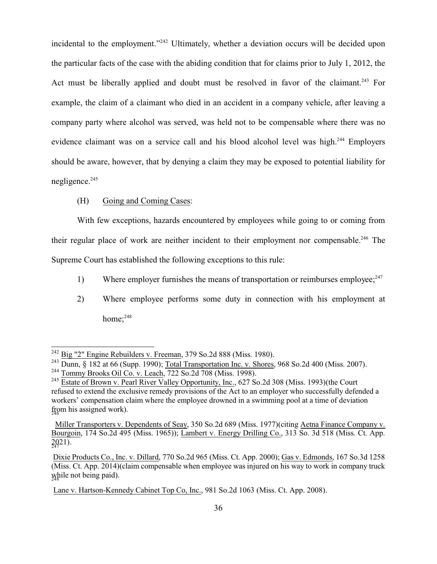incidental to the employment."<sup>242</sup> Ultimately, whether a deviation occurs will be decided upon the particular facts of the case with the abiding condition that for claims prior to July 1, 2012, the Act must be liberally applied and doubt must be resolved in favor of the claimant.<sup>243</sup> For example, the claim of a claimant who died in an accident in a company vehicle, after leaving a company party where alcohol was served, was held not to be compensable where there was no evidence claimant was on a service call and his blood alcohol level was high.<sup>244</sup> Employers should be aware, however, that by denying a claim they may be exposed to potential liability for negligence.<sup>245</sup>

#### (H) Going and Coming Cases:

With few exceptions, hazards encountered by employees while going to or coming from their regular place of work are neither incident to their employment nor compensable.<sup>246</sup> The Supreme Court has established the following exceptions to this rule:

- 1) Where employer furnishes the means of transportation or reimburses employee; $^{247}$
- 2) Where employee performs some duty in connection with his employment at home:<sup>248</sup>

 $^{242}$  Big "2" Engine Rebuilders v. Freeman, 379 So.2d 888 (Miss. 1980).

<sup>&</sup>lt;sup>243</sup> Dunn, § 182 at 66 (Supp. 1990); Total Transportation Inc. v. Shores, 968 So.2d 400 (Miss. 2007).

<sup>&</sup>lt;sup>244</sup> Tommy Brooks Oil Co. v. Leach, 722 So.2d 708 (Miss. 1998).

<sup>&</sup>lt;sup>245</sup> Estate of Brown v. Pearl River Valley Opportunity, Inc., 627 So.2d 308 (Miss. 1993)(the Court refused to extend the exclusive remedy provisions of the Act to an employer who successfully defended a workers' compensation claim where the employee drowned in a swimming pool at a time of deviation from his assigned work).

Miller Transporters v. Dependents of Seay, 350 So.2d 689 (Miss. 1977)(citing Aetna Finance Company v. Bourgoin, 174 So.2d 495 (Miss. 1965)); Lambert v. Energy Drilling Co., 313 So. 3d 518 (Miss. Ct. App. 2021). 247

Dixie Products Co., Inc. v. Dillard, 770 So.2d 965 (Miss. Ct. App. 2000); Gas v. Edmonds, 167 So.3d 1258 (Miss. Ct. App. 2014)(claim compensable when employee was injured on his way to work in company truck while not being paid). 248

Lane v. Hartson-Kennedy Cabinet Top Co, Inc., 981 So.2d 1063 (Miss. Ct. App. 2008).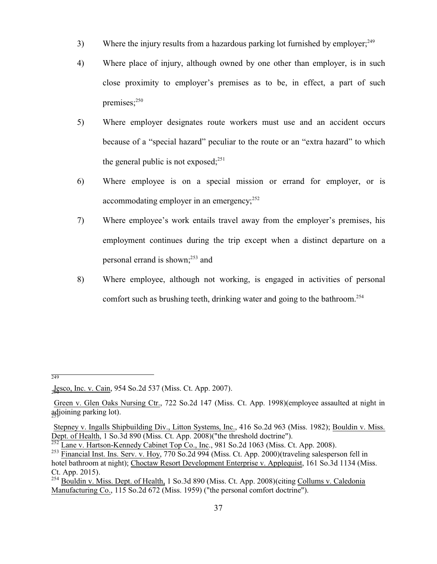- 3) Where the injury results from a hazardous parking lot furnished by employer;<sup>249</sup>
- 4) Where place of injury, although owned by one other than employer, is in such close proximity to employer's premises as to be, in effect, a part of such premises; $250$
- 5) Where employer designates route workers must use and an accident occurs because of a "special hazard" peculiar to the route or an "extra hazard" to which the general public is not exposed; $251$
- 6) Where employee is on a special mission or errand for employer, or is accommodating employer in an emergency;<sup>252</sup>
- 7) Where employee's work entails travel away from the employer's premises, his employment continues during the trip except when a distinct departure on a personal errand is shown;<sup>253</sup> and
- 8) Where employee, although not working, is engaged in activities of personal comfort such as brushing teeth, drinking water and going to the bathroom.<sup>254</sup>

249

Jesco, Inc. v. Cain, 954 So.2d 537 (Miss. Ct. App. 2007).

Green v. Glen Oaks Nursing Ctr., 722 So.2d 147 (Miss. Ct. App. 1998)(employee assaulted at night in adjoining parking lot). 251

Stepney v. Ingalls Shipbuilding Div., Litton Systems, Inc., 416 So.2d 963 (Miss. 1982); Bouldin v. Miss.

Dept. of Health, 1 So.3d 890 (Miss. Ct. App. 2008)("the threshold doctrine").<br><sup>252</sup> Lane v. Hartson-Kennedy Cabinet Top Co., Inc., 981 So.2d 1063 (Miss. Ct. App. 2008).

<sup>&</sup>lt;sup>253</sup> Financial Inst. Ins. Serv. v. Hoy, 770 So.2d 994 (Miss. Ct. App. 2000)(traveling salesperson fell in hotel bathroom at night); Choctaw Resort Development Enterprise v. Applequist, 161 So.3d 1134 (Miss. Ct. App. 2015).

<sup>&</sup>lt;sup>254</sup> Bouldin v. Miss. Dept. of Health, 1 So.3d 890 (Miss. Ct. App. 2008)(citing Collums v. Caledonia Manufacturing Co., 115 So.2d 672 (Miss. 1959) ("the personal comfort doctrine").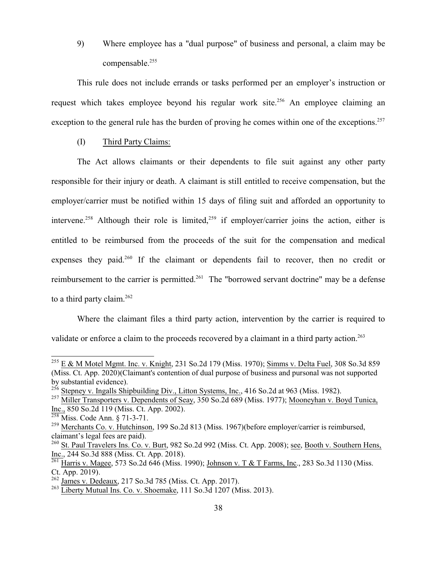9) Where employee has a "dual purpose" of business and personal, a claim may be compensable.<sup>255</sup>

This rule does not include errands or tasks performed per an employer's instruction or request which takes employee beyond his regular work site.<sup>256</sup> An employee claiming an exception to the general rule has the burden of proving he comes within one of the exceptions.<sup>257</sup>

(I) Third Party Claims:

The Act allows claimants or their dependents to file suit against any other party responsible for their injury or death. A claimant is still entitled to receive compensation, but the employer/carrier must be notified within 15 days of filing suit and afforded an opportunity to intervene.<sup>258</sup> Although their role is limited,<sup>259</sup> if employer/carrier joins the action, either is entitled to be reimbursed from the proceeds of the suit for the compensation and medical expenses they paid.<sup>260</sup> If the claimant or dependents fail to recover, then no credit or reimbursement to the carrier is permitted.<sup>261</sup> The "borrowed servant doctrine" may be a defense to a third party claim. $262$ 

Where the claimant files a third party action, intervention by the carrier is required to validate or enforce a claim to the proceeds recovered by a claimant in a third party action.<sup>263</sup>

<sup>258</sup> Miss. Code Ann. § 71-3-71.

 $^{255}$  E & M Motel Mgmt. Inc. v. Knight, 231 So.2d 179 (Miss. 1970); Simms v. Delta Fuel, 308 So.3d 859 (Miss. Ct. App. 2020)(Claimant's contention of dual purpose of business and pursonal was not supported by substantial evidence).

<sup>&</sup>lt;sup>256</sup> Stepney v. Ingalls Shipbuilding Div., Litton Systems, Inc., 416 So.2d at 963 (Miss. 1982).

<sup>&</sup>lt;sup>257</sup> Miller Transporters v. Dependents of Seay, 350 So.2d 689 (Miss. 1977); Mooneyhan v. Boyd Tunica, Inc., 850 So.2d 119 (Miss. Ct. App. 2002).

<sup>&</sup>lt;sup>259</sup> Merchants Co. v. Hutchinson, 199 So.2d 813 (Miss. 1967)(before employer/carrier is reimbursed, claimant's legal fees are paid).

<sup>&</sup>lt;sup>260</sup> St. Paul Travelers Ins. Co. v. Burt, 982 So.2d 992 (Miss. Ct. App. 2008); <u>see, Booth v. Southern Hens</u>, Inc., 244 So.3d 888 (Miss. Ct. App. 2018).<br><sup>261</sup> Harris v. Magee, 573 So.2d 646 (Miss. 1990); <u>Johnson v. T & T Farms, Inc</u>., 283 So.3d 1130 (Miss.

Ct. App. 2019).

<sup>&</sup>lt;sup>262</sup> James v. Dedeaux, 217 So.3d 785 (Miss. Ct. App. 2017).

<sup>&</sup>lt;sup>263</sup> Liberty Mutual Ins. Co. v. Shoemake, 111 So.3d 1207 (Miss. 2013).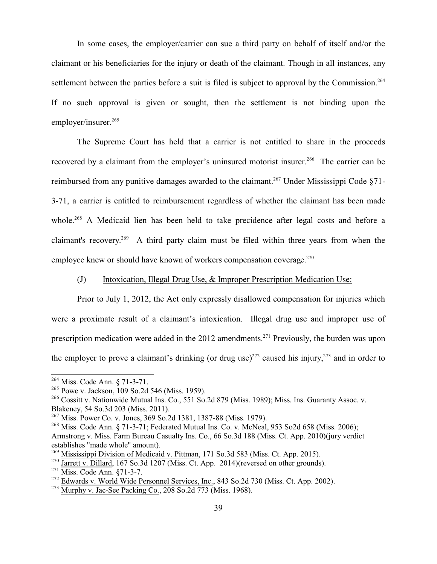In some cases, the employer/carrier can sue a third party on behalf of itself and/or the claimant or his beneficiaries for the injury or death of the claimant. Though in all instances, any settlement between the parties before a suit is filed is subject to approval by the Commission.<sup>264</sup> If no such approval is given or sought, then the settlement is not binding upon the employer/insurer.<sup>265</sup>

The Supreme Court has held that a carrier is not entitled to share in the proceeds recovered by a claimant from the employer's uninsured motorist insurer.<sup>266</sup> The carrier can be reimbursed from any punitive damages awarded to the claimant.<sup>267</sup> Under Mississippi Code  $§71-$ 3-71, a carrier is entitled to reimbursement regardless of whether the claimant has been made whole.<sup>268</sup> A Medicaid lien has been held to take precidence after legal costs and before a claimant's recovery.<sup>269</sup> A third party claim must be filed within three years from when the employee knew or should have known of workers compensation coverage. $270$ 

#### (J) Intoxication, Illegal Drug Use, & Improper Prescription Medication Use:

Prior to July 1, 2012, the Act only expressly disallowed compensation for injuries which were a proximate result of a claimant's intoxication. Illegal drug use and improper use of prescription medication were added in the 2012 amendments.<sup>271</sup> Previously, the burden was upon the employer to prove a claimant's drinking (or drug use)<sup>272</sup> caused his injury,<sup>273</sup> and in order to

<sup>&</sup>lt;sup>264</sup> Miss. Code Ann. § 71-3-71.

<sup>&</sup>lt;sup>265</sup> <u>Powe v. Jackson</u>, 109 So.2d 546 (Miss. 1959).

<sup>&</sup>lt;sup>266</sup> Cossitt v. Nationwide Mutual Ins. Co., 551 So.2d 879 (Miss. 1989); Miss. Ins. Guaranty Assoc. v. Blakeney, 54 So.3d 203 (Miss. 2011).

<sup>&</sup>lt;sup>267</sup> Miss. Power Co. v. Jones, 369 So.2d 1381, 1387-88 (Miss. 1979).

<sup>&</sup>lt;sup>268</sup> Miss. Code Ann. § 71-3-71; Federated Mutual Ins. Co. v. McNeal, 953 So2d 658 (Miss. 2006); Armstrong v. Miss. Farm Bureau Casualty Ins. Co., 66 So.3d 188 (Miss. Ct. App. 2010)(jury verdict establishes "made whole" amount).<br><sup>269</sup> Mississippi Division of Medicaid v. Pittman, 171 So.3d 583 (Miss. Ct. App. 2015).

<sup>&</sup>lt;sup>270</sup> Jarrett v. Dillard, 167 So.3d 1207 (Miss. Ct. App. 2014)(reversed on other grounds).

<sup>&</sup>lt;sup>271</sup> Miss. Code Ann. §71-3-7.

<sup>&</sup>lt;sup>272</sup> Edwards v. World Wide Personnel Services, Inc., 843 So.2d 730 (Miss. Ct. App. 2002).

 $^{273}$  Murphy v. Jac-See Packing Co., 208 So.2d 773 (Miss. 1968).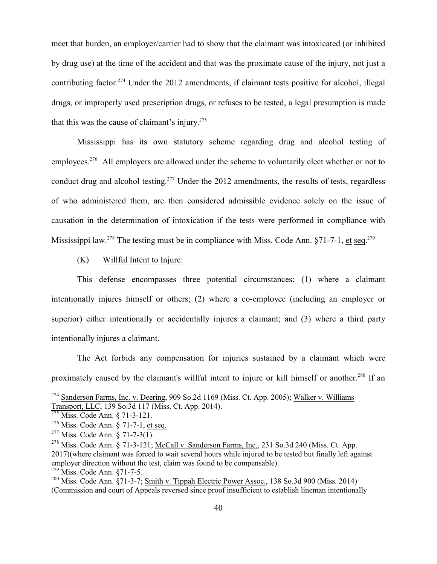meet that burden, an employer/carrier had to show that the claimant was intoxicated (or inhibited by drug use) at the time of the accident and that was the proximate cause of the injury, not just a contributing factor.<sup>274</sup> Under the 2012 amendments, if claimant tests positive for alcohol, illegal drugs, or improperly used prescription drugs, or refuses to be tested, a legal presumption is made that this was the cause of claimant's injury. 275

Mississippi has its own statutory scheme regarding drug and alcohol testing of employees.<sup>276</sup> All employers are allowed under the scheme to voluntarily elect whether or not to conduct drug and alcohol testing.<sup>277</sup> Under the 2012 amendments, the results of tests, regardless of who administered them, are then considered admissible evidence solely on the issue of causation in the determination of intoxication if the tests were performed in compliance with Mississippi law.<sup>278</sup> The testing must be in compliance with Miss. Code Ann. §71-7-1, et seq.<sup>279</sup>

#### (K) Willful Intent to Injure:

This defense encompasses three potential circumstances: (1) where a claimant intentionally injures himself or others; (2) where a co-employee (including an employer or superior) either intentionally or accidentally injures a claimant; and (3) where a third party intentionally injures a claimant.

The Act forbids any compensation for injuries sustained by a claimant which were proximately caused by the claimant's willful intent to injure or kill himself or another.<sup>280</sup> If an

<sup>&</sup>lt;sup>274</sup> Sanderson Farms, Inc. v. Deering, 909 So.2d 1169 (Miss. Ct. App. 2005); Walker v. Williams Transport, LLC, 139 So.3d 117 (Miss. Ct. App. 2014). 275 Miss. Code Ann. § 71-3-121.

<sup>&</sup>lt;sup>276</sup> Miss. Code Ann. § 71-7-1, <u>et seq.</u>

<sup>&</sup>lt;sup>277</sup> Miss. Code Ann. § 71-7-3(1).

<sup>&</sup>lt;sup>278</sup> Miss. Code Ann. § 71-3-121; <u>McCall v. Sanderson Farms, Inc.</u>, 231 So.3d 240 (Miss. Ct. App. 2017)(where claimant was forced to wait several hours while injured to be tested but finally left against employer direction without the test, claim was found to be compensable).<br><sup>279</sup> Miss. Code Ann. §71-7-5.

<sup>&</sup>lt;sup>280</sup> Miss. Code Ann. §71-3-7; <u>Smith v. Tippah Electric Power Assoc.</u>, 138 So.3d 900 (Miss. 2014) (Commission and court of Appeals reversed since proof insufficient to establish lineman intentionally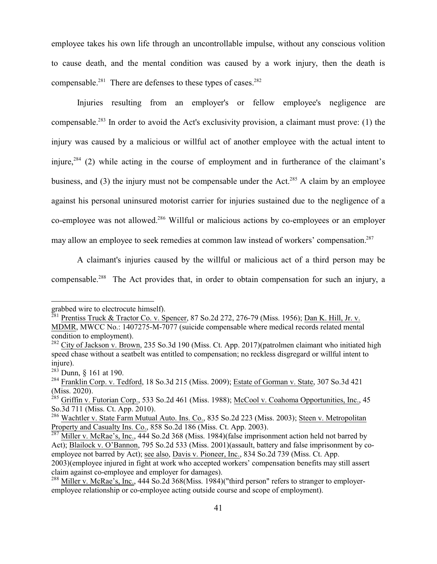employee takes his own life through an uncontrollable impulse, without any conscious volition to cause death, and the mental condition was caused by a work injury, then the death is compensable. $281$  There are defenses to these types of cases. $282$ 

Injuries resulting from an employer's or fellow employee's negligence are compensable.<sup>283</sup> In order to avoid the Act's exclusivity provision, a claimant must prove: (1) the injury was caused by a malicious or willful act of another employee with the actual intent to injure,<sup>284</sup> (2) while acting in the course of employment and in furtherance of the claimant's business, and (3) the injury must not be compensable under the Act.<sup>285</sup> A claim by an employee against his personal uninsured motorist carrier for injuries sustained due to the negligence of a co-employee was not allowed.<sup>286</sup> Willful or malicious actions by co-employees or an employer may allow an employee to seek remedies at common law instead of workers' compensation.<sup>287</sup>

A claimant's injuries caused by the willful or malicious act of a third person may be compensable.<sup>288</sup> The Act provides that, in order to obtain compensation for such an injury, a

grabbed wire to electrocute himself).

<sup>&</sup>lt;sup>281</sup> Prentiss Truck & Tractor Co. v. Spencer, 87 So.2d 272, 276-79 (Miss. 1956); <u>Dan K. Hill, Jr. v.</u> MDMR, MWCC No.: 1407275-M-7077 (suicide compensable where medical records related mental condition to employment).

<sup>&</sup>lt;sup>282</sup> City of Jackson v. Brown, 235 So.3d 190 (Miss. Ct. App. 2017)(patrolmen claimant who initiated high speed chase without a seatbelt was entitled to compensation; no reckless disgregard or willful intent to injure).

<sup>&</sup>lt;sup>283</sup> Dunn, § 161 at 190.

<sup>&</sup>lt;sup>284</sup> Franklin Corp. v. Tedford, 18 So.3d 215 (Miss. 2009); Estate of Gorman v. State, 307 So.3d 421

<sup>(</sup>Miss. 2020).<br><sup>285</sup> Griffin v. Futorian Corp., 533 So.2d 461 (Miss. 1988); <u>McCool v. Coahoma Opportunities, Inc.</u>, 45 So.3d 711 (Miss. Ct. App. 2010).

<sup>&</sup>lt;sup>286</sup> Wachtler v. State Farm Mutual Auto. Ins. Co., 835 So.2d 223 (Miss. 2003); Steen v. Metropolitan Property and Casualty Ins. Co., 858 So.2d 186 (Miss. Ct. App. 2003).

<sup>&</sup>lt;sup>287</sup> Miller v. McRae's, Inc., 444 So.2d 368 (Miss. 1984)(false imprisonment action held not barred by Act); Blailock v. O'Bannon, 795 So.2d 533 (Miss. 2001)(assault, battery and false imprisonment by coemployee not barred by Act); see also, Davis v. Pioneer, Inc., 834 So.2d 739 (Miss. Ct. App. 2003)(employee injured in fight at work who accepted workers' compensation benefits may still assert claim against co-employee and employer for damages).

<sup>&</sup>lt;sup>288</sup> Miller v. McRae's, Inc., 444 So.2d 368(Miss. 1984)("third person" refers to stranger to employeremployee relationship or co-employee acting outside course and scope of employment).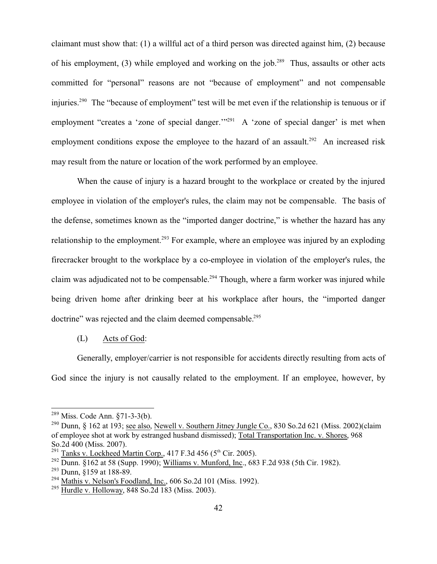claimant must show that: (1) a willful act of a third person was directed against him, (2) because of his employment, (3) while employed and working on the job.<sup>289</sup> Thus, assaults or other acts committed for "personal" reasons are not "because of employment" and not compensable injuries.<sup>290</sup> The "because of employment" test will be met even if the relationship is tenuous or if employment "creates a 'zone of special danger."<sup>291</sup> A 'zone of special danger' is met when employment conditions expose the employee to the hazard of an assault.<sup>292</sup> An increased risk may result from the nature or location of the work performed by an employee.

When the cause of injury is a hazard brought to the workplace or created by the injured employee in violation of the employer's rules, the claim may not be compensable. The basis of the defense, sometimes known as the "imported danger doctrine," is whether the hazard has any relationship to the employment.<sup>293</sup> For example, where an employee was injured by an exploding firecracker brought to the workplace by a co-employee in violation of the employer's rules, the claim was adjudicated not to be compensable.<sup>294</sup> Though, where a farm worker was injured while being driven home after drinking beer at his workplace after hours, the "imported danger doctrine" was rejected and the claim deemed compensable.<sup>295</sup>

#### (L) Acts of God:

Generally, employer/carrier is not responsible for accidents directly resulting from acts of God since the injury is not causally related to the employment. If an employee, however, by

<sup>&</sup>lt;sup>289</sup> Miss. Code Ann. §71-3-3(b).

<sup>&</sup>lt;sup>290</sup> Dunn, § 162 at 193; <u>see also, Newell v. Southern Jitney Jungle Co.</u>, 830 So.2d 621 (Miss. 2002)(claim of employee shot at work by estranged husband dismissed); Total Transportation Inc. v. Shores, 968 So.2d 400 (Miss. 2007).

<sup>&</sup>lt;sup>291</sup> Tanks v. Lockheed Martin Corp., 417 F.3d 456 (5<sup>th</sup> Cir. 2005).

<sup>&</sup>lt;sup>292</sup> Dunn. §162 at 58 (Supp. 1990); Williams v. Munford, Inc., 683 F.2d 938 (5th Cir. 1982).

<sup>&</sup>lt;sup>293</sup> Dunn, §159 at 188-89.

<sup>&</sup>lt;sup>294</sup> Mathis v. Nelson's Foodland, Inc., 606 So.2d 101 (Miss. 1992).

<sup>&</sup>lt;sup>295</sup> Hurdle v. Holloway, 848 So.2d 183 (Miss. 2003).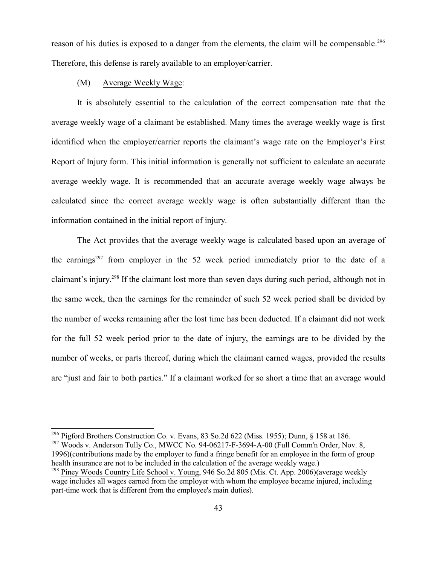reason of his duties is exposed to a danger from the elements, the claim will be compensable.<sup>296</sup> Therefore, this defense is rarely available to an employer/carrier.

#### (M) Average Weekly Wage:

It is absolutely essential to the calculation of the correct compensation rate that the average weekly wage of a claimant be established. Many times the average weekly wage is first identified when the employer/carrier reports the claimant's wage rate on the Employer's First Report of Injury form. This initial information is generally not sufficient to calculate an accurate average weekly wage. It is recommended that an accurate average weekly wage always be calculated since the correct average weekly wage is often substantially different than the information contained in the initial report of injury.

The Act provides that the average weekly wage is calculated based upon an average of the earnings<sup>297</sup> from employer in the 52 week period immediately prior to the date of a claimant's injury.<sup>298</sup> If the claimant lost more than seven days during such period, although not in the same week, then the earnings for the remainder of such 52 week period shall be divided by the number of weeks remaining after the lost time has been deducted. If a claimant did not work for the full 52 week period prior to the date of injury, the earnings are to be divided by the number of weeks, or parts thereof, during which the claimant earned wages, provided the results are "just and fair to both parties." If a claimant worked for so short a time that an average would

<sup>297</sup> Woods v. Anderson Tully Co., MWCC No. 94-06217-F-3694-A-00 (Full Comm'n Order, Nov. 8, 1996)(contributions made by the employer to fund a fringe benefit for an employee in the form of group health insurance are not to be included in the calculation of the average weekly wage.)

<sup>&</sup>lt;sup>296</sup> Pigford Brothers Construction Co. v. Evans, 83 So.2d 622 (Miss. 1955); Dunn, § 158 at 186.

<sup>&</sup>lt;sup>298</sup> Piney Woods Country Life School v. Young, 946 So.2d 805 (Mis. Ct. App. 2006)(average weekly wage includes all wages earned from the employer with whom the employee became injured, including part-time work that is different from the employee's main duties).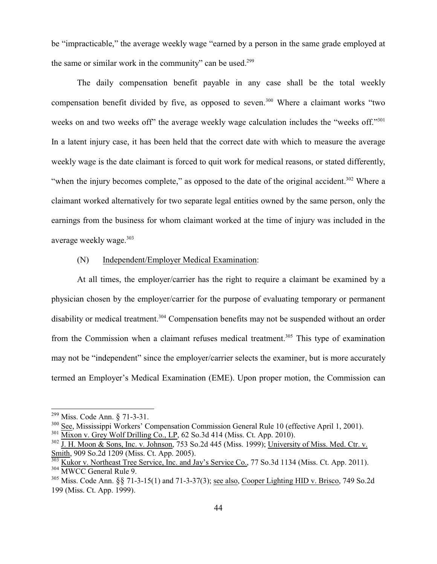be "impracticable," the average weekly wage "earned by a person in the same grade employed at the same or similar work in the community" can be used.<sup>299</sup>

The daily compensation benefit payable in any case shall be the total weekly compensation benefit divided by five, as opposed to seven. <sup>300</sup> Where a claimant works "two weeks on and two weeks off" the average weekly wage calculation includes the "weeks off."<sup>301</sup> In a latent injury case, it has been held that the correct date with which to measure the average weekly wage is the date claimant is forced to quit work for medical reasons, or stated differently, "when the injury becomes complete," as opposed to the date of the original accident.<sup>302</sup> Where a claimant worked alternatively for two separate legal entities owned by the same person, only the earnings from the business for whom claimant worked at the time of injury was included in the average weekly wage.<sup>303</sup>

#### (N) Independent/Employer Medical Examination:

At all times, the employer/carrier has the right to require a claimant be examined by a physician chosen by the employer/carrier for the purpose of evaluating temporary or permanent disability or medical treatment.<sup>304</sup> Compensation benefits may not be suspended without an order from the Commission when a claimant refuses medical treatment.<sup>305</sup> This type of examination may not be "independent" since the employer/carrier selects the examiner, but is more accurately termed an Employer's Medical Examination (EME). Upon proper motion, the Commission can

<sup>&</sup>lt;sup>299</sup> Miss. Code Ann. § 71-3-31.

<sup>&</sup>lt;sup>300</sup> See, Mississippi Workers' Compensation Commission General Rule 10 (effective April 1, 2001).

 $301$  Mixon v. Grey Wolf Drilling Co., LP, 62 So.3d 414 (Miss. Ct. App. 2010).

 $302$  J. H. Moon & Sons, Inc. v. Johnson, 753 So.2d 445 (Miss. 1999); University of Miss. Med. Ctr. v. Smith, 909 So.2d 1209 (Miss. Ct. App. 2005).

<sup>&</sup>lt;sup>303</sup> Kukor v. Northeast Tree Service, Inc. and Jay's Service Co., 77 So.3d 1134 (Miss. Ct. App. 2011). 304 MWCC General Rule 9.

 $305$  Miss. Code Ann. §§ 71-3-15(1) and 71-3-37(3); <u>see also, Cooper Lighting HID v. Brisco</u>, 749 So.2d 199 (Miss. Ct. App. 1999).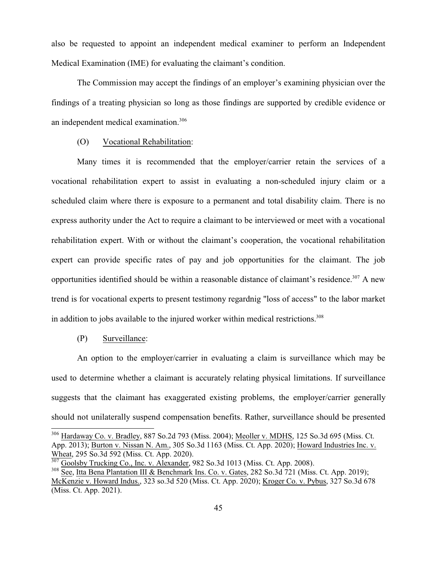also be requested to appoint an independent medical examiner to perform an Independent Medical Examination (IME) for evaluating the claimant's condition.

The Commission may accept the findings of an employer's examining physician over the findings of a treating physician so long as those findings are supported by credible evidence or an independent medical examination.<sup>306</sup>

#### (O) Vocational Rehabilitation:

Many times it is recommended that the employer/carrier retain the services of a vocational rehabilitation expert to assist in evaluating a non-scheduled injury claim or a scheduled claim where there is exposure to a permanent and total disability claim. There is no express authority under the Act to require a claimant to be interviewed or meet with a vocational rehabilitation expert. With or without the claimant's cooperation, the vocational rehabilitation expert can provide specific rates of pay and job opportunities for the claimant. The job opportunities identified should be within a reasonable distance of claimant's residence.<sup>307</sup> A new trend is for vocational experts to present testimony regardnig "loss of access" to the labor market in addition to jobs available to the injured worker within medical restrictions.<sup>308</sup>

#### (P) Surveillance:

An option to the employer/carrier in evaluating a claim is surveillance which may be used to determine whether a claimant is accurately relating physical limitations. If surveillance suggests that the claimant has exaggerated existing problems, the employer/carrier generally should not unilaterally suspend compensation benefits. Rather, surveillance should be presented

<sup>&</sup>lt;sup>306</sup> Hardaway Co. v. Bradley, 887 So.2d 793 (Miss. 2004); Meoller v. MDHS, 125 So.3d 695 (Miss. Ct. App. 2013); Burton v. Nissan N. Am., 305 So.3d 1163 (Miss. Ct. App. 2020); Howard Industries Inc. v. Wheat, 295 So.3d 592 (Miss. Ct. App. 2020). 307

Goolsby Trucking Co., Inc. v. Alexander, 982 So.3d 1013 (Miss. Ct. App. 2008). <sup>308</sup> See, Itta Bena Plantation III & Benchmark Ins. Co. v. Gates, 282 So.3d 721 (Miss. Ct. App. 2019); McKenzie v. Howard Indus., 323 so.3d 520 (Miss. Ct. App. 2020); Kroger Co. v. Pybus, 327 So.3d 678 (Miss. Ct. App. 2021).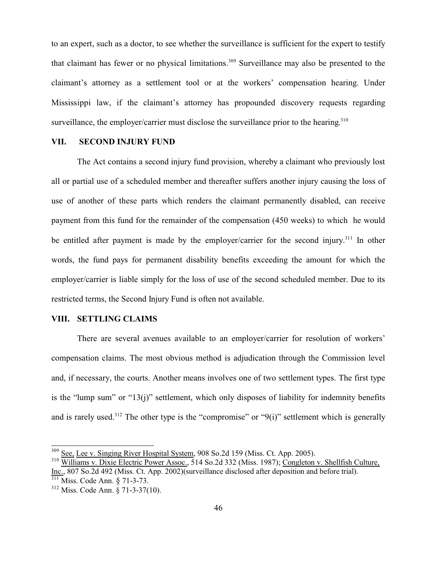to an expert, such as a doctor, to see whether the surveillance is sufficient for the expert to testify that claimant has fewer or no physical limitations.<sup>309</sup> Surveillance may also be presented to the claimant's attorney as a settlement tool or at the workers' compensation hearing. Under Mississippi law, if the claimant's attorney has propounded discovery requests regarding surveillance, the employer/carrier must disclose the surveillance prior to the hearing.<sup>310</sup>

#### **VII. SECOND INJURY FUND**

The Act contains a second injury fund provision, whereby a claimant who previously lost all or partial use of a scheduled member and thereafter suffers another injury causing the loss of use of another of these parts which renders the claimant permanently disabled, can receive payment from this fund for the remainder of the compensation (450 weeks) to which he would be entitled after payment is made by the employer/carrier for the second injury.<sup>311</sup> In other words, the fund pays for permanent disability benefits exceeding the amount for which the employer/carrier is liable simply for the loss of use of the second scheduled member. Due to its restricted terms, the Second Injury Fund is often not available.

## **VIII. SETTLING CLAIMS**

There are several avenues available to an employer/carrier for resolution of workers' compensation claims. The most obvious method is adjudication through the Commission level and, if necessary, the courts. Another means involves one of two settlement types. The first type is the "lump sum" or "13(j)" settlement, which only disposes of liability for indemnity benefits and is rarely used.<sup>312</sup> The other type is the "compromise" or " $9(i)$ " settlement which is generally

<sup>&</sup>lt;sup>309</sup> See, Lee v. Singing River Hospital System, 908 So.2d 159 (Miss. Ct. App. 2005).

<sup>&</sup>lt;sup>310</sup> Williams v. Dixie Electric Power Assoc., 514 So.2d 332 (Miss. 1987); Congleton v. Shellfish Culture, Inc., 807 So.2d 492 (Miss. Ct. App. 2002)(surveillance disclosed after deposition and before trial). 311 Miss. Code Ann. § 71-3-73.

<sup>312</sup> Miss. Code Ann. § 71-3-37(10).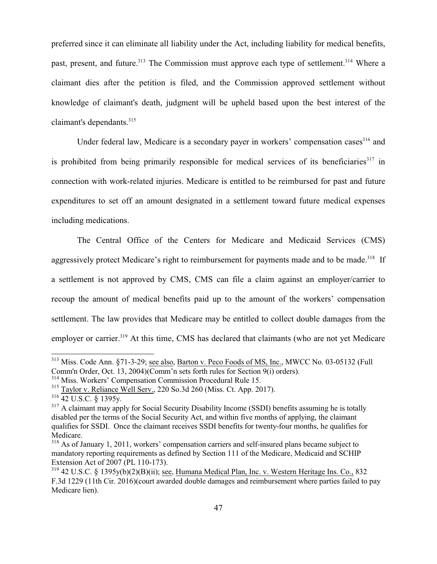preferred since it can eliminate all liability under the Act, including liability for medical benefits, past, present, and future.<sup>313</sup> The Commission must approve each type of settlement.<sup>314</sup> Where a claimant dies after the petition is filed, and the Commission approved settlement without knowledge of claimant's death, judgment will be upheld based upon the best interest of the claimant's dependants.<sup>315</sup>

Under federal law, Medicare is a secondary payer in workers' compensation cases<sup>316</sup> and is prohibited from being primarily responsible for medical services of its beneficiaries<sup>317</sup> in connection with work-related injuries. Medicare is entitled to be reimbursed for past and future expenditures to set off an amount designated in a settlement toward future medical expenses including medications.

The Central Office of the Centers for Medicare and Medicaid Services (CMS) aggressively protect Medicare's right to reimbursement for payments made and to be made.<sup>318</sup> If a settlement is not approved by CMS, CMS can file a claim against an employer/carrier to recoup the amount of medical benefits paid up to the amount of the workers' compensation settlement. The law provides that Medicare may be entitled to collect double damages from the employer or carrier.<sup>319</sup> At this time, CMS has declared that claimants (who are not yet Medicare

<sup>&</sup>lt;sup>313</sup> Miss. Code Ann. §71-3-29; <u>see also, Barton v. Peco Foods of MS, Inc.</u>, MWCC No. 03-05132 (Full Comm'n Order, Oct. 13, 2004)(Comm'n sets forth rules for Section 9(i) orders).

<sup>&</sup>lt;sup>314</sup> Miss. Workers' Compensation Commission Procedural Rule 15.

<sup>&</sup>lt;sup>315</sup> Taylor v. Reliance Well Serv., 220 So.3d 260 (Miss. Ct. App. 2017).

<sup>316</sup> 42 U.S.C. § 1395y.

<sup>&</sup>lt;sup>317</sup> A claimant may apply for Social Security Disability Income (SSDI) benefits assuming he is totally disabled per the terms of the Social Security Act, and within five months of applying, the claimant qualifies for SSDI. Once the claimant receives SSDI benefits for twenty-four months, he qualifies for Medicare.

<sup>&</sup>lt;sup>318</sup> As of January 1, 2011, workers' compensation carriers and self-insured plans became subject to mandatory reporting requirements as defined by Section 111 of the Medicare, Medicaid and SCHIP Extension Act of 2007 (PL 110-173).

<sup>&</sup>lt;sup>319</sup> 42 U.S.C. § 1395y(b)(2)(B)(ii); <u>see</u>, Humana Medical Plan, Inc. v. Western Heritage Ins. Co., 832 F.3d 1229 (11th Cir. 2016)(court awarded double damages and reimbursement where parties failed to pay Medicare lien).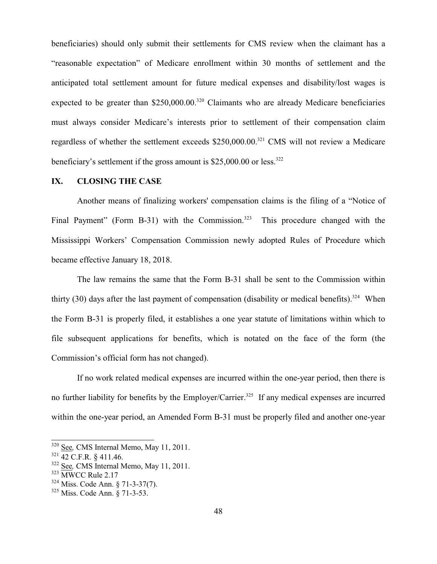beneficiaries) should only submit their settlements for CMS review when the claimant has a "reasonable expectation" of Medicare enrollment within 30 months of settlement and the anticipated total settlement amount for future medical expenses and disability/lost wages is expected to be greater than  $$250,000.00$ <sup>320</sup> Claimants who are already Medicare beneficiaries must always consider Medicare's interests prior to settlement of their compensation claim regardless of whether the settlement exceeds \$250,000.00.<sup>321</sup> CMS will not review a Medicare beneficiary's settlement if the gross amount is  $$25,000.00$  or less.<sup>322</sup>

#### **IX. CLOSING THE CASE**

Another means of finalizing workers' compensation claims is the filing of a "Notice of Final Payment" (Form B-31) with the Commission.<sup>323</sup> This procedure changed with the Mississippi Workers' Compensation Commission newly adopted Rules of Procedure which became effective January 18, 2018.

The law remains the same that the Form B-31 shall be sent to the Commission within thirty (30) days after the last payment of compensation (disability or medical benefits).<sup>324</sup> When the Form B-31 is properly filed, it establishes a one year statute of limitations within which to file subsequent applications for benefits, which is notated on the face of the form (the Commission's official form has not changed).

If no work related medical expenses are incurred within the one-year period, then there is no further liability for benefits by the Employer/Carrier.<sup>325</sup> If any medical expenses are incurred within the one-year period, an Amended Form B-31 must be properly filed and another one-year

<sup>320</sup> See*,* CMS Internal Memo, May 11, 2011.

<sup>&</sup>lt;sup>321</sup> 42 C.F.R. § 411.46.

<sup>322</sup> See*,* CMS Internal Memo, May 11, 2011.

<sup>323</sup> MWCC Rule 2.17

<sup>324</sup> Miss. Code Ann. § 71-3-37(7).

<sup>325</sup> Miss. Code Ann. § 71-3-53.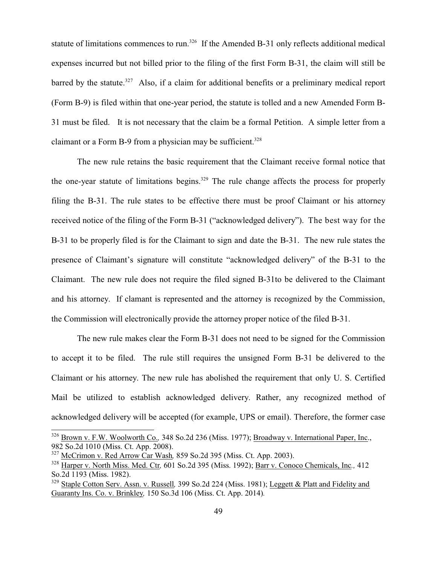statute of limitations commences to run.<sup>326</sup> If the Amended B-31 only reflects additional medical expenses incurred but not billed prior to the filing of the first Form B-31, the claim will still be barred by the statute.<sup>327</sup> Also, if a claim for additional benefits or a preliminary medical report (Form B-9) is filed within that one-year period, the statute is tolled and a new Amended Form B-31 must be filed. It is not necessary that the claim be a formal Petition. A simple letter from a claimant or a Form B-9 from a physician may be sufficient.<sup>328</sup>

The new rule retains the basic requirement that the Claimant receive formal notice that the one-year statute of limitations begins.<sup>329</sup> The rule change affects the process for properly filing the B-31. The rule states to be effective there must be proof Claimant or his attorney received notice of the filing of the Form B-31 ("acknowledged delivery"). The best way for the B-31 to be properly filed is for the Claimant to sign and date the B-31. The new rule states the presence of Claimant's signature will constitute "acknowledged delivery" of the B-31 to the Claimant. The new rule does not require the filed signed B-31to be delivered to the Claimant and his attorney. If clamant is represented and the attorney is recognized by the Commission, the Commission will electronically provide the attorney proper notice of the filed B-31.

The new rule makes clear the Form B-31 does not need to be signed for the Commission to accept it to be filed. The rule still requires the unsigned Form B-31 be delivered to the Claimant or his attorney. The new rule has abolished the requirement that only U. S. Certified Mail be utilized to establish acknowledged delivery. Rather, any recognized method of acknowledged delivery will be accepted (for example, UPS or email). Therefore, the former case

<sup>326</sup> Brown v. F.W. Woolworth Co.*,* 348 So.2d 236 (Miss. 1977); Broadway v. International Paper, Inc., 982 So.2d 1010 (Miss. Ct. App. 2008).

<sup>327</sup> McCrimon v. Red Arrow Car Wash*,* 859 So.2d 395 (Miss. Ct. App. 2003).

<sup>328</sup> Harper v. North Miss. Med. Ctr*,* 601 So.2d 395 (Miss. 1992); Barr v. Conoco Chemicals, Inc*.,* 412 So.2d 1193 (Miss. 1982).

<sup>329</sup> Staple Cotton Serv. Assn. v. Russell*,* 399 So.2d 224 (Miss. 1981); Leggett & Platt and Fidelity and Guaranty Ins. Co. v. Brinkley*,* 150 So.3d 106 (Miss. Ct. App. 2014)*.*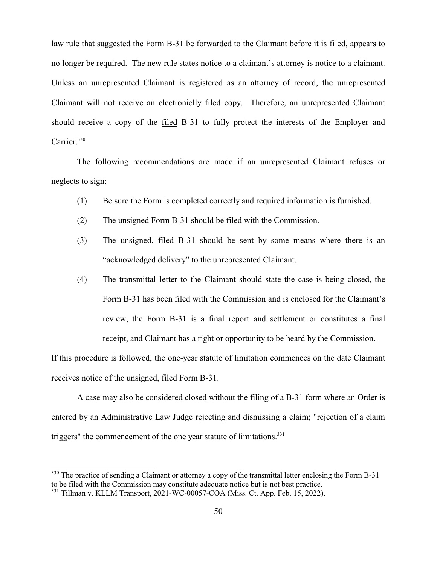law rule that suggested the Form B-31 be forwarded to the Claimant before it is filed, appears to no longer be required. The new rule states notice to a claimant's attorney is notice to a claimant. Unless an unrepresented Claimant is registered as an attorney of record, the unrepresented Claimant will not receive an electroniclly filed copy. Therefore, an unrepresented Claimant should receive a copy of the filed B-31 to fully protect the interests of the Employer and Carrier.<sup>330</sup>

The following recommendations are made if an unrepresented Claimant refuses or neglects to sign:

- (1) Be sure the Form is completed correctly and required information is furnished.
- (2) The unsigned Form B-31 should be filed with the Commission.
- (3) The unsigned, filed B-31 should be sent by some means where there is an "acknowledged delivery" to the unrepresented Claimant.
- (4) The transmittal letter to the Claimant should state the case is being closed, the Form B-31 has been filed with the Commission and is enclosed for the Claimant's review, the Form B-31 is a final report and settlement or constitutes a final receipt, and Claimant has a right or opportunity to be heard by the Commission.

If this procedure is followed, the one-year statute of limitation commences on the date Claimant receives notice of the unsigned, filed Form B-31.

A case may also be considered closed without the filing of a B-31 form where an Order is entered by an Administrative Law Judge rejecting and dismissing a claim; "rejection of a claim triggers" the commencement of the one year statute of limitations.<sup>331</sup>

<sup>&</sup>lt;sup>330</sup> The practice of sending a Claimant or attorney a copy of the transmittal letter enclosing the Form B-31 to be filed with the Commission may constitute adequate notice but is not best practice.<br><sup>331</sup> Tillman v. KLLM Transport, 2021-WC-00057-COA (Miss. Ct. App. Feb. 15, 2022).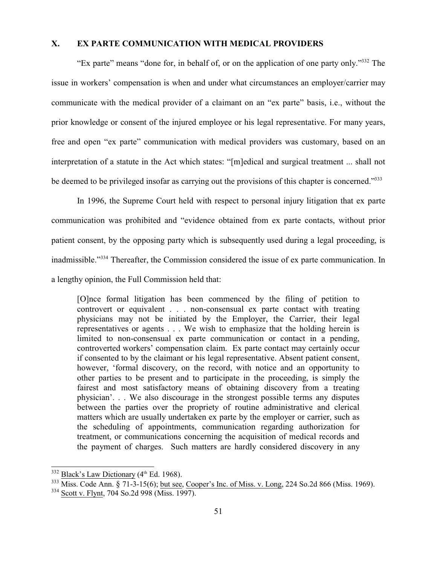## **X. EX PARTE COMMUNICATION WITH MEDICAL PROVIDERS**

"Ex parte" means "done for, in behalf of, or on the application of one party only."<sup>332</sup> The issue in workers' compensation is when and under what circumstances an employer/carrier may communicate with the medical provider of a claimant on an "ex parte" basis, i.e., without the prior knowledge or consent of the injured employee or his legal representative. For many years, free and open "ex parte" communication with medical providers was customary, based on an interpretation of a statute in the Act which states: "[m]edical and surgical treatment ... shall not be deemed to be privileged insofar as carrying out the provisions of this chapter is concerned."<sup>333</sup>

In 1996, the Supreme Court held with respect to personal injury litigation that ex parte communication was prohibited and "evidence obtained from ex parte contacts, without prior patient consent, by the opposing party which is subsequently used during a legal proceeding, is inadmissible."<sup>334</sup> Thereafter, the Commission considered the issue of ex parte communication. In a lengthy opinion, the Full Commission held that:

[O]nce formal litigation has been commenced by the filing of petition to controvert or equivalent . . . non-consensual ex parte contact with treating physicians may not be initiated by the Employer, the Carrier, their legal representatives or agents . . . We wish to emphasize that the holding herein is limited to non-consensual ex parte communication or contact in a pending, controverted workers' compensation claim. Ex parte contact may certainly occur if consented to by the claimant or his legal representative. Absent patient consent, however, 'formal discovery, on the record, with notice and an opportunity to other parties to be present and to participate in the proceeding, is simply the fairest and most satisfactory means of obtaining discovery from a treating physician'. . . We also discourage in the strongest possible terms any disputes between the parties over the propriety of routine administrative and clerical matters which are usually undertaken ex parte by the employer or carrier, such as the scheduling of appointments, communication regarding authorization for treatment, or communications concerning the acquisition of medical records and the payment of charges. Such matters are hardly considered discovery in any

 $332$  Black's Law Dictionary ( $4<sup>th</sup>$  Ed. 1968).

<sup>333</sup> Miss. Code Ann. § 71-3-15(6); but see, Cooper's Inc. of Miss. v. Long, 224 So.2d 866 (Miss. 1969).

<sup>&</sup>lt;sup>334</sup> Scott v. Flynt, 704 So.2d 998 (Miss. 1997).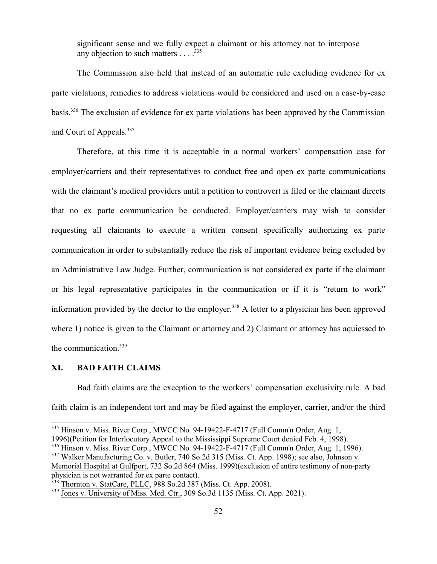significant sense and we fully expect a claimant or his attorney not to interpose any objection to such matters  $\ldots$ <sup>335</sup>

The Commission also held that instead of an automatic rule excluding evidence for ex parte violations, remedies to address violations would be considered and used on a case-by-case basis.<sup>336</sup> The exclusion of evidence for ex parte violations has been approved by the Commission and Court of Appeals.<sup>337</sup>

Therefore, at this time it is acceptable in a normal workers' compensation case for employer/carriers and their representatives to conduct free and open ex parte communications with the claimant's medical providers until a petition to controvert is filed or the claimant directs that no ex parte communication be conducted. Employer/carriers may wish to consider requesting all claimants to execute a written consent specifically authorizing ex parte communication in order to substantially reduce the risk of important evidence being excluded by an Administrative Law Judge. Further, communication is not considered ex parte if the claimant or his legal representative participates in the communication or if it is "return to work" information provided by the doctor to the employer.<sup>338</sup> A letter to a physician has been approved where 1) notice is given to the Claimant or attorney and 2) Claimant or attorney has aquiessed to the communication.<sup>339</sup>

#### **XI. BAD FAITH CLAIMS**

Bad faith claims are the exception to the workers' compensation exclusivity rule. A bad faith claim is an independent tort and may be filed against the employer, carrier, and/or the third

<sup>&</sup>lt;sup>335</sup> Hinson v. Miss. River Corp., MWCC No. 94-19422-F-4717 (Full Comm'n Order, Aug. 1,

<sup>1996)(</sup>Petition for Interlocutory Appeal to the Mississippi Supreme Court denied Feb. 4, 1998).

<sup>&</sup>lt;sup>336</sup> Hinson v. Miss. River Corp., MWCC No. 94-19422-F-4717 (Full Comm'n Order, Aug. 1, 1996).

<sup>337</sup> Walker Manufacturing Co. v. Butler, 740 So.2d 315 (Miss. Ct. App. 1998); see also, Johnson v. Memorial Hospital at Gulfport, 732 So.2d 864 (Miss. 1999)(exclusion of entire testimony of non-party physician is not warranted for ex parte contact).<br><sup>338</sup> Thornton v. StatCare, PLLC, 988 So.2d 387 (Miss. Ct. App. 2008).

<sup>&</sup>lt;sup>339</sup> Jones v. University of Miss. Med. Ctr., 309 So.3d 1135 (Miss. Ct. App. 2021).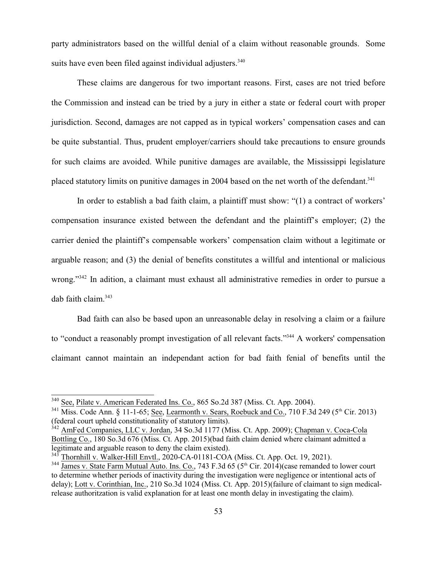party administrators based on the willful denial of a claim without reasonable grounds. Some suits have even been filed against individual adjusters.<sup>340</sup>

These claims are dangerous for two important reasons. First, cases are not tried before the Commission and instead can be tried by a jury in either a state or federal court with proper jurisdiction. Second, damages are not capped as in typical workers' compensation cases and can be quite substantial. Thus, prudent employer/carriers should take precautions to ensure grounds for such claims are avoided. While punitive damages are available, the Mississippi legislature placed statutory limits on punitive damages in 2004 based on the net worth of the defendant.<sup>341</sup>

In order to establish a bad faith claim, a plaintiff must show: "(1) a contract of workers' compensation insurance existed between the defendant and the plaintiff's employer; (2) the carrier denied the plaintiff's compensable workers' compensation claim without a legitimate or arguable reason; and (3) the denial of benefits constitutes a willful and intentional or malicious wrong."<sup>342</sup> In adition, a claimant must exhaust all administrative remedies in order to pursue a dab faith claim. $343$ 

Bad faith can also be based upon an unreasonable delay in resolving a claim or a failure to "conduct a reasonably prompt investigation of all relevant facts."<sup>344</sup> A workers' compensation claimant cannot maintain an independant action for bad faith fenial of benefits until the

<sup>&</sup>lt;sup>340</sup> See, Pilate v. American Federated Ins. Co., 865 So.2d 387 (Miss. Ct. App. 2004).

<sup>&</sup>lt;sup>341</sup> Miss. Code Ann. § 11-1-65; <u>See, Learmonth v. Sears, Roebuck and Co.</u>, 710 F.3d 249 (5<sup>th</sup> Cir. 2013) (federal court upheld constitutionality of statutory limits).

<sup>&</sup>lt;sup>342</sup> AmFed Companies, LLC v. Jordan, 34 So.3d 1177 (Miss. Ct. App. 2009); Chapman v. Coca-Cola Bottling Co., 180 So.3d 676 (Miss. Ct. App. 2015)(bad faith claim denied where claimant admitted a legitimate and arguable reason to deny the claim existed).

<sup>343</sup> Thornhill v. Walker-Hill Envtl., 2020-CA-01181-COA (Miss. Ct. App. Oct. 19, 2021).

<sup>&</sup>lt;sup>344</sup> James v. State Farm Mutual Auto. Ins. Co., 743 F.3d 65 (5<sup>th</sup> Cir. 2014)(case remanded to lower court to determine whether periods of inactivity during the investigation were negligence or intentional acts of delay); Lott v. Corinthian, Inc., 210 So.3d 1024 (Miss. Ct. App. 2015)(failure of claimant to sign medicalrelease authoritzation is valid explanation for at least one month delay in investigating the claim).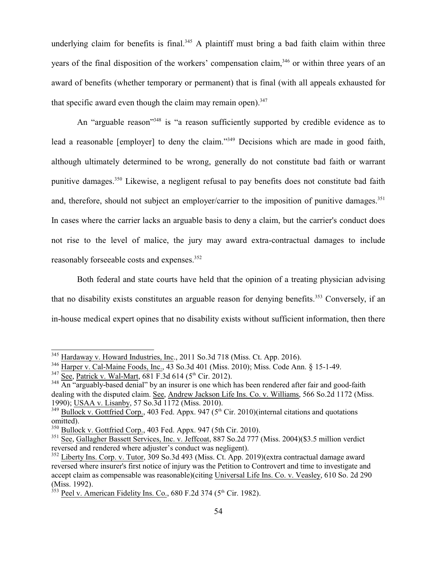underlying claim for benefits is final.<sup>345</sup> A plaintiff must bring a bad faith claim within three years of the final disposition of the workers' compensation claim,<sup>346</sup> or within three years of an award of benefits (whether temporary or permanent) that is final (with all appeals exhausted for that specific award even though the claim may remain open). $347$ 

An "arguable reason"<sup>348</sup> is "a reason sufficiently supported by credible evidence as to lead a reasonable [employer] to deny the claim."<sup>349</sup> Decisions which are made in good faith, although ultimately determined to be wrong, generally do not constitute bad faith or warrant punitive damages.<sup>350</sup> Likewise, a negligent refusal to pay benefits does not constitute bad faith and, therefore, should not subject an employer/carrier to the imposition of punitive damages.<sup>351</sup> In cases where the carrier lacks an arguable basis to deny a claim, but the carrier's conduct does not rise to the level of malice, the jury may award extra-contractual damages to include reasonably forseeable costs and expenses.<sup>352</sup>

Both federal and state courts have held that the opinion of a treating physician advising that no disability exists constitutes an arguable reason for denying benefits.<sup>353</sup> Conversely, if an in-house medical expert opines that no disability exists without sufficient information, then there

<sup>&</sup>lt;sup>345</sup> Hardaway v. Howard Industries, Inc., 2011 So.3d 718 (Miss. Ct. App. 2016).

<sup>&</sup>lt;sup>346</sup> Harper v. Cal-Maine Foods, Inc., 43 So.3d 401 (Miss. 2010); Miss. Code Ann. § 15-1-49.

 $3^{347}$  See, Patrick v. Wal-Mart, 681 F.3d 614 (5<sup>th</sup> Cir. 2012).

<sup>&</sup>lt;sup>348</sup> An "arguably-based denial" by an insurer is one which has been rendered after fair and good-faith dealing with the disputed claim. See, Andrew Jackson Life Ins. Co. v. Williams, 566 So.2d 1172 (Miss. 1990); USAA v. Lisanby, 57 So.3d 1172 (Miss. 2010).

 $349$  Bullock v. Gottfried Corp., 403 Fed. Appx. 947 ( $5<sup>th</sup>$  Cir. 2010)(internal citations and quotations omitted).

<sup>&</sup>lt;sup>350</sup> Bullock v. Gottfried Corp., 403 Fed. Appx. 947 (5th Cir. 2010).

<sup>&</sup>lt;sup>351</sup> See, Gallagher Bassett Services, Inc. v. Jeffcoat, 887 So.2d 777 (Miss. 2004)(\$3.5 million verdict reversed and rendered where adjuster's conduct was negligent).

<sup>&</sup>lt;sup>352</sup> Liberty Ins. Corp. v. Tutor, 309 So.3d 493 (Miss. Ct. App. 2019)(extra contractual damage award reversed where insurer's first notice of injury was the Petition to Controvert and time to investigate and accept claim as compensable was reasonable)(citing Universal Life Ins. Co. v. Veasley, 610 So. 2d 290 (Miss. 1992).<br><sup>353</sup> Peel v. American Fidelity Ins. Co., 680 F.2d 374 (5<sup>th</sup> Cir. 1982).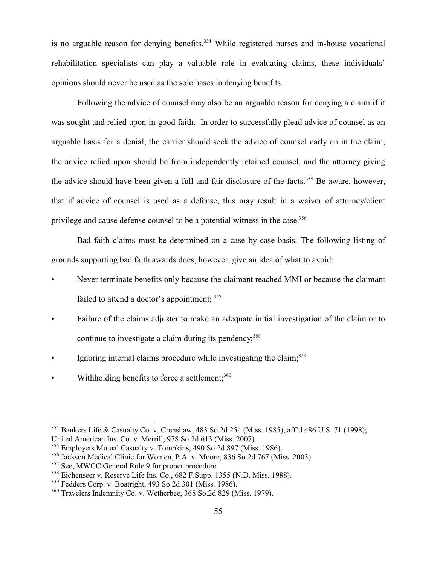is no arguable reason for denying benefits.<sup>354</sup> While registered nurses and in-house vocational rehabilitation specialists can play a valuable role in evaluating claims, these individuals' opinions should never be used as the sole bases in denying benefits.

Following the advice of counsel may also be an arguable reason for denying a claim if it was sought and relied upon in good faith. In order to successfully plead advice of counsel as an arguable basis for a denial, the carrier should seek the advice of counsel early on in the claim, the advice relied upon should be from independently retained counsel, and the attorney giving the advice should have been given a full and fair disclosure of the facts.<sup>355</sup> Be aware, however, that if advice of counsel is used as a defense, this may result in a waiver of attorney/client privilege and cause defense counsel to be a potential witness in the case.<sup>356</sup>

Bad faith claims must be determined on a case by case basis. The following listing of grounds supporting bad faith awards does, however, give an idea of what to avoid:

- Never terminate benefits only because the claimant reached MMI or because the claimant failed to attend a doctor's appointment;  $357$
- Failure of the claims adjuster to make an adequate initial investigation of the claim or to continue to investigate a claim during its pendency; 358
- Ignoring internal claims procedure while investigating the claim;<sup>359</sup>
- Withholding benefits to force a settlement;<sup>360</sup>

<sup>&</sup>lt;sup>354</sup> Bankers Life & Casualty Co. v. Crenshaw, 483 So.2d 254 (Miss. 1985), aff'd 486 U.S. 71 (1998); United American Ins. Co. v. Merrill, 978 So.2d 613 (Miss. 2007).

<sup>&</sup>lt;sup>355</sup> Employers Mutual Casualty v. Tompkins, 490 So.2d 897 (Miss. 1986).

<sup>356</sup> Jackson Medical Clinic for Women, P.A. v. Moore, 836 So.2d 767 (Miss. 2003).

<sup>&</sup>lt;sup>357</sup> See, MWCC General Rule 9 for proper procedure.

<sup>358</sup> Eichenseer v. Reserve Life Ins. Co., 682 F.Supp. 1355 (N.D. Miss. 1988).

<sup>&</sup>lt;sup>359</sup> Fedders Corp. v. Boatright, 493 So.2d 301 (Miss. 1986).

<sup>&</sup>lt;sup>360</sup> Travelers Indemnity Co. v. Wetherbee, 368 So.2d 829 (Miss. 1979).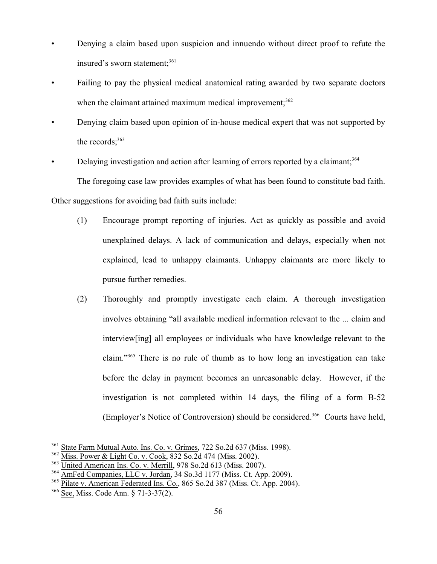- Denying a claim based upon suspicion and innuendo without direct proof to refute the insured's sworn statement;<sup>361</sup>
- Failing to pay the physical medical anatomical rating awarded by two separate doctors when the claimant attained maximum medical improvement; $362$
- Denying claim based upon opinion of in-house medical expert that was not supported by the records; $363$
- Delaying investigation and action after learning of errors reported by a claimant;<sup>364</sup>

The foregoing case law provides examples of what has been found to constitute bad faith.

Other suggestions for avoiding bad faith suits include:

- (1) Encourage prompt reporting of injuries. Act as quickly as possible and avoid unexplained delays. A lack of communication and delays, especially when not explained, lead to unhappy claimants. Unhappy claimants are more likely to pursue further remedies.
- (2) Thoroughly and promptly investigate each claim. A thorough investigation involves obtaining "all available medical information relevant to the ... claim and interview[ing] all employees or individuals who have knowledge relevant to the claim."<sup>365</sup> There is no rule of thumb as to how long an investigation can take before the delay in payment becomes an unreasonable delay. However, if the investigation is not completed within 14 days, the filing of a form B-52 (Employer's Notice of Controversion) should be considered.<sup>366</sup> Courts have held,

<sup>&</sup>lt;sup>361</sup> State Farm Mutual Auto. Ins. Co. v. Grimes, 722 So.2d 637 (Miss. 1998).

<sup>&</sup>lt;sup>362</sup> Miss. Power & Light Co. v. Cook, 832 So.2d 474 (Miss. 2002).

<sup>&</sup>lt;sup>363</sup> United American Ins. Co. v. Merrill, 978 So.2d 613 (Miss. 2007).

<sup>&</sup>lt;sup>364</sup> AmFed Companies, LLC v. Jordan, 34 So.3d 1177 (Miss. Ct. App. 2009).

<sup>&</sup>lt;sup>365</sup> Pilate v. American Federated Ins. Co., 865 So.2d 387 (Miss. Ct. App. 2004).

<sup>366</sup> See, Miss. Code Ann. § 71-3-37(2).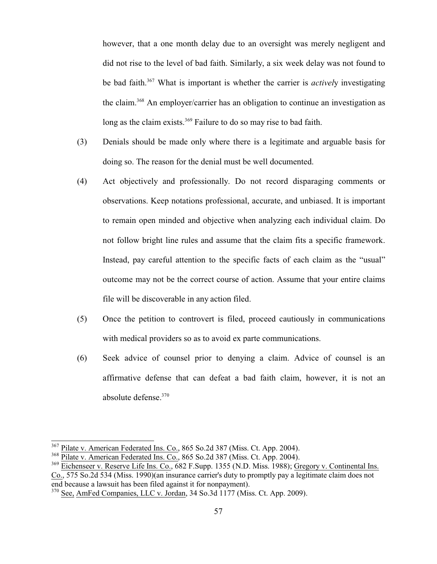however, that a one month delay due to an oversight was merely negligent and did not rise to the level of bad faith. Similarly, a six week delay was not found to be bad faith.<sup>367</sup> What is important is whether the carrier is *activel*y investigating the claim.<sup>368</sup> An employer/carrier has an obligation to continue an investigation as long as the claim exists.<sup>369</sup> Failure to do so may rise to bad faith.

- (3) Denials should be made only where there is a legitimate and arguable basis for doing so. The reason for the denial must be well documented.
- (4) Act objectively and professionally. Do not record disparaging comments or observations. Keep notations professional, accurate, and unbiased. It is important to remain open minded and objective when analyzing each individual claim. Do not follow bright line rules and assume that the claim fits a specific framework. Instead, pay careful attention to the specific facts of each claim as the "usual" outcome may not be the correct course of action. Assume that your entire claims file will be discoverable in any action filed.
- (5) Once the petition to controvert is filed, proceed cautiously in communications with medical providers so as to avoid ex parte communications.
- (6) Seek advice of counsel prior to denying a claim. Advice of counsel is an affirmative defense that can defeat a bad faith claim, however, it is not an absolute defense.<sup>370</sup>

<sup>&</sup>lt;sup>367</sup> Pilate v. American Federated Ins. Co., 865 So.2d 387 (Miss. Ct. App. 2004).

<sup>&</sup>lt;sup>368</sup> Pilate v. American Federated Ins. Co., 865 So.2d 387 (Miss. Ct. App. 2004).

<sup>&</sup>lt;sup>369</sup> Eichenseer v. Reserve Life Ins. Co., 682 F.Supp. 1355 (N.D. Miss. 1988); Gregory v. Continental Ins. Co., 575 So.2d 534 (Miss. 1990)(an insurance carrier's duty to promptly pay a legitimate claim does not end because a lawsuit has been filed against it for nonpayment).

<sup>&</sup>lt;sup>370</sup> See, AmFed Companies, LLC v. Jordan, 34 So.3d 1177 (Miss. Ct. App. 2009).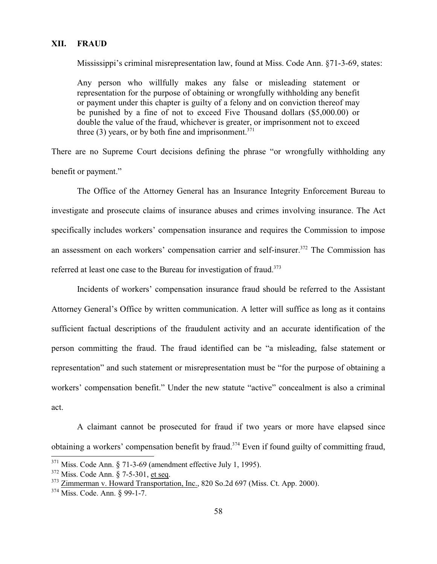#### **XII. FRAUD**

Mississippi's criminal misrepresentation law, found at Miss. Code Ann. §71-3-69, states:

Any person who willfully makes any false or misleading statement or representation for the purpose of obtaining or wrongfully withholding any benefit or payment under this chapter is guilty of a felony and on conviction thereof may be punished by a fine of not to exceed Five Thousand dollars (\$5,000.00) or double the value of the fraud, whichever is greater, or imprisonment not to exceed three  $(3)$  years, or by both fine and imprisonment.<sup>371</sup>

There are no Supreme Court decisions defining the phrase "or wrongfully withholding any benefit or payment."

The Office of the Attorney General has an Insurance Integrity Enforcement Bureau to investigate and prosecute claims of insurance abuses and crimes involving insurance. The Act specifically includes workers' compensation insurance and requires the Commission to impose an assessment on each workers' compensation carrier and self-insurer.<sup>372</sup> The Commission has referred at least one case to the Bureau for investigation of fraud.<sup>373</sup>

Incidents of workers' compensation insurance fraud should be referred to the Assistant Attorney General's Office by written communication. A letter will suffice as long as it contains sufficient factual descriptions of the fraudulent activity and an accurate identification of the person committing the fraud. The fraud identified can be "a misleading, false statement or representation" and such statement or misrepresentation must be "for the purpose of obtaining a workers' compensation benefit." Under the new statute "active" concealment is also a criminal act.

A claimant cannot be prosecuted for fraud if two years or more have elapsed since obtaining a workers' compensation benefit by fraud.<sup>374</sup> Even if found guilty of committing fraud,

 $371$  Miss. Code Ann. § 71-3-69 (amendment effective July 1, 1995).

<sup>&</sup>lt;sup>372</sup> Miss. Code Ann. § 7-5-301, <u>et seq</u>.

<sup>&</sup>lt;sup>373</sup> Zimmerman v. Howard Transportation, Inc., 820 So.2d 697 (Miss. Ct. App. 2000).

<sup>374</sup> Miss. Code. Ann. § 99-1-7.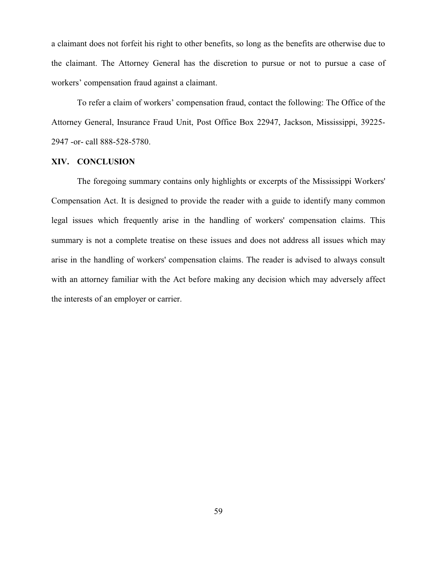a claimant does not forfeit his right to other benefits, so long as the benefits are otherwise due to the claimant. The Attorney General has the discretion to pursue or not to pursue a case of workers' compensation fraud against a claimant.

To refer a claim of workers' compensation fraud, contact the following: The Office of the Attorney General, Insurance Fraud Unit, Post Office Box 22947, Jackson, Mississippi, 39225- 2947 -or- call 888-528-5780.

#### **XIV. CONCLUSION**

The foregoing summary contains only highlights or excerpts of the Mississippi Workers' Compensation Act. It is designed to provide the reader with a guide to identify many common legal issues which frequently arise in the handling of workers' compensation claims. This summary is not a complete treatise on these issues and does not address all issues which may arise in the handling of workers' compensation claims. The reader is advised to always consult with an attorney familiar with the Act before making any decision which may adversely affect the interests of an employer or carrier.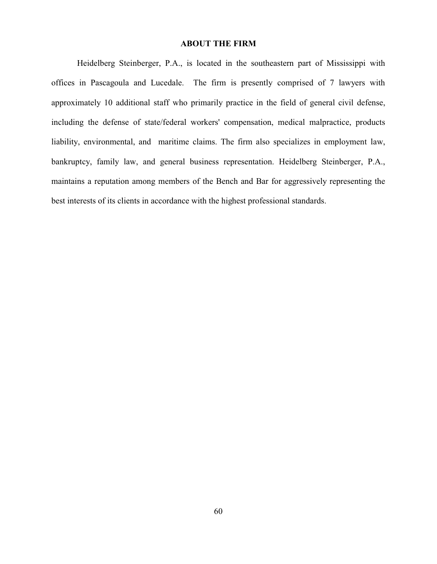#### **ABOUT THE FIRM**

Heidelberg Steinberger, P.A., is located in the southeastern part of Mississippi with offices in Pascagoula and Lucedale. The firm is presently comprised of 7 lawyers with approximately 10 additional staff who primarily practice in the field of general civil defense, including the defense of state/federal workers' compensation, medical malpractice, products liability, environmental, and maritime claims. The firm also specializes in employment law, bankruptcy, family law, and general business representation. Heidelberg Steinberger, P.A., maintains a reputation among members of the Bench and Bar for aggressively representing the best interests of its clients in accordance with the highest professional standards.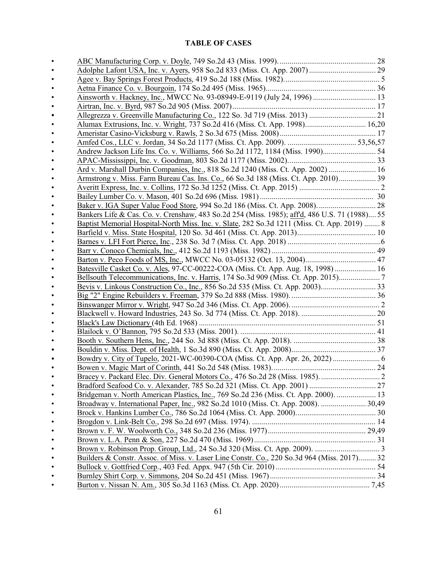## **TABLE OF CASES**

| Ainsworth v. Hackney, Inc., MWCC No. 93-08949-E-9119 (July 24, 1996)  13                      |  |
|-----------------------------------------------------------------------------------------------|--|
|                                                                                               |  |
|                                                                                               |  |
| Alumax Extrusions, Inc. v. Wright, 737 So.2d 416 (Miss. Ct. App. 1998) 16,20                  |  |
|                                                                                               |  |
|                                                                                               |  |
| Andrew Jackson Life Ins. Co. v. Williams, 566 So.2d 1172, 1184 (Miss. 1990) 54                |  |
|                                                                                               |  |
| Ard v. Marshall Durbin Companies, Inc., 818 So.2d 1240 (Miss. Ct. App. 2002)  16              |  |
| Armstrong v. Miss. Farm Bureau Cas. Ins. Co., 66 So.3d 188 (Miss. Ct. App. 2010) 39           |  |
|                                                                                               |  |
|                                                                                               |  |
|                                                                                               |  |
| Bankers Life & Cas. Co. v. Crenshaw, 483 So.2d 254 (Miss. 1985); aff'd, 486 U.S. 71 (1988) 55 |  |
| Baptist Memorial Hospital-North Miss. Inc. v. Slate, 282 So.3d 1211 (Miss. Ct. App. 2019)  8  |  |
|                                                                                               |  |
|                                                                                               |  |
|                                                                                               |  |
| Barton v. Peco Foods of MS, Inc., MWCC No. 03-05132 (Oct. 13, 2004) 47                        |  |
| Batesville Casket Co. v. Ales, 97-CC-00222-COA (Miss. Ct. App. Aug. 18, 1998)  16             |  |
|                                                                                               |  |
| Bevis v. Linkous Construction Co., Inc., 856 So.2d 535 (Miss. Ct. App. 2003)                  |  |
|                                                                                               |  |
|                                                                                               |  |
|                                                                                               |  |
|                                                                                               |  |
|                                                                                               |  |
|                                                                                               |  |
|                                                                                               |  |
|                                                                                               |  |
|                                                                                               |  |
| Bracey v. Packard Elec. Div. General Motors Co., 476 So.2d 28 (Miss. 1985).                   |  |
|                                                                                               |  |
| Bridgeman v. North American Plastics, Inc., 769 So.2d 236 (Miss. Ct. App. 2000).  13          |  |
| Broadway v. International Paper, Inc., 982 So.2d 1010 (Miss. Ct. App. 2008).  30,49           |  |
|                                                                                               |  |
|                                                                                               |  |
|                                                                                               |  |
|                                                                                               |  |
|                                                                                               |  |
| Builders & Constr. Assoc. of Miss. v. Laser Line Constr. Co., 220 So.3d 964 (Miss. 2017) 32   |  |
|                                                                                               |  |
|                                                                                               |  |
|                                                                                               |  |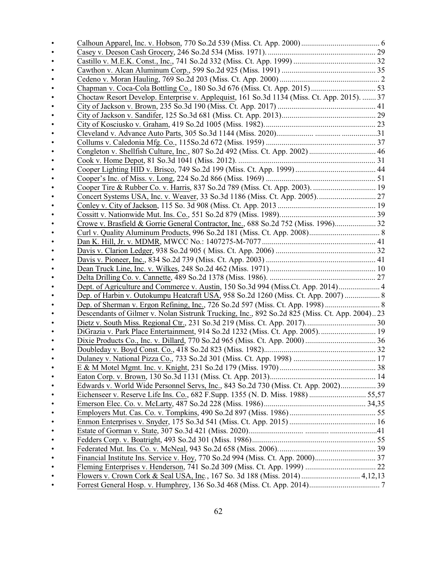| Choctaw Resort Develop. Enterprise v. Applequist, 161 So.3d 1134 (Miss. Ct. App. 2015).  37   |  |
|-----------------------------------------------------------------------------------------------|--|
|                                                                                               |  |
|                                                                                               |  |
|                                                                                               |  |
|                                                                                               |  |
|                                                                                               |  |
|                                                                                               |  |
|                                                                                               |  |
|                                                                                               |  |
|                                                                                               |  |
|                                                                                               |  |
|                                                                                               |  |
|                                                                                               |  |
|                                                                                               |  |
| Crowe v. Brasfield & Gorrie General Contractor, Inc., 688 So.2d 752 (Miss. 1996) 32           |  |
|                                                                                               |  |
|                                                                                               |  |
|                                                                                               |  |
|                                                                                               |  |
|                                                                                               |  |
|                                                                                               |  |
| Dept. of Agriculture and Commerce v. Austin, 150 So.3d 994 (Miss.Ct. App. 2014) 4             |  |
| Dep. of Harbin v. Outokumpu Heatcraft USA, 958 So.2d 1260 (Miss. Ct. App. 2007)  8            |  |
|                                                                                               |  |
| Descendants of Gilmer v. Nolan Sistrunk Trucking, Inc., 892 So.2d 825 (Miss. Ct. App. 2004)23 |  |
|                                                                                               |  |
| DiGrazia v. Park Place Entertainment, 914 So.2d 1232 (Miss. Ct. App. 2005) 19                 |  |
|                                                                                               |  |
|                                                                                               |  |
|                                                                                               |  |
|                                                                                               |  |
|                                                                                               |  |
| Edwards v. World Wide Personnel Servs, Inc., 843 So.2d 730 (Miss. Ct. App. 2002) 39           |  |
|                                                                                               |  |
|                                                                                               |  |
|                                                                                               |  |
|                                                                                               |  |
|                                                                                               |  |
|                                                                                               |  |
|                                                                                               |  |
|                                                                                               |  |
|                                                                                               |  |
|                                                                                               |  |
|                                                                                               |  |
|                                                                                               |  |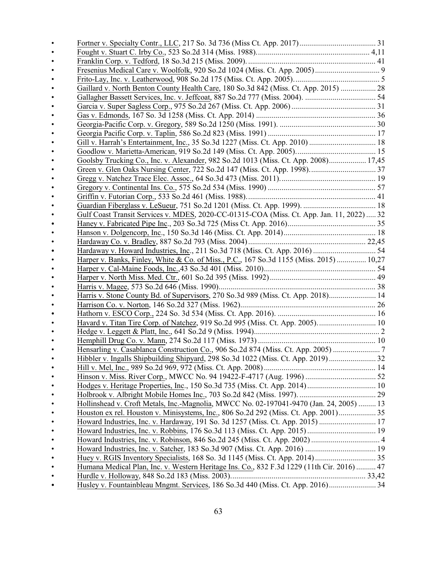|           | Gaillard v. North Benton County Health Care, 180 So.3d 842 (Miss. Ct. App. 2015)  28       |  |
|-----------|--------------------------------------------------------------------------------------------|--|
|           |                                                                                            |  |
|           |                                                                                            |  |
|           |                                                                                            |  |
|           |                                                                                            |  |
|           |                                                                                            |  |
|           |                                                                                            |  |
|           |                                                                                            |  |
|           | Goolsby Trucking Co., Inc. v. Alexander, 982 So.2d 1013 (Miss. Ct. App. 2008) 17,45        |  |
|           |                                                                                            |  |
|           |                                                                                            |  |
|           |                                                                                            |  |
|           |                                                                                            |  |
|           |                                                                                            |  |
|           | Gulf Coast Transit Services v. MDES, 2020-CC-01315-COA (Miss. Ct. App. Jan. 11, 2022) 32   |  |
|           |                                                                                            |  |
|           |                                                                                            |  |
|           |                                                                                            |  |
|           | Hardaway v. Howard Industries, Inc., 211 So.3d 718 (Miss. Ct. App. 2016)  54               |  |
|           | Harper v. Banks, Finley, White & Co. of Miss., P.C., 167 So.3d 1155 (Miss. 2015)  10,27    |  |
|           |                                                                                            |  |
|           |                                                                                            |  |
|           |                                                                                            |  |
|           | Harris v. Stone County Bd. of Supervisors, 270 So.3d 989 (Miss. Ct. App. 2018) 14          |  |
|           |                                                                                            |  |
|           |                                                                                            |  |
|           | Havard v. Titan Tire Corp. of Natchez, 919 So.2d 995 (Miss. Ct. App. 2005) 10              |  |
|           |                                                                                            |  |
|           |                                                                                            |  |
|           | Hensarling v. Casablanca Construction Co., 906 So.2d 874 (Miss. Ct. App. 2005)             |  |
|           |                                                                                            |  |
|           |                                                                                            |  |
|           |                                                                                            |  |
|           |                                                                                            |  |
|           |                                                                                            |  |
|           | Hollinshead v. Croft Metals, Inc.-Magnolia, MWCC No. 02-197041-9470 (Jan. 24, 2005)  13    |  |
|           | Houston ex rel. Houston v. Minisystems, Inc., 806 So.2d 292 (Miss. Ct. App. 2001) 35       |  |
|           |                                                                                            |  |
|           |                                                                                            |  |
|           |                                                                                            |  |
|           |                                                                                            |  |
|           |                                                                                            |  |
|           | Humana Medical Plan, Inc. v. Western Heritage Ins. Co., 832 F.3d 1229 (11th Cir. 2016)  47 |  |
|           |                                                                                            |  |
| $\bullet$ | Husley v. Fountainbleau Mngmt. Services, 186 So.3d 440 (Miss. Ct. App. 2016) 34            |  |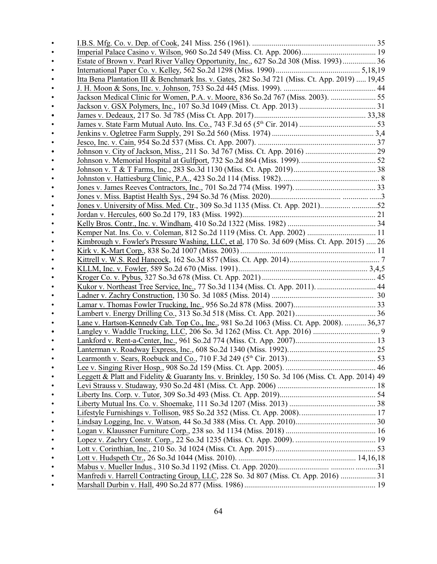| Estate of Brown v. Pearl River Valley Opportunity, Inc., 627 So.2d 308 (Miss. 1993) 36            |  |
|---------------------------------------------------------------------------------------------------|--|
|                                                                                                   |  |
| Itta Bena Plantation III & Benchmark Ins. v. Gates, 282 So.3d 721 (Miss. Ct. App. 2019)  19,45    |  |
|                                                                                                   |  |
| Jackson Medical Clinic for Women, P.A. v. Moore, 836 So.2d 767 (Miss. 2003).                      |  |
|                                                                                                   |  |
|                                                                                                   |  |
|                                                                                                   |  |
|                                                                                                   |  |
|                                                                                                   |  |
|                                                                                                   |  |
|                                                                                                   |  |
|                                                                                                   |  |
|                                                                                                   |  |
|                                                                                                   |  |
|                                                                                                   |  |
| Jones v. University of Miss. Med. Ctr., 309 So.3d 1135 (Miss. Ct. App. 2021)52                    |  |
|                                                                                                   |  |
|                                                                                                   |  |
|                                                                                                   |  |
| Kimbrough v. Fowler's Pressure Washing, LLC, et al, 170 So. 3d 609 (Miss. Ct. App. 2015)  26      |  |
|                                                                                                   |  |
|                                                                                                   |  |
|                                                                                                   |  |
|                                                                                                   |  |
|                                                                                                   |  |
|                                                                                                   |  |
|                                                                                                   |  |
|                                                                                                   |  |
| Lane v. Hartson-Kennedy Cab. Top Co., Inc., 981 So.2d 1063 (Miss. Ct. App. 2008).  36,37          |  |
|                                                                                                   |  |
|                                                                                                   |  |
|                                                                                                   |  |
|                                                                                                   |  |
|                                                                                                   |  |
| Leggett & Platt and Fidelity & Guaranty Ins. v. Brinkley, 150 So. 3d 106 (Miss. Ct. App. 2014) 49 |  |
|                                                                                                   |  |
|                                                                                                   |  |
|                                                                                                   |  |
|                                                                                                   |  |
|                                                                                                   |  |
|                                                                                                   |  |
|                                                                                                   |  |
|                                                                                                   |  |
|                                                                                                   |  |
| Manfredi v. Harrell Contracting Group, LLC, 228 So. 3d 807 (Miss. Ct. App. 2016)  31              |  |
|                                                                                                   |  |
|                                                                                                   |  |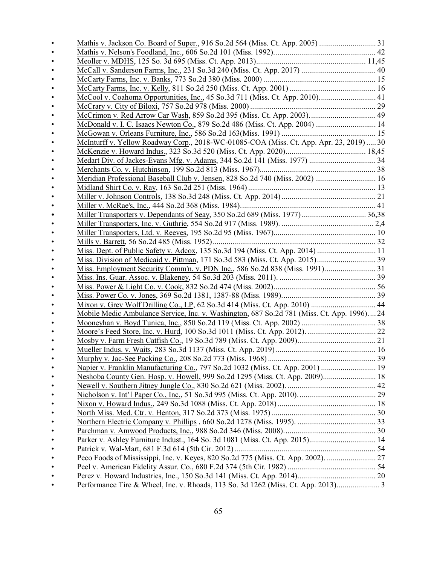| McCool v. Coahoma Opportunities, Inc., 45 So.3d 711 (Miss. Ct. App. 2010) 41               |  |
|--------------------------------------------------------------------------------------------|--|
|                                                                                            |  |
|                                                                                            |  |
| McDonald v. I. C. Isaacs Newton Co., 879 So.2d 486 (Miss. Ct. App. 2004)  14               |  |
|                                                                                            |  |
| McInturff v. Yellow Roadway Corp., 2018-WC-01085-COA (Miss. Ct. App. Apr. 23, 2019)  30    |  |
|                                                                                            |  |
|                                                                                            |  |
|                                                                                            |  |
| Meridian Professional Baseball Club v. Jensen, 828 So.2d 740 (Miss. 2002)  16              |  |
|                                                                                            |  |
|                                                                                            |  |
|                                                                                            |  |
|                                                                                            |  |
|                                                                                            |  |
|                                                                                            |  |
|                                                                                            |  |
| Miss. Dept. of Public Safety v. Adcox, 135 So.3d 194 (Miss. Ct. App. 2014) 11              |  |
|                                                                                            |  |
| Miss. Employment Security Comm'n. v. PDN Inc., 586 So.2d 838 (Miss. 1991) 31               |  |
|                                                                                            |  |
|                                                                                            |  |
|                                                                                            |  |
| Mixon v. Grey Wolf Drilling Co., LP, 62 So.3d 414 (Miss. Ct. App. 2010)  44                |  |
| Mobile Medic Ambulance Service, Inc. v. Washington, 687 So.2d 781 (Miss. Ct. App. 1996) 24 |  |
|                                                                                            |  |
|                                                                                            |  |
|                                                                                            |  |
|                                                                                            |  |
|                                                                                            |  |
| Napier v. Franklin Manufacturing Co., 797 So.2d 1032 (Miss. Ct. App. 2001)  19             |  |
| Neshoba County Gen. Hosp. v. Howell, 999 So.2d 1295 (Miss. Ct. App. 2009) 18               |  |
|                                                                                            |  |
|                                                                                            |  |
|                                                                                            |  |
|                                                                                            |  |
|                                                                                            |  |
|                                                                                            |  |
| Parker v. Ashley Furniture Indust., 164 So. 3d 1081 (Miss. Ct. App. 2015) 14               |  |
|                                                                                            |  |
|                                                                                            |  |
|                                                                                            |  |
|                                                                                            |  |
|                                                                                            |  |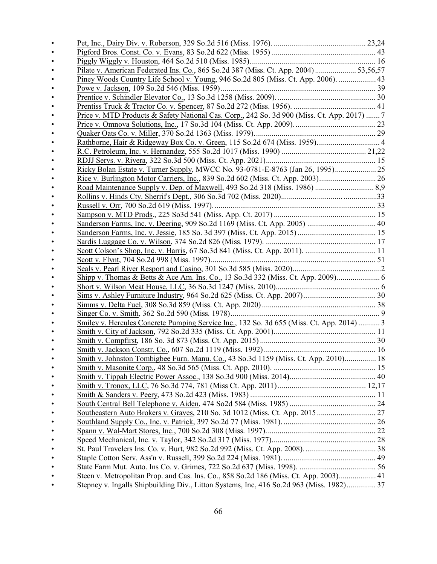| Pilate v. American Federated Ins. Co., 865 So.2d 387 (Miss. Ct. App. 2004) 53,56,57         |  |
|---------------------------------------------------------------------------------------------|--|
| Piney Woods Country Life School v. Young, 946 So.2d 805 (Miss. Ct. App. 2006).  43          |  |
|                                                                                             |  |
|                                                                                             |  |
|                                                                                             |  |
| Price v. MTD Products & Safety National Cas. Corp., 242 So. 3d 900 (Miss. Ct. App. 2017)  7 |  |
|                                                                                             |  |
|                                                                                             |  |
|                                                                                             |  |
|                                                                                             |  |
|                                                                                             |  |
|                                                                                             |  |
| Rice v. Burlington Motor Carriers, Inc., 839 So.2d 602 (Miss. Ct. App. 2003)                |  |
|                                                                                             |  |
|                                                                                             |  |
|                                                                                             |  |
|                                                                                             |  |
| Sanderson Farms, Inc. v. Deering, 909 So.2d 1169 (Miss. Ct. App. 2005)  40                  |  |
|                                                                                             |  |
|                                                                                             |  |
|                                                                                             |  |
|                                                                                             |  |
|                                                                                             |  |
|                                                                                             |  |
|                                                                                             |  |
|                                                                                             |  |
|                                                                                             |  |
|                                                                                             |  |
| Smiley v. Hercules Concrete Pumping Service Inc., 132 So. 3d 655 (Miss. Ct. App. 2014)  3   |  |
|                                                                                             |  |
|                                                                                             |  |
|                                                                                             |  |
| Smith v. Johnston Tombigbee Furn. Manu. Co., 43 So.3d 1159 (Miss. Ct. App. 2010) 18         |  |
|                                                                                             |  |
|                                                                                             |  |
|                                                                                             |  |
|                                                                                             |  |
|                                                                                             |  |
|                                                                                             |  |
|                                                                                             |  |
|                                                                                             |  |
|                                                                                             |  |
|                                                                                             |  |
|                                                                                             |  |
|                                                                                             |  |
| Steen v. Metropolitan Prop. and Cas. Ins. Co., 858 So.2d 186 (Miss. Ct. App. 2003) 41       |  |
| Stepney v. Ingalls Shipbuilding Div., Litton Systems, Inc, 416 So.2d 963 (Miss. 1982) 37    |  |
|                                                                                             |  |